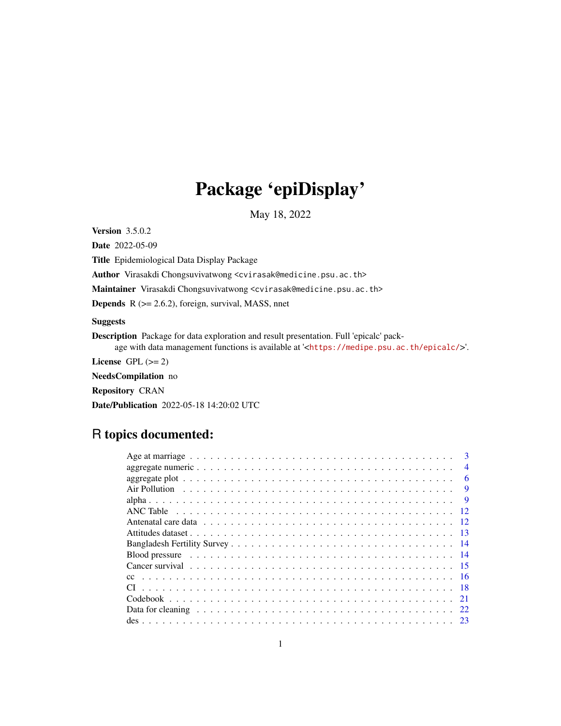# Package 'epiDisplay'

May 18, 2022

Version 3.5.0.2

Date 2022-05-09

Title Epidemiological Data Display Package

Author Virasakdi Chongsuvivatwong <cvirasak@medicine.psu.ac.th>

Maintainer Virasakdi Chongsuvivatwong <cvirasak@medicine.psu.ac.th>

**Depends**  $R$  ( $>= 2.6.2$ ), foreign, survival, MASS, nnet

Suggests

Description Package for data exploration and result presentation. Full 'epicalc' package with data management functions is available at '<<https://medipe.psu.ac.th/epicalc/>>'.

License GPL  $(>= 2)$ 

NeedsCompilation no

Repository CRAN

Date/Publication 2022-05-18 14:20:02 UTC

# R topics documented:

| $\mathbf{3}$             |
|--------------------------|
| $\overline{\mathcal{A}}$ |
| 6                        |
| -9                       |
| <b>q</b>                 |
|                          |
|                          |
|                          |
|                          |
|                          |
|                          |
|                          |
|                          |
|                          |
|                          |
|                          |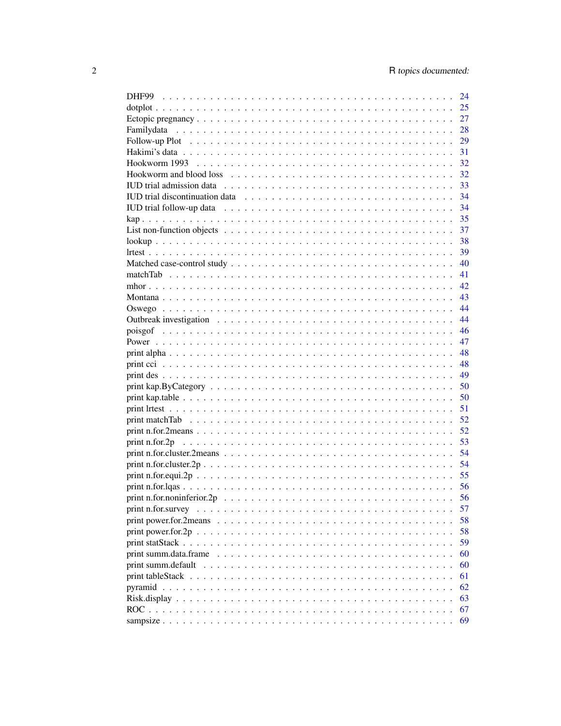|                                                                                                                          | 24   |
|--------------------------------------------------------------------------------------------------------------------------|------|
|                                                                                                                          | 25   |
|                                                                                                                          | 27   |
|                                                                                                                          | 28   |
|                                                                                                                          | 29   |
|                                                                                                                          |      |
|                                                                                                                          |      |
|                                                                                                                          | 32   |
|                                                                                                                          | 33   |
|                                                                                                                          | - 34 |
|                                                                                                                          | 34   |
|                                                                                                                          | -35  |
| List non-function objects $\dots \dots \dots \dots \dots \dots \dots \dots \dots \dots \dots \dots \dots \dots$          | -37  |
|                                                                                                                          | - 38 |
|                                                                                                                          |      |
|                                                                                                                          |      |
|                                                                                                                          |      |
|                                                                                                                          |      |
|                                                                                                                          |      |
|                                                                                                                          |      |
|                                                                                                                          |      |
|                                                                                                                          |      |
|                                                                                                                          |      |
|                                                                                                                          |      |
|                                                                                                                          |      |
|                                                                                                                          |      |
|                                                                                                                          |      |
|                                                                                                                          |      |
|                                                                                                                          |      |
|                                                                                                                          |      |
|                                                                                                                          |      |
|                                                                                                                          |      |
|                                                                                                                          |      |
|                                                                                                                          |      |
|                                                                                                                          |      |
|                                                                                                                          |      |
|                                                                                                                          |      |
|                                                                                                                          | 57   |
| print power.for.2means $\dots \dots \dots \dots \dots \dots \dots \dots \dots \dots \dots \dots \dots \dots \dots \dots$ | 58   |
|                                                                                                                          | 58   |
|                                                                                                                          | 59   |
|                                                                                                                          | 60   |
| print summ.default $\dots \dots \dots \dots \dots \dots \dots \dots \dots \dots \dots \dots \dots \dots \dots \dots$     | 60   |
|                                                                                                                          | 61   |
|                                                                                                                          | 62   |
|                                                                                                                          | 63   |
|                                                                                                                          | 67   |
|                                                                                                                          | 69   |
|                                                                                                                          |      |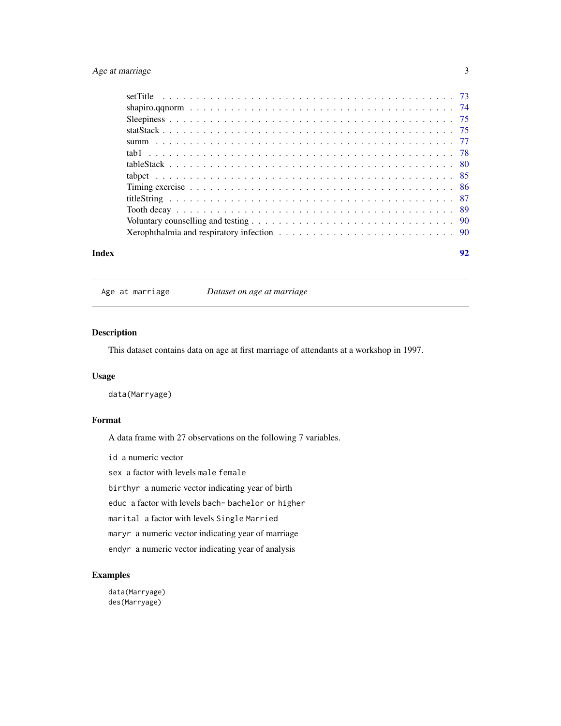# <span id="page-2-0"></span>Age at marriage 3

|       | Xerophthalmia and respiratory infection $\dots \dots \dots \dots \dots \dots \dots \dots \dots \dots \dots \dots$ |    |
|-------|-------------------------------------------------------------------------------------------------------------------|----|
| Index |                                                                                                                   | 92 |

Age at marriage *Dataset on age at marriage*

# Description

This dataset contains data on age at first marriage of attendants at a workshop in 1997.

# Usage

data(Marryage)

# Format

A data frame with 27 observations on the following 7 variables.

id a numeric vector

sex a factor with levels male female

birthyr a numeric vector indicating year of birth

educ a factor with levels bach- bachelor or higher

marital a factor with levels Single Married

maryr a numeric vector indicating year of marriage

endyr a numeric vector indicating year of analysis

# Examples

data(Marryage) des(Marryage)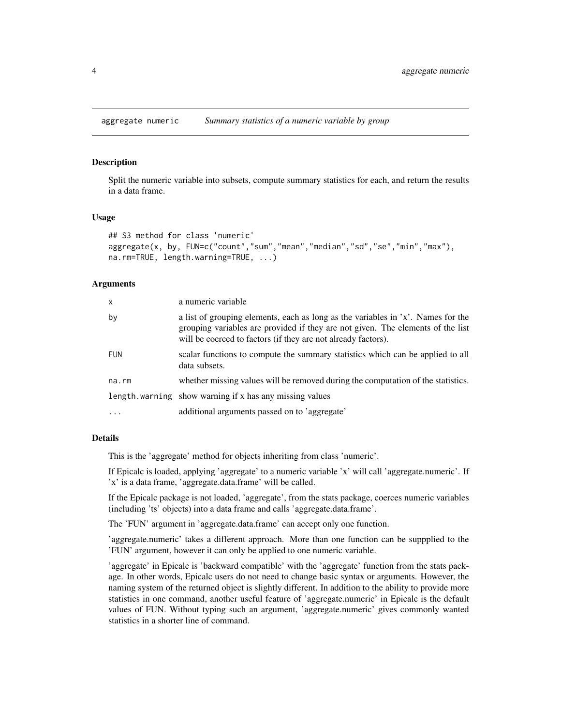<span id="page-3-0"></span>aggregate numeric *Summary statistics of a numeric variable by group*

# **Description**

Split the numeric variable into subsets, compute summary statistics for each, and return the results in a data frame.

#### Usage

```
## S3 method for class 'numeric'
aggregate(x, by, FUN=c("count","sum","mean","median","sd","se","min","max"),
na.rm=TRUE, length.warning=TRUE, ...)
```
#### Arguments

| x          | a numeric variable                                                                                                                                                                                                                   |
|------------|--------------------------------------------------------------------------------------------------------------------------------------------------------------------------------------------------------------------------------------|
| by         | a list of grouping elements, each as long as the variables in 'x'. Names for the<br>grouping variables are provided if they are not given. The elements of the list<br>will be coerced to factors (if they are not already factors). |
| <b>FUN</b> | scalar functions to compute the summary statistics which can be applied to all<br>data subsets.                                                                                                                                      |
| na.rm      | whether missing values will be removed during the computation of the statistics.                                                                                                                                                     |
|            | length.warning show warning if x has any missing values                                                                                                                                                                              |
| .          | additional arguments passed on to 'aggregate'                                                                                                                                                                                        |

# Details

This is the 'aggregate' method for objects inheriting from class 'numeric'.

If Epicalc is loaded, applying 'aggregate' to a numeric variable 'x' will call 'aggregate.numeric'. If 'x' is a data frame, 'aggregate.data.frame' will be called.

If the Epicalc package is not loaded, 'aggregate', from the stats package, coerces numeric variables (including 'ts' objects) into a data frame and calls 'aggregate.data.frame'.

The 'FUN' argument in 'aggregate.data.frame' can accept only one function.

'aggregate.numeric' takes a different approach. More than one function can be suppplied to the 'FUN' argument, however it can only be applied to one numeric variable.

'aggregate' in Epicalc is 'backward compatible' with the 'aggregate' function from the stats package. In other words, Epicalc users do not need to change basic syntax or arguments. However, the naming system of the returned object is slightly different. In addition to the ability to provide more statistics in one command, another useful feature of 'aggregate.numeric' in Epicalc is the default values of FUN. Without typing such an argument, 'aggregate.numeric' gives commonly wanted statistics in a shorter line of command.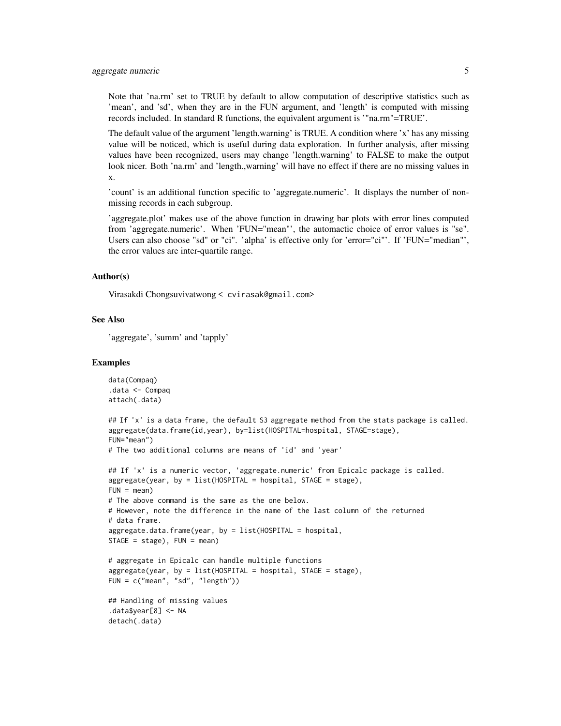Note that 'na.rm' set to TRUE by default to allow computation of descriptive statistics such as 'mean', and 'sd', when they are in the FUN argument, and 'length' is computed with missing records included. In standard R functions, the equivalent argument is '"na.rm"=TRUE'.

The default value of the argument 'length.warning' is TRUE. A condition where 'x' has any missing value will be noticed, which is useful during data exploration. In further analysis, after missing values have been recognized, users may change 'length.warning' to FALSE to make the output look nicer. Both 'na.rm' and 'length.,warning' will have no effect if there are no missing values in x.

'count' is an additional function specific to 'aggregate.numeric'. It displays the number of nonmissing records in each subgroup.

'aggregate.plot' makes use of the above function in drawing bar plots with error lines computed from 'aggregate.numeric'. When 'FUN="mean"', the automactic choice of error values is "se". Users can also choose "sd" or "ci". 'alpha' is effective only for 'error="ci"'. If 'FUN="median"', the error values are inter-quartile range.

#### Author(s)

Virasakdi Chongsuvivatwong < cvirasak@gmail.com>

# See Also

'aggregate', 'summ' and 'tapply'

```
data(Compaq)
.data <- Compaq
attach(.data)
## If 'x' is a data frame, the default S3 aggregate method from the stats package is called.
aggregate(data.frame(id,year), by=list(HOSPITAL=hospital, STAGE=stage),
FUN="mean")
# The two additional columns are means of 'id' and 'year'
## If 'x' is a numeric vector, 'aggregate.numeric' from Epicalc package is called.
aggregate(year, by = list(HOSPITAL = hospital, STATE = stage),FUN = mean)# The above command is the same as the one below.
# However, note the difference in the name of the last column of the returned
# data frame.
aggregate.data.frame(year, by = list(HOSPITAL = hospital,
STAGE = stage), FUN = mean)# aggregate in Epicalc can handle multiple functions
aggregate(year, by = list(HOSPITAL = hospital, STAGE = stage),
FUN = c("mean", "sd", "length"))
## Handling of missing values
.data$year[8] <- NA
detach(.data)
```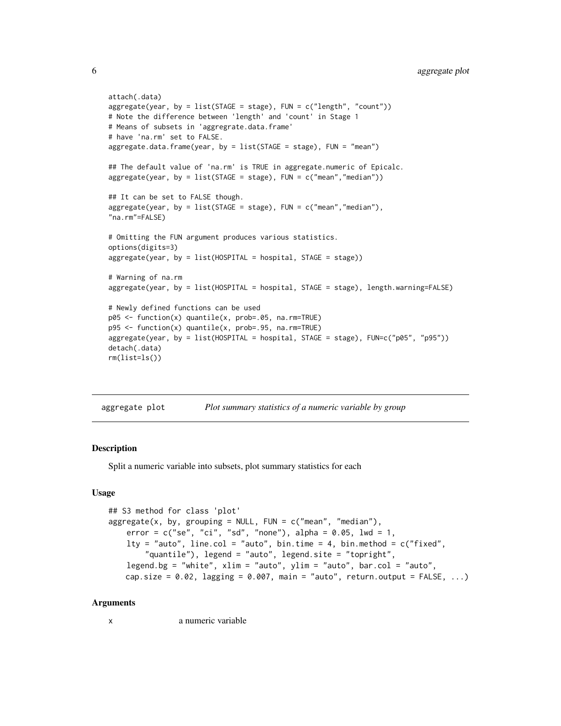```
attach(.data)
aggregate(year, by = list(STAGE = stage), FUN = c("length", "count"))
# Note the difference between 'length' and 'count' in Stage 1
# Means of subsets in 'aggregrate.data.frame'
# have 'na.rm' set to FALSE.
aggregate.data.frame(year, by = list(STAGE = stage), FUN = "mean")
## The default value of 'na.rm' is TRUE in aggregate.numeric of Epicalc.
aggregate(year, by = list(STAGE = stage), FUN = c("mean", "median"))## It can be set to FALSE though.
aggregate(year, by = list(STAGE = stage), FUN = c("mean","median"),
"na.rm"=FALSE)
# Omitting the FUN argument produces various statistics.
options(digits=3)
aggregate(year, by = list(HOSPITAL = hospital, STAGE = stage))
# Warning of na.rm
aggregate(year, by = list(HOSPITAL = hospital, STAGE = stage), length.warning=FALSE)
# Newly defined functions can be used
p05 <- function(x) quantile(x, prob=.05, na.rm=TRUE)
p95 <- function(x) quantile(x, prob=.95, na.rm=TRUE)
aggregate(year, by = list(HOSPITAL = hospital, STAGE = stage), FUN=c("p05", "p95"))
detach(.data)
rm(list=ls())
```
aggregate plot *Plot summary statistics of a numeric variable by group*

# **Description**

Split a numeric variable into subsets, plot summary statistics for each

#### Usage

```
## S3 method for class 'plot'
aggregate(x, by, grouping = NULL, FUN = c("mean", "median"),error = c("se", "ci", "sd", "none"), alpha = 0.05, lwd = 1,lty = "auto", line.col = "auto", bin.time = 4, bin.method = c("fixed","quantile"), legend = "auto", legend.site = "topright",
   legend.bg = "white", xlim = "auto", ylim = "auto", bar.col = "auto",
   cap.size = 0.02, lagging = 0.007, main = "auto", return.output = FALSE, ...)
```
#### Arguments

x a numeric variable

<span id="page-5-0"></span>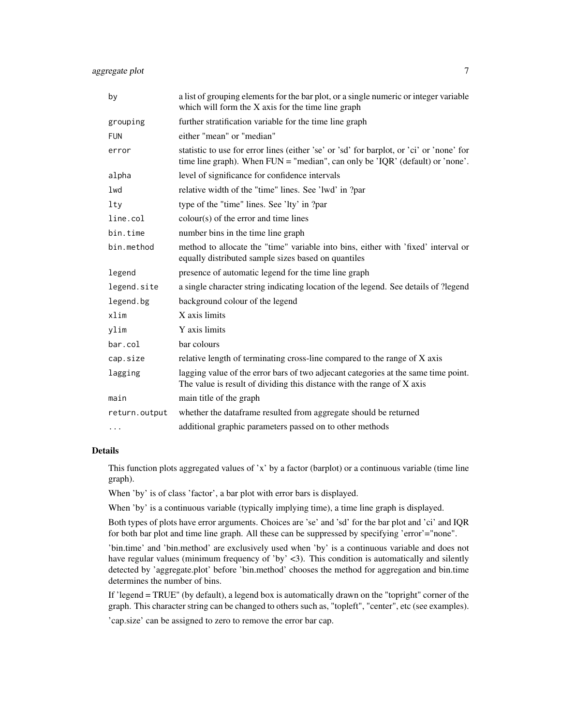| by            | a list of grouping elements for the bar plot, or a single numeric or integer variable<br>which will form the X axis for the time line graph                                 |
|---------------|-----------------------------------------------------------------------------------------------------------------------------------------------------------------------------|
| grouping      | further stratification variable for the time line graph                                                                                                                     |
| <b>FUN</b>    | either "mean" or "median"                                                                                                                                                   |
| error         | statistic to use for error lines (either 'se' or 'sd' for barplot, or 'ci' or 'none' for<br>time line graph). When $FUN = "median", can only be 'IQR' (default) or 'none'.$ |
| alpha         | level of significance for confidence intervals                                                                                                                              |
| 1wd           | relative width of the "time" lines. See 'lwd' in ?par                                                                                                                       |
| $1$ ty        | type of the "time" lines. See 'lty' in ?par                                                                                                                                 |
| line.col      | $\text{colour}(s)$ of the error and time lines                                                                                                                              |
| bin.time      | number bins in the time line graph                                                                                                                                          |
| bin.method    | method to allocate the "time" variable into bins, either with 'fixed' interval or<br>equally distributed sample sizes based on quantiles                                    |
| legend        | presence of automatic legend for the time line graph                                                                                                                        |
| legend.site   | a single character string indicating location of the legend. See details of ?legend                                                                                         |
| legend.bg     | background colour of the legend                                                                                                                                             |
| xlim          | X axis limits                                                                                                                                                               |
| ylim          | Y axis limits                                                                                                                                                               |
| bar.col       | bar colours                                                                                                                                                                 |
| cap.size      | relative length of terminating cross-line compared to the range of X axis                                                                                                   |
| lagging       | lagging value of the error bars of two adjecant categories at the same time point.<br>The value is result of dividing this distance with the range of X axis                |
| main          | main title of the graph                                                                                                                                                     |
| return.output | whether the dataframe resulted from aggregate should be returned                                                                                                            |
| $\cdots$      | additional graphic parameters passed on to other methods                                                                                                                    |

# Details

This function plots aggregated values of 'x' by a factor (barplot) or a continuous variable (time line graph).

When 'by' is of class 'factor', a bar plot with error bars is displayed.

When 'by' is a continuous variable (typically implying time), a time line graph is displayed.

Both types of plots have error arguments. Choices are 'se' and 'sd' for the bar plot and 'ci' and IQR for both bar plot and time line graph. All these can be suppressed by specifying 'error'="none".

'bin.time' and 'bin.method' are exclusively used when 'by' is a continuous variable and does not have regular values (minimum frequency of 'by' <3). This condition is automatically and silently detected by 'aggregate.plot' before 'bin.method' chooses the method for aggregation and bin.time determines the number of bins.

If 'legend = TRUE" (by default), a legend box is automatically drawn on the "topright" corner of the graph. This character string can be changed to others such as, "topleft", "center", etc (see examples).

'cap.size' can be assigned to zero to remove the error bar cap.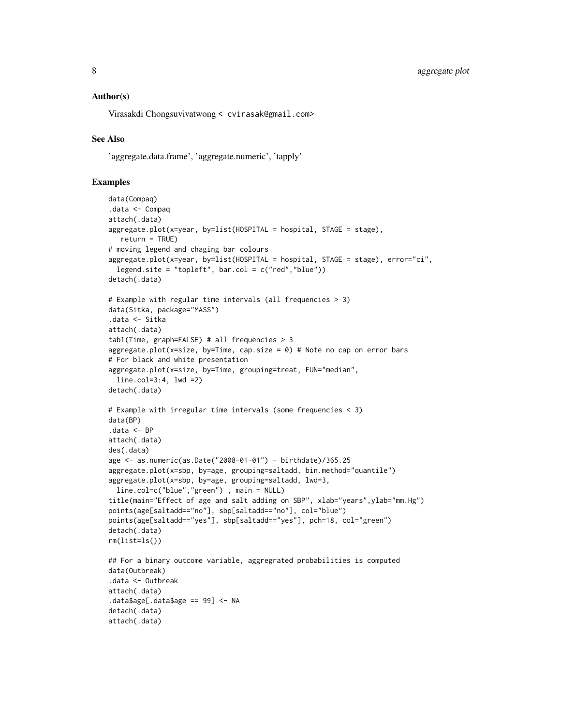# Author(s)

Virasakdi Chongsuvivatwong < cvirasak@gmail.com>

# See Also

'aggregate.data.frame', 'aggregate.numeric', 'tapply'

```
data(Compaq)
.data <- Compaq
attach(.data)
aggregate.plot(x=year, by=list(HOSPITAL = hospital, STAGE = stage),
  return = TRUE)
# moving legend and chaging bar colours
aggregate.plot(x=year, by=list(HOSPITAL = hospital, STAGE = stage), error="ci",
 legend.site = "topleft", bar.col = c("red","blue"))
detach(.data)
# Example with regular time intervals (all frequencies > 3)
data(Sitka, package="MASS")
.data <- Sitka
attach(.data)
tab1(Time, graph=FALSE) # all frequencies > 3
aggregate.plot(x=size, by=Time, cap.size = 0) # Note no cap on error bars
# For black and white presentation
aggregate.plot(x=size, by=Time, grouping=treat, FUN="median",
 line.col=3:4, lwd =2)
detach(.data)
# Example with irregular time intervals (some frequencies < 3)
data(BP)
.data <- BP
attach(.data)
des(.data)
age <- as.numeric(as.Date("2008-01-01") - birthdate)/365.25
aggregate.plot(x=sbp, by=age, grouping=saltadd, bin.method="quantile")
aggregate.plot(x=sbp, by=age, grouping=saltadd, lwd=3,
 line.col=c("blue","green") , main = NULL)
title(main="Effect of age and salt adding on SBP", xlab="years",ylab="mm.Hg")
points(age[saltadd=="no"], sbp[saltadd=="no"], col="blue")
points(age[saltadd=="yes"], sbp[saltadd=="yes"], pch=18, col="green")
detach(.data)
rm(list=ls())
## For a binary outcome variable, aggregrated probabilities is computed
data(Outbreak)
.data <- Outbreak
attach(.data)
.data$age[.data$age == 99] <- NA
detach(.data)
attach(.data)
```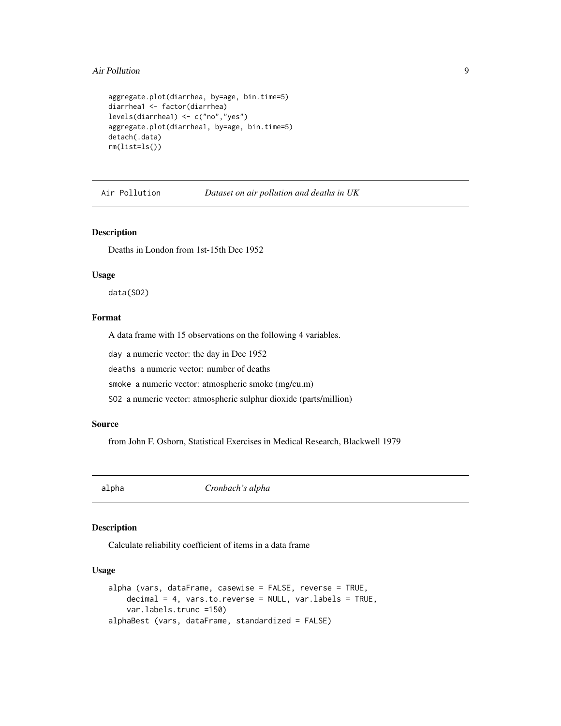#### <span id="page-8-0"></span>Air Pollution **9**

```
aggregate.plot(diarrhea, by=age, bin.time=5)
diarrhea1 <- factor(diarrhea)
levels(diarrhea1) <- c("no","yes")
aggregate.plot(diarrhea1, by=age, bin.time=5)
detach(.data)
rm(list=ls())
```
Air Pollution *Dataset on air pollution and deaths in UK*

# Description

Deaths in London from 1st-15th Dec 1952

#### Usage

data(SO2)

# Format

A data frame with 15 observations on the following 4 variables.

day a numeric vector: the day in Dec 1952

deaths a numeric vector: number of deaths

smoke a numeric vector: atmospheric smoke (mg/cu.m)

SO2 a numeric vector: atmospheric sulphur dioxide (parts/million)

# Source

from John F. Osborn, Statistical Exercises in Medical Research, Blackwell 1979

alpha *Cronbach's alpha*

# Description

Calculate reliability coefficient of items in a data frame

#### Usage

```
alpha (vars, dataFrame, casewise = FALSE, reverse = TRUE,
   decimal = 4, vars.to.reverse = NULL, var.labels = TRUE,
    var.labels.trunc =150)
alphaBest (vars, dataFrame, standardized = FALSE)
```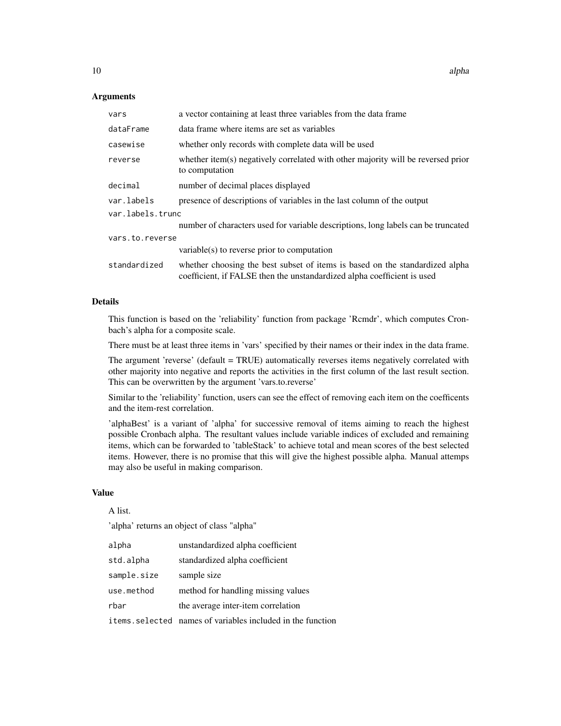#### Arguments

| vars             | a vector containing at least three variables from the data frame                                                                                        |  |
|------------------|---------------------------------------------------------------------------------------------------------------------------------------------------------|--|
| dataFrame        | data frame where items are set as variables                                                                                                             |  |
| casewise         | whether only records with complete data will be used                                                                                                    |  |
| reverse          | whether item(s) negatively correlated with other majority will be reversed prior<br>to computation                                                      |  |
| decimal          | number of decimal places displayed                                                                                                                      |  |
| var.labels       | presence of descriptions of variables in the last column of the output                                                                                  |  |
| var.labels.trunc |                                                                                                                                                         |  |
|                  | number of characters used for variable descriptions, long labels can be truncated                                                                       |  |
| vars.to.reverse  |                                                                                                                                                         |  |
|                  | variable(s) to reverse prior to computation                                                                                                             |  |
| standardized     | whether choosing the best subset of items is based on the standardized alpha<br>coefficient, if FALSE then the unstandardized alpha coefficient is used |  |

# Details

This function is based on the 'reliability' function from package 'Rcmdr', which computes Cronbach's alpha for a composite scale.

There must be at least three items in 'vars' specified by their names or their index in the data frame.

The argument 'reverse' (default = TRUE) automatically reverses items negatively correlated with other majority into negative and reports the activities in the first column of the last result section. This can be overwritten by the argument 'vars.to.reverse'

Similar to the 'reliability' function, users can see the effect of removing each item on the coefficents and the item-rest correlation.

'alphaBest' is a variant of 'alpha' for successive removal of items aiming to reach the highest possible Cronbach alpha. The resultant values include variable indices of excluded and remaining items, which can be forwarded to 'tableStack' to achieve total and mean scores of the best selected items. However, there is no promise that this will give the highest possible alpha. Manual attemps may also be useful in making comparison.

#### Value

A list.

'alpha' returns an object of class "alpha"

| alpha       | unstandardized alpha coefficient                            |
|-------------|-------------------------------------------------------------|
| std.alpha   | standardized alpha coefficient                              |
| sample.size | sample size                                                 |
| use.method  | method for handling missing values                          |
| rbar        | the average inter-item correlation                          |
|             | items. selected names of variables included in the function |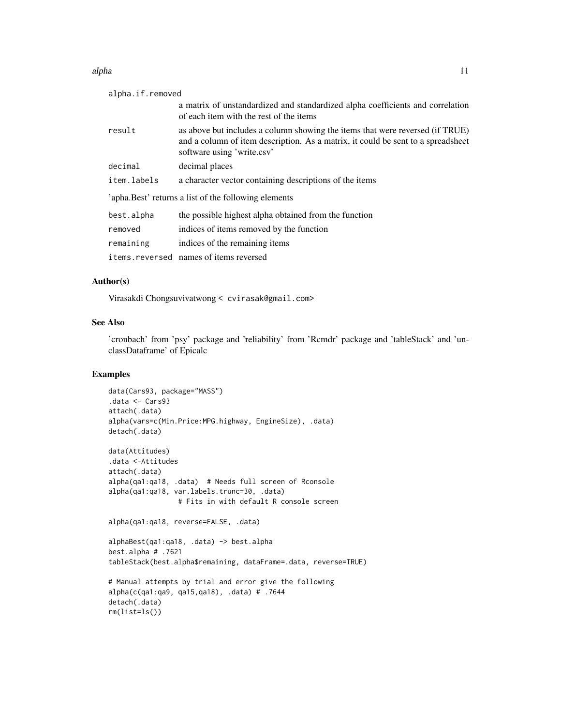#### alpha tanàna amin'ny faritr'i Normandie, ao amin'ny faritr'i Normandie, ao amin'ny faritr'i Normandie, ao amin'ny faritr'i Normandie, ao amin'ny faritr'i Normandie, ao amin'ny faritr'i Normandie, ao amin'ny faritr'i Norman

| alpha.if.removed |                                                                                                                                                                                                  |
|------------------|--------------------------------------------------------------------------------------------------------------------------------------------------------------------------------------------------|
|                  | a matrix of unstandardized and standardized alpha coefficients and correlation<br>of each item with the rest of the items                                                                        |
| result           | as above but includes a column showing the items that were reversed (if TRUE)<br>and a column of item description. As a matrix, it could be sent to a spread sheet<br>software using 'write.csv' |
| decimal          | decimal places                                                                                                                                                                                   |
| item.labels      | a character vector containing descriptions of the items                                                                                                                                          |
|                  | 'apha. Best' returns a list of the following elements                                                                                                                                            |
| best.alpha       | the possible highest alpha obtained from the function                                                                                                                                            |
| removed          | indices of items removed by the function                                                                                                                                                         |
| remaining        | indices of the remaining items                                                                                                                                                                   |
|                  | items.reversed names of items reversed                                                                                                                                                           |

# Author(s)

Virasakdi Chongsuvivatwong < cvirasak@gmail.com>

# See Also

'cronbach' from 'psy' package and 'reliability' from 'Rcmdr' package and 'tableStack' and 'unclassDataframe' of Epicalc

```
data(Cars93, package="MASS")
.data <- Cars93
attach(.data)
alpha(vars=c(Min.Price:MPG.highway, EngineSize), .data)
detach(.data)
data(Attitudes)
.data <-Attitudes
attach(.data)
alpha(qa1:qa18, .data) # Needs full screen of Rconsole
alpha(qa1:qa18, var.labels.trunc=30, .data)
                 # Fits in with default R console screen
alpha(qa1:qa18, reverse=FALSE, .data)
alphaBest(qa1:qa18, .data) -> best.alpha
best.alpha # .7621
tableStack(best.alpha$remaining, dataFrame=.data, reverse=TRUE)
# Manual attempts by trial and error give the following
alpha(c(qa1:qa9, qa15,qa18), .data) # .7644
detach(.data)
rm(list=ls())
```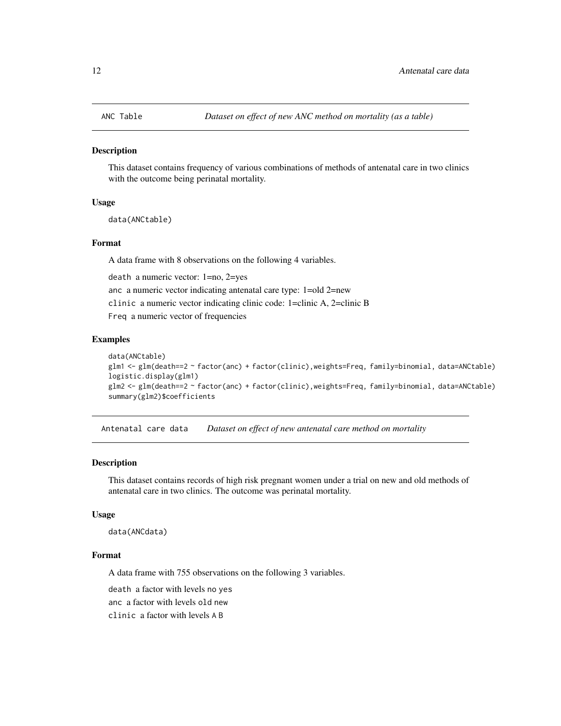<span id="page-11-0"></span>

This dataset contains frequency of various combinations of methods of antenatal care in two clinics with the outcome being perinatal mortality.

# Usage

```
data(ANCtable)
```
# Format

A data frame with 8 observations on the following 4 variables.

death a numeric vector: 1=no, 2=yes

anc a numeric vector indicating antenatal care type: 1=old 2=new

clinic a numeric vector indicating clinic code: 1=clinic A, 2=clinic B

Freq a numeric vector of frequencies

#### Examples

```
data(ANCtable)
glm1 <- glm(death==2 ~ factor(anc) + factor(clinic),weights=Freq, family=binomial, data=ANCtable)
logistic.display(glm1)
glm2 <- glm(death==2 ~ factor(anc) + factor(clinic),weights=Freq, family=binomial, data=ANCtable)
summary(glm2)$coefficients
```
Antenatal care data *Dataset on effect of new antenatal care method on mortality*

# Description

This dataset contains records of high risk pregnant women under a trial on new and old methods of antenatal care in two clinics. The outcome was perinatal mortality.

#### Usage

data(ANCdata)

#### Format

A data frame with 755 observations on the following 3 variables.

death a factor with levels no yes

anc a factor with levels old new

clinic a factor with levels A B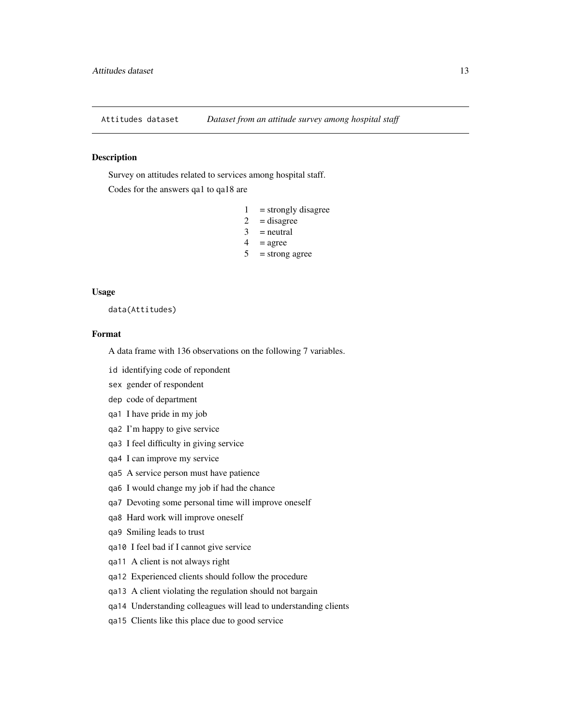<span id="page-12-0"></span>

Survey on attitudes related to services among hospital staff.

Codes for the answers qa1 to qa18 are

- $1 =$  strongly disagree
- $2 =$  disagree
- $3$  = neutral
- $4 = \text{agree}$
- $5 =$ strong agree

#### Usage

data(Attitudes)

# Format

A data frame with 136 observations on the following 7 variables.

id identifying code of repondent

- sex gender of respondent
- dep code of department
- qa1 I have pride in my job
- qa2 I'm happy to give service
- qa3 I feel difficulty in giving service
- qa4 I can improve my service
- qa5 A service person must have patience
- qa6 I would change my job if had the chance
- qa7 Devoting some personal time will improve oneself
- qa8 Hard work will improve oneself
- qa9 Smiling leads to trust
- qa10 I feel bad if I cannot give service
- qa11 A client is not always right
- qa12 Experienced clients should follow the procedure
- qa13 A client violating the regulation should not bargain
- qa14 Understanding colleagues will lead to understanding clients
- qa15 Clients like this place due to good service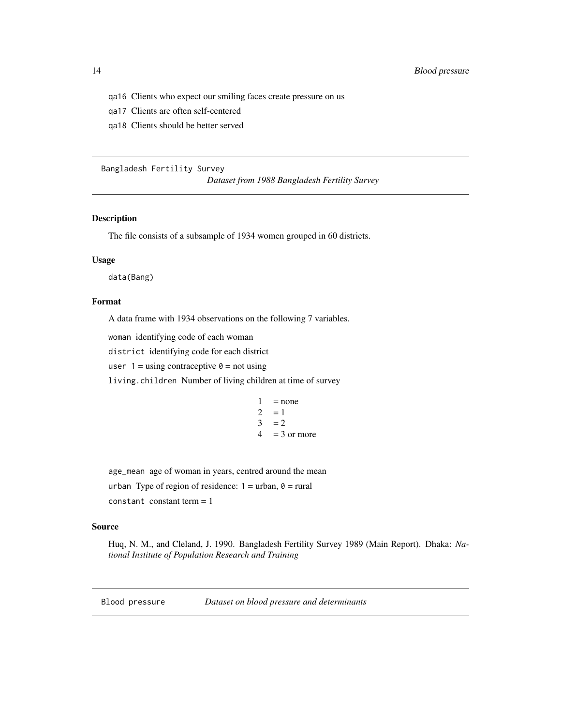- <span id="page-13-0"></span>qa16 Clients who expect our smiling faces create pressure on us
- qa17 Clients are often self-centered
- qa18 Clients should be better served

#### Bangladesh Fertility Survey

*Dataset from 1988 Bangladesh Fertility Survey*

# Description

The file consists of a subsample of 1934 women grouped in 60 districts.

# Usage

data(Bang)

# Format

A data frame with 1934 observations on the following 7 variables.

woman identifying code of each woman

district identifying code for each district

user  $1 =$  using contraceptive  $0 =$  not using

living.children Number of living children at time of survey

 $1 = none$  $2 = 1$  $3 = 2$  $4 = 3$  or more

age\_mean age of woman in years, centred around the mean urban Type of region of residence:  $1 =$  urban,  $0 =$  rural  $constant$  constant term  $= 1$ 

# Source

Huq, N. M., and Cleland, J. 1990. Bangladesh Fertility Survey 1989 (Main Report). Dhaka: *National Institute of Population Research and Training*

Blood pressure *Dataset on blood pressure and determinants*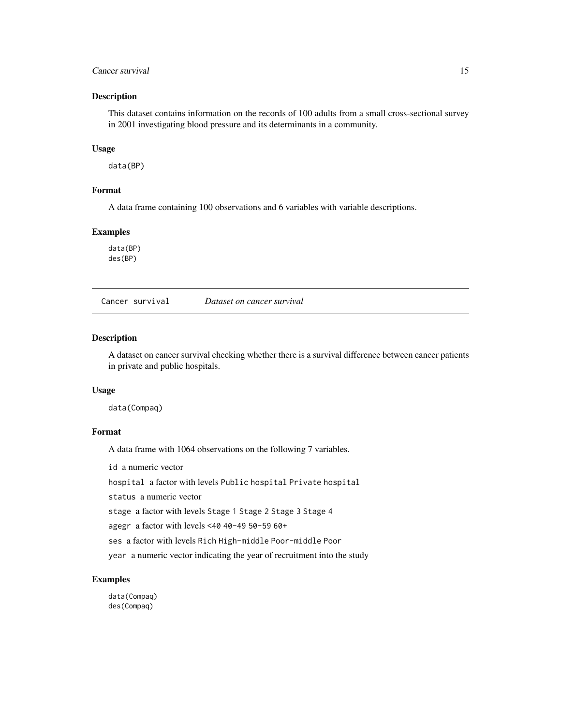# <span id="page-14-0"></span>Cancer survival the contract of the contract of the contract of the contract of the contract of the contract of the contract of the contract of the contract of the contract of the contract of the contract of the contract o

# Description

This dataset contains information on the records of 100 adults from a small cross-sectional survey in 2001 investigating blood pressure and its determinants in a community.

#### Usage

data(BP)

# Format

A data frame containing 100 observations and 6 variables with variable descriptions.

# Examples

data(BP) des(BP)

Cancer survival *Dataset on cancer survival*

# Description

A dataset on cancer survival checking whether there is a survival difference between cancer patients in private and public hospitals.

#### Usage

data(Compaq)

# Format

A data frame with 1064 observations on the following 7 variables.

id a numeric vector

hospital a factor with levels Public hospital Private hospital

status a numeric vector

stage a factor with levels Stage 1 Stage 2 Stage 3 Stage 4

agegr a factor with levels <40 40-49 50-59 60+

ses a factor with levels Rich High-middle Poor-middle Poor

year a numeric vector indicating the year of recruitment into the study

# Examples

data(Compaq) des(Compaq)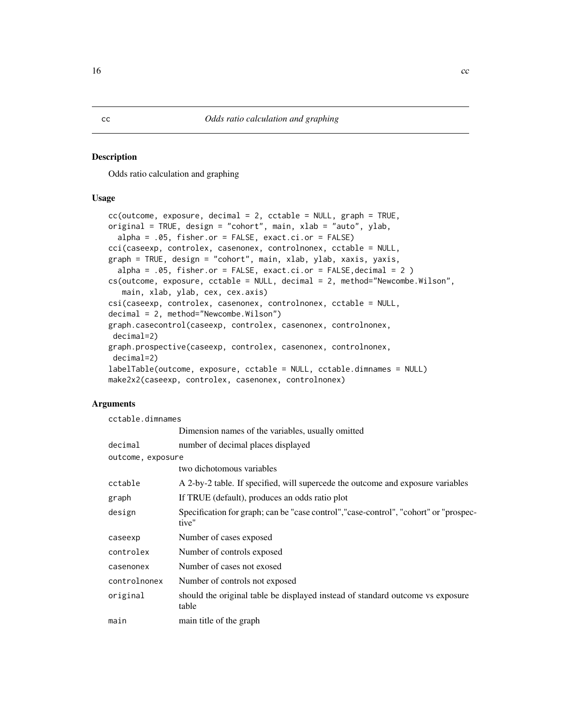<span id="page-15-0"></span>Odds ratio calculation and graphing

# Usage

```
cc(\text{outcome}, \text{exposure}, \text{decimal} = 2, \text{cctable} = \text{NULL}, \text{graph} = \text{TRUE},original = TRUE, design = "cohort", main, xlab = "auto", ylab,
  alpha = .05, fisher.or = FALSE, exact.ci.or = FALSE)
cci(caseexp, controlex, casenonex, controlnonex, cctable = NULL,
graph = TRUE, design = "cohort", main, xlab, ylab, xaxis, yaxis,
  alpha = .05, fisher.or = FALSE, exact.ci.or = FALSE, decimal = 2 )
cs(outcome, exposure, cctable = NULL, decimal = 2, method="Newcombe.Wilson",
   main, xlab, ylab, cex, cex.axis)
csi(caseexp, controlex, casenonex, controlnonex, cctable = NULL,
decimal = 2, method="Newcombe.Wilson")
graph.casecontrol(caseexp, controlex, casenonex, controlnonex,
 decimal=2)
graph.prospective(caseexp, controlex, casenonex, controlnonex,
 decimal=2)
labelTable(outcome, exposure, cctable = NULL, cctable.dimnames = NULL)
make2x2(caseexp, controlex, casenonex, controlnonex)
```
# Arguments

| cctable.dimnames  |                                                                                                |  |
|-------------------|------------------------------------------------------------------------------------------------|--|
|                   | Dimension names of the variables, usually omitted                                              |  |
| decimal           | number of decimal places displayed                                                             |  |
| outcome, exposure |                                                                                                |  |
|                   | two dichotomous variables                                                                      |  |
| cctable           | A 2-by-2 table. If specified, will supercede the outcome and exposure variables                |  |
| graph             | If TRUE (default), produces an odds ratio plot                                                 |  |
| design            | Specification for graph; can be "case control", "case-control", "cohort" or "prospec-<br>tive" |  |
| caseexp           | Number of cases exposed                                                                        |  |
| controlex         | Number of controls exposed                                                                     |  |
| casenonex         | Number of cases not exosed                                                                     |  |
| controlnonex      | Number of controls not exposed                                                                 |  |
| original          | should the original table be displayed instead of standard outcome vs exposure<br>table        |  |
| main              | main title of the graph                                                                        |  |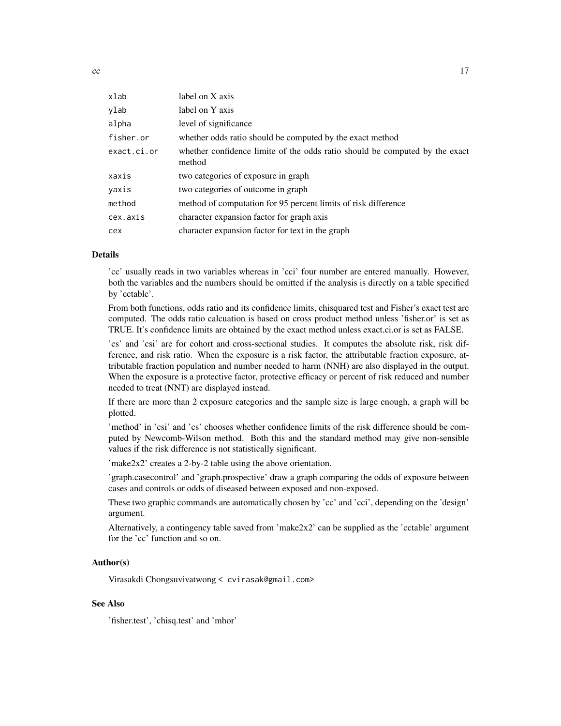| xlab        | label on X axis                                                                       |
|-------------|---------------------------------------------------------------------------------------|
| ylab        | label on Y axis                                                                       |
| alpha       | level of significance                                                                 |
| fisher.or   | whether odds ratio should be computed by the exact method                             |
| exact.ci.or | whether confidence limite of the odds ratio should be computed by the exact<br>method |
| xaxis       | two categories of exposure in graph                                                   |
| yaxis       | two categories of outcome in graph                                                    |
| method      | method of computation for 95 percent limits of risk difference                        |
| cex.axis    | character expansion factor for graph axis                                             |
| cex         | character expansion factor for text in the graph                                      |

#### Details

'cc' usually reads in two variables whereas in 'cci' four number are entered manually. However, both the variables and the numbers should be omitted if the analysis is directly on a table specified by 'cctable'.

From both functions, odds ratio and its confidence limits, chisquared test and Fisher's exact test are computed. The odds ratio calcuation is based on cross product method unless 'fisher.or' is set as TRUE. It's confidence limits are obtained by the exact method unless exact.ci.or is set as FALSE.

'cs' and 'csi' are for cohort and cross-sectional studies. It computes the absolute risk, risk difference, and risk ratio. When the exposure is a risk factor, the attributable fraction exposure, attributable fraction population and number needed to harm (NNH) are also displayed in the output. When the exposure is a protective factor, protective efficacy or percent of risk reduced and number needed to treat (NNT) are displayed instead.

If there are more than 2 exposure categories and the sample size is large enough, a graph will be plotted.

'method' in 'csi' and 'cs' chooses whether confidence limits of the risk difference should be computed by Newcomb-Wilson method. Both this and the standard method may give non-sensible values if the risk difference is not statistically significant.

'make2x2' creates a 2-by-2 table using the above orientation.

'graph.casecontrol' and 'graph.prospective' draw a graph comparing the odds of exposure between cases and controls or odds of diseased between exposed and non-exposed.

These two graphic commands are automatically chosen by 'cc' and 'cci', depending on the 'design' argument.

Alternatively, a contingency table saved from 'make2x2' can be supplied as the 'cctable' argument for the 'cc' function and so on.

# Author(s)

Virasakdi Chongsuvivatwong < cvirasak@gmail.com>

# See Also

'fisher.test', 'chisq.test' and 'mhor'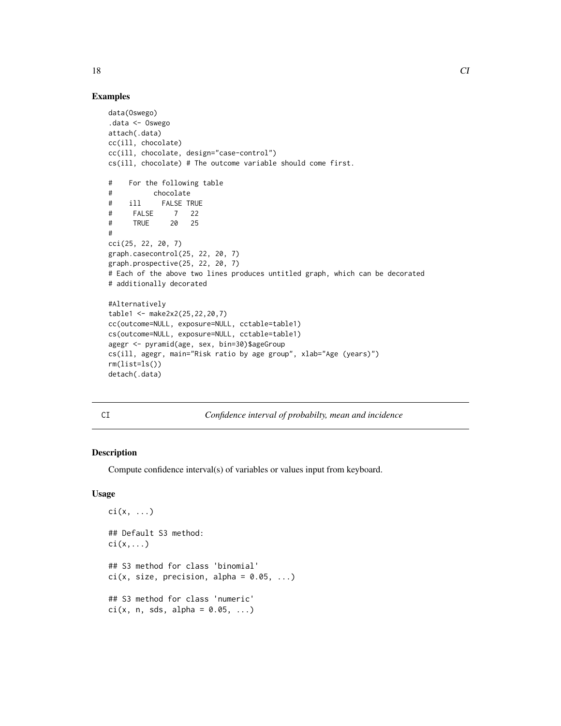```
data(Oswego)
.data <- Oswego
attach(.data)
cc(ill, chocolate)
cc(ill, chocolate, design="case-control")
cs(ill, chocolate) # The outcome variable should come first.
# For the following table
# chocolate
# ill FALSE TRUE
# FALSE 7 22
# TRUE 20 25
#
cci(25, 22, 20, 7)
graph.casecontrol(25, 22, 20, 7)
graph.prospective(25, 22, 20, 7)
# Each of the above two lines produces untitled graph, which can be decorated
# additionally decorated
#Alternatively
table1 <- make2x2(25,22,20,7)
cc(outcome=NULL, exposure=NULL, cctable=table1)
cs(outcome=NULL, exposure=NULL, cctable=table1)
agegr <- pyramid(age, sex, bin=30)$ageGroup
cs(ill, agegr, main="Risk ratio by age group", xlab="Age (years)")
rm(list=ls())
detach(.data)
```

| ٧<br>×<br>۰  |  |
|--------------|--|
| ۰.<br>$\sim$ |  |

Confidence interval of probabilty, mean and incidence

# Description

Compute confidence interval(s) of variables or values input from keyboard.

# Usage

```
\text{ci}(x, \ldots)## Default S3 method:
\text{ci}(x,\ldots)## S3 method for class 'binomial'
ci(x, size, precision, alpha = 0.05, ...)## S3 method for class 'numeric'
ci(x, n, sds, alpha = 0.05, ...)
```
<span id="page-17-0"></span>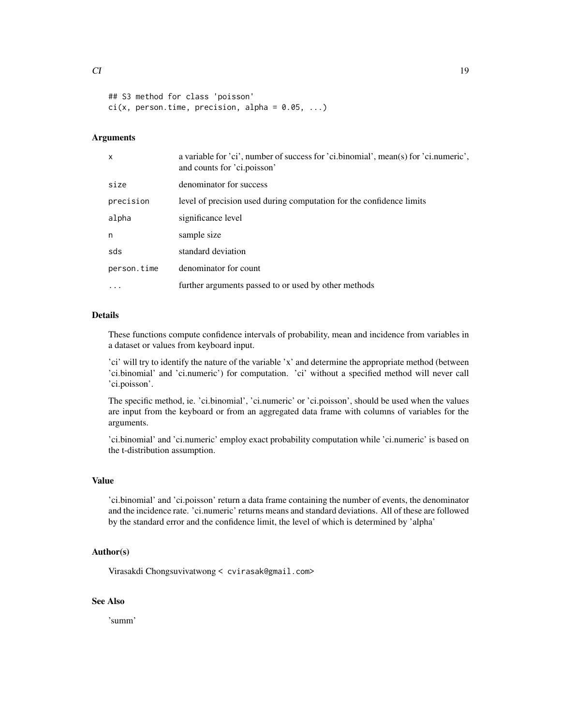```
## S3 method for class 'poisson'
ci(x, person.time, precision, alpha = 0.05, ...)
```
#### **Arguments**

| $\mathsf{x}$ | a variable for 'ci', number of success for 'ci.binomial', mean(s) for 'ci.numeric',<br>and counts for 'ci.poisson' |
|--------------|--------------------------------------------------------------------------------------------------------------------|
| size         | denominator for success                                                                                            |
| precision    | level of precision used during computation for the confidence limits                                               |
| alpha        | significance level                                                                                                 |
| n            | sample size                                                                                                        |
| sds          | standard deviation                                                                                                 |
| person.time  | denominator for count                                                                                              |
|              | further arguments passed to or used by other methods                                                               |

# Details

These functions compute confidence intervals of probability, mean and incidence from variables in a dataset or values from keyboard input.

'ci' will try to identify the nature of the variable 'x' and determine the appropriate method (between 'ci.binomial' and 'ci.numeric') for computation. 'ci' without a specified method will never call 'ci.poisson'.

The specific method, ie. 'ci.binomial', 'ci.numeric' or 'ci.poisson', should be used when the values are input from the keyboard or from an aggregated data frame with columns of variables for the arguments.

'ci.binomial' and 'ci.numeric' employ exact probability computation while 'ci.numeric' is based on the t-distribution assumption.

#### Value

'ci.binomial' and 'ci.poisson' return a data frame containing the number of events, the denominator and the incidence rate. 'ci.numeric' returns means and standard deviations. All of these are followed by the standard error and the confidence limit, the level of which is determined by 'alpha'

# Author(s)

Virasakdi Chongsuvivatwong < cvirasak@gmail.com>

# See Also

'summ'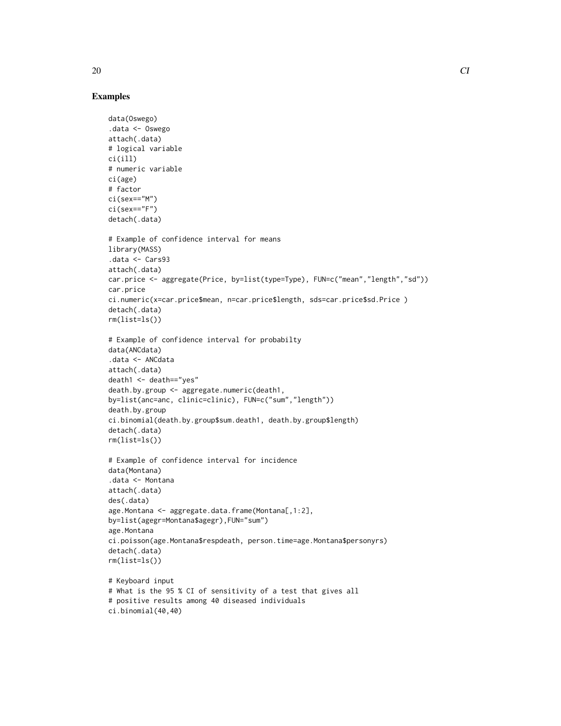```
data(Oswego)
.data <- Oswego
attach(.data)
# logical variable
ci(ill)
# numeric variable
ci(age)
# factor
ci(sex=="M")
ci(sex=="F")
detach(.data)
# Example of confidence interval for means
library(MASS)
.data <- Cars93
attach(.data)
car.price <- aggregate(Price, by=list(type=Type), FUN=c("mean","length","sd"))
car.price
ci.numeric(x=car.price$mean, n=car.price$length, sds=car.price$sd.Price )
detach(.data)
rm(list=ls())
# Example of confidence interval for probabilty
data(ANCdata)
.data <- ANCdata
attach(.data)
death1 <- death=="yes"
death.by.group <- aggregate.numeric(death1,
by=list(anc=anc, clinic=clinic), FUN=c("sum","length"))
death.by.group
ci.binomial(death.by.group$sum.death1, death.by.group$length)
detach(.data)
rm(list=ls())
# Example of confidence interval for incidence
data(Montana)
.data <- Montana
attach(.data)
des(.data)
age.Montana <- aggregate.data.frame(Montana[,1:2],
by=list(agegr=Montana$agegr),FUN="sum")
age.Montana
ci.poisson(age.Montana$respdeath, person.time=age.Montana$personyrs)
detach(.data)
rm(list=ls())
# Keyboard input
# What is the 95 % CI of sensitivity of a test that gives all
# positive results among 40 diseased individuals
ci.binomial(40,40)
```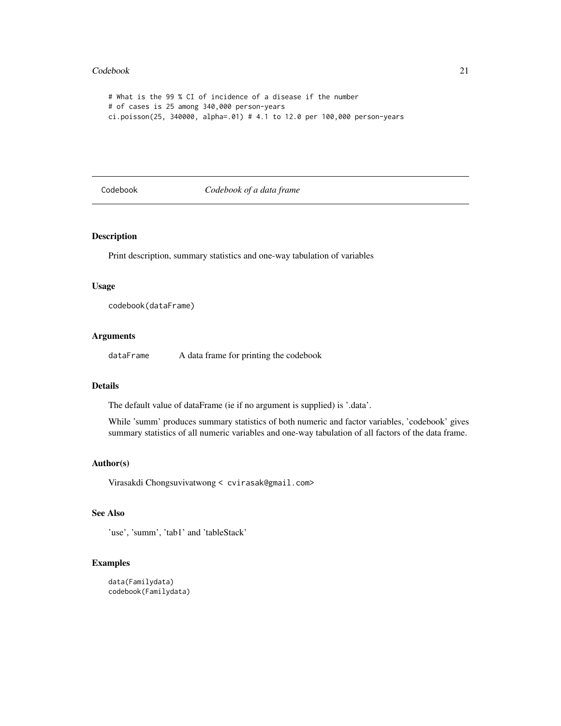#### <span id="page-20-0"></span>Codebook 21

```
# What is the 99 % CI of incidence of a disease if the number
# of cases is 25 among 340,000 person-years
ci.poisson(25, 340000, alpha=.01) # 4.1 to 12.0 per 100,000 person-years
```
Codebook *Codebook of a data frame*

# Description

Print description, summary statistics and one-way tabulation of variables

# Usage

codebook(dataFrame)

# Arguments

dataFrame A data frame for printing the codebook

# Details

The default value of dataFrame (ie if no argument is supplied) is '.data'.

While 'summ' produces summary statistics of both numeric and factor variables, 'codebook' gives summary statistics of all numeric variables and one-way tabulation of all factors of the data frame.

# Author(s)

Virasakdi Chongsuvivatwong < cvirasak@gmail.com>

# See Also

'use', 'summ', 'tab1' and 'tableStack'

```
data(Familydata)
codebook(Familydata)
```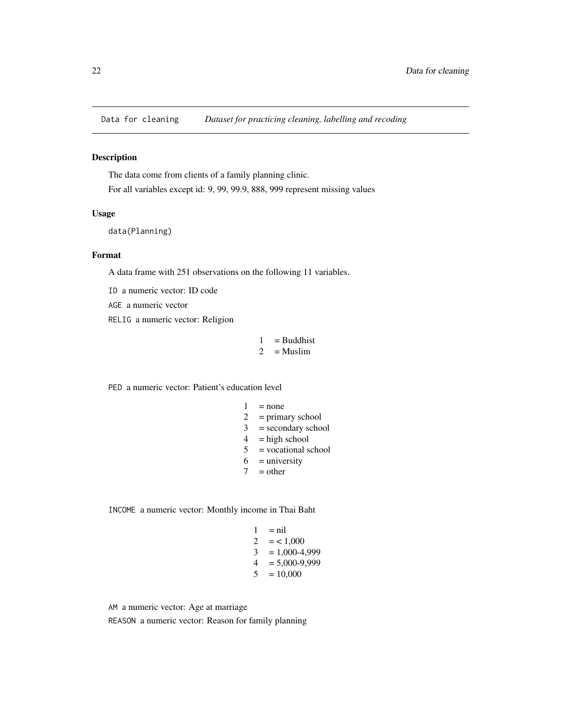<span id="page-21-0"></span>

The data come from clients of a family planning clinic. For all variables except id: 9, 99, 99.9, 888, 999 represent missing values

# Usage

```
data(Planning)
```
# Format

A data frame with 251 observations on the following 11 variables.

ID a numeric vector: ID code

AGE a numeric vector

RELIG a numeric vector: Religion

$$
1 = \text{Buddhist} 2 = \text{Muslim}
$$

PED a numeric vector: Patient's education level

| 1                           | $=$ none             |
|-----------------------------|----------------------|
| $\mathcal{D}_{\mathcal{L}}$ | $=$ primary school   |
| 3                           | $=$ secondary school |
| 4                           | $=$ high school      |
| 5                           | = vocational school  |
| 6                           | $=$ university       |

 $7 = other$ 

INCOME a numeric vector: Monthly income in Thai Baht

$$
1 = \text{nil}
$$
  
\n
$$
2 = 1,000
$$
  
\n
$$
3 = 1,000-4,999
$$
  
\n
$$
4 = 5,000-9,999
$$
  
\n
$$
5 = 10,000
$$

AM a numeric vector: Age at marriage REASON a numeric vector: Reason for family planning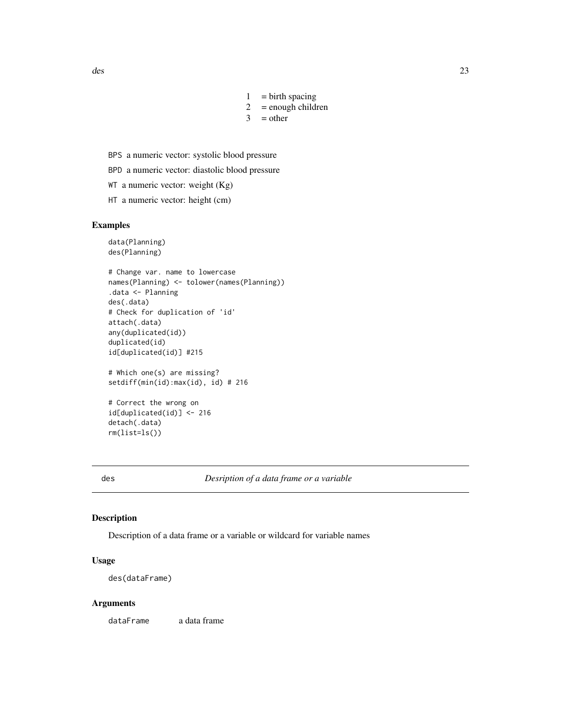- $1 = \text{birth spacing}$
- $2 =$  enough children
- $3 = \text{other}$
- <span id="page-22-0"></span>BPS a numeric vector: systolic blood pressure
- BPD a numeric vector: diastolic blood pressure
- WT a numeric vector: weight (Kg)
- HT a numeric vector: height (cm)

#### Examples

```
data(Planning)
des(Planning)
# Change var. name to lowercase
names(Planning) <- tolower(names(Planning))
.data <- Planning
des(.data)
# Check for duplication of 'id'
attach(.data)
```

```
any(duplicated(id))
duplicated(id)
id[duplicated(id)] #215
```

```
# Which one(s) are missing?
setdiff(min(id):max(id), id) # 216
```

```
# Correct the wrong on
id[duplicated(id)] <- 216
detach(.data)
rm(list=ls())
```
des *Desription of a data frame or a variable*

#### Description

Description of a data frame or a variable or wildcard for variable names

#### Usage

des(dataFrame)

#### Arguments

dataFrame a data frame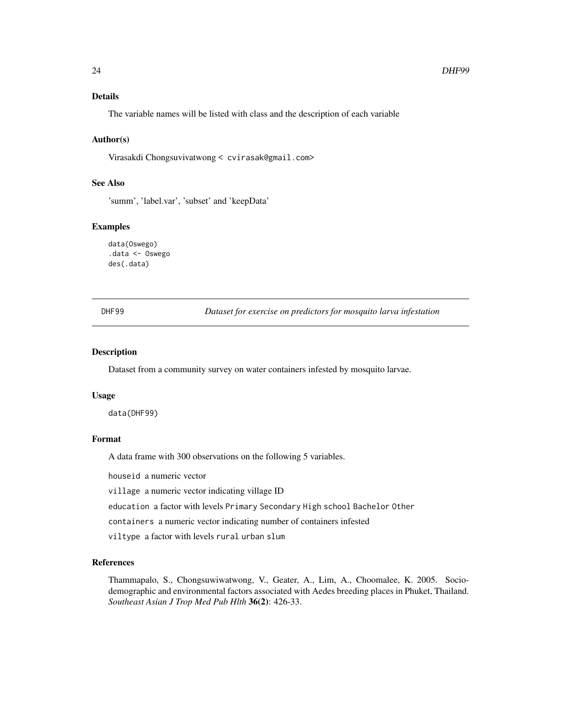# <span id="page-23-0"></span>Details

The variable names will be listed with class and the description of each variable

#### Author(s)

Virasakdi Chongsuvivatwong < cvirasak@gmail.com>

# See Also

'summ', 'label.var', 'subset' and 'keepData'

#### Examples

data(Oswego) .data <- Oswego des(.data)

DHF99 *Dataset for exercise on predictors for mosquito larva infestation*

# Description

Dataset from a community survey on water containers infested by mosquito larvae.

#### Usage

data(DHF99)

# Format

A data frame with 300 observations on the following 5 variables.

houseid a numeric vector

village a numeric vector indicating village ID

education a factor with levels Primary Secondary High school Bachelor Other

containers a numeric vector indicating number of containers infested

viltype a factor with levels rural urban slum

# References

Thammapalo, S., Chongsuwiwatwong, V., Geater, A., Lim, A., Choomalee, K. 2005. Sociodemographic and environmental factors associated with Aedes breeding places in Phuket, Thailand. *Southeast Asian J Trop Med Pub Hlth* 36(2): 426-33.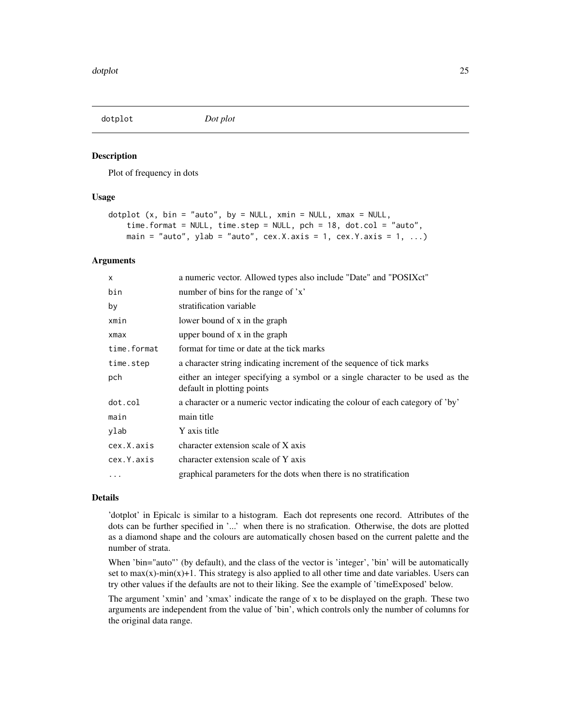<span id="page-24-0"></span>

Plot of frequency in dots

#### Usage

```
dotplot (x, bin = "auto", by = NULL, xmin = NULL, xmax = NULL,time.format = NULL, time.step = NULL, pch = 18, dot.col = "auto",
   main = "auto", ylab = "auto", cex.X.axis = 1, cex.Y.axis = 1, ...)
```
#### Arguments

| $\mathsf{x}$ | a numeric vector. Allowed types also include "Date" and "POSIXct"                                           |
|--------------|-------------------------------------------------------------------------------------------------------------|
| bin          | number of bins for the range of 'x'                                                                         |
| by           | stratification variable                                                                                     |
| xmin         | lower bound of x in the graph                                                                               |
| xmax         | upper bound of x in the graph                                                                               |
| time.format  | format for time or date at the tick marks                                                                   |
| time.step    | a character string indicating increment of the sequence of tick marks                                       |
| pch          | either an integer specifying a symbol or a single character to be used as the<br>default in plotting points |
| dot.col      | a character or a numeric vector indicating the colour of each category of 'by'                              |
| main         | main title                                                                                                  |
| ylab         | Y axis title                                                                                                |
| cex.X.axis   | character extension scale of X axis                                                                         |
| cex.Y.axis   | character extension scale of Y axis                                                                         |
| $\cdots$     | graphical parameters for the dots when there is no stratification                                           |

#### Details

'dotplot' in Epicalc is similar to a histogram. Each dot represents one record. Attributes of the dots can be further specified in '...' when there is no strafication. Otherwise, the dots are plotted as a diamond shape and the colours are automatically chosen based on the current palette and the number of strata.

When 'bin="auto"' (by default), and the class of the vector is 'integer', 'bin' will be automatically set to  $max(x)$ -min $(x)+1$ . This strategy is also applied to all other time and date variables. Users can try other values if the defaults are not to their liking. See the example of 'timeExposed' below.

The argument 'xmin' and 'xmax' indicate the range of x to be displayed on the graph. These two arguments are independent from the value of 'bin', which controls only the number of columns for the original data range.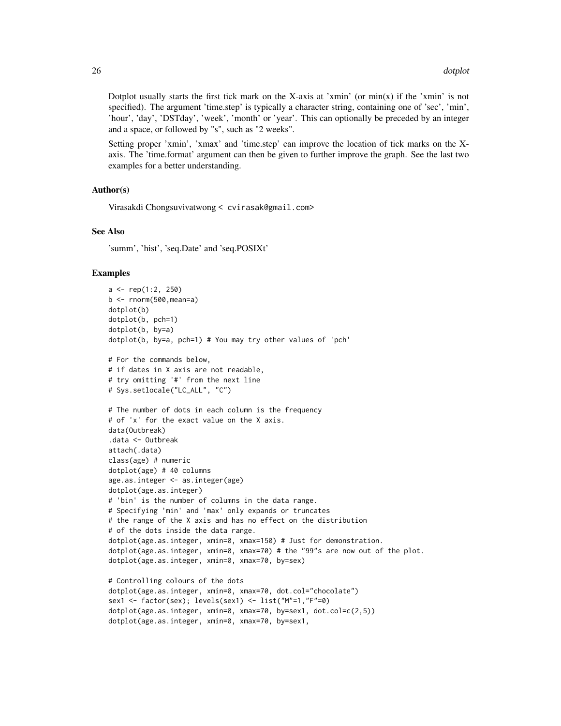Dotplot usually starts the first tick mark on the X-axis at 'xmin' (or  $min(x)$  if the 'xmin' is not specified). The argument 'time.step' is typically a character string, containing one of 'sec', 'min', 'hour', 'day', 'DSTday', 'week', 'month' or 'year'. This can optionally be preceded by an integer and a space, or followed by "s", such as "2 weeks".

Setting proper 'xmin', 'xmax' and 'time.step' can improve the location of tick marks on the Xaxis. The 'time.format' argument can then be given to further improve the graph. See the last two examples for a better understanding.

# Author(s)

Virasakdi Chongsuvivatwong < cvirasak@gmail.com>

dotplot(age.as.integer, xmin=0, xmax=70, by=sex1,

#### See Also

'summ', 'hist', 'seq.Date' and 'seq.POSIXt'

```
a \leq rep(1:2, 250)b \le- rnorm(500, mean=a)
dotplot(b)
dotplot(b, pch=1)
dotplot(b, by=a)
dotplot(b, by=a, pch=1) # You may try other values of 'pch'
# For the commands below,
# if dates in X axis are not readable,
# try omitting '#' from the next line
# Sys.setlocale("LC_ALL", "C")
# The number of dots in each column is the frequency
# of 'x' for the exact value on the X axis.
data(Outbreak)
.data <- Outbreak
attach(.data)
class(age) # numeric
dotplot(age) # 40 columns
age.as.integer <- as.integer(age)
dotplot(age.as.integer)
# 'bin' is the number of columns in the data range.
# Specifying 'min' and 'max' only expands or truncates
# the range of the X axis and has no effect on the distribution
# of the dots inside the data range.
dotplot(age.as.integer, xmin=0, xmax=150) # Just for demonstration.
dotplot(age.as.integer, xmin=0, xmax=70) # the "99"s are now out of the plot.
dotplot(age.as.integer, xmin=0, xmax=70, by=sex)
# Controlling colours of the dots
dotplot(age.as.integer, xmin=0, xmax=70, dot.col="chocolate")
sex1 <- factor(sex); levels(sex1) <- list("M"=1,"F"=0)
dotplot(age.as.integer, xmin=0, xmax=70, by=sex1, dot.col=c(2,5))
```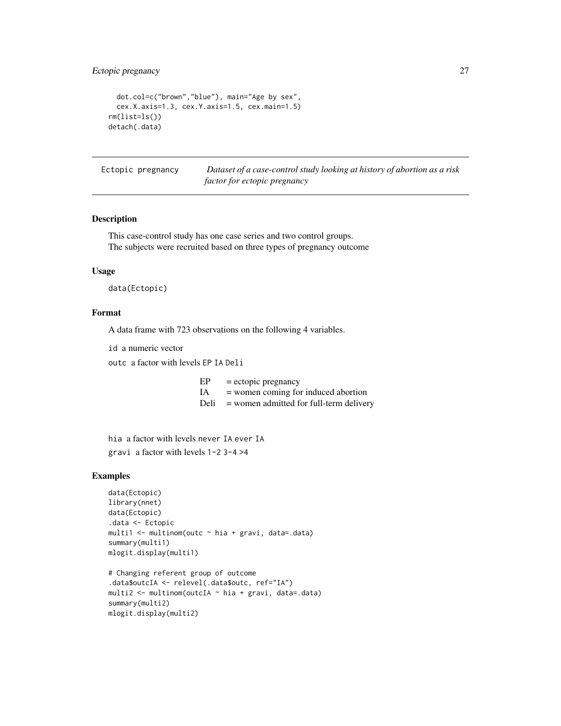# <span id="page-26-0"></span>Ectopic pregnancy 27

```
dot.col=c("brown","blue"), main="Age by sex",
 cex.X.axis=1.3, cex.Y.axis=1.5, cex.main=1.5)
rm(list=ls())
detach(.data)
```
Ectopic pregnancy *Dataset of a case-control study looking at history of abortion as a risk factor for ectopic pregnancy*

# Description

This case-control study has one case series and two control groups. The subjects were recruited based on three types of pregnancy outcome

# Usage

data(Ectopic)

# Format

A data frame with 723 observations on the following 4 variables.

id a numeric vector

outc a factor with levels EP IA Deli

- $EP = ectopic$  pregnancy
- IA = women coming for induced abortion
- Deli = women admitted for full-term delivery

hia a factor with levels never IA ever IA gravi a factor with levels 1-2 3-4 >4

```
data(Ectopic)
library(nnet)
data(Ectopic)
.data <- Ectopic
multi1 <- multinom(outc ~ hia + gravi, data=.data)
summary(multi1)
mlogit.display(multi1)
```

```
# Changing referent group of outcome
.data$outcIA <- relevel(.data$outc, ref="IA")
multi2 <- multinom(outcIA ~ hia + gravi, data=.data)
summary(multi2)
mlogit.display(multi2)
```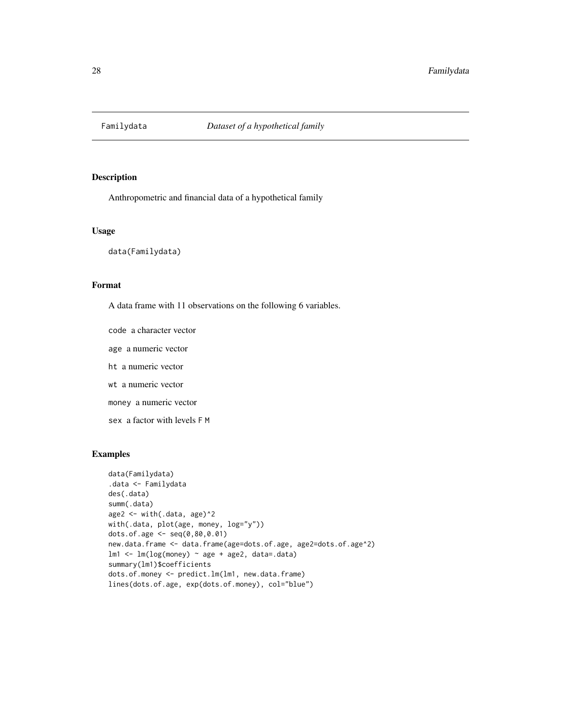<span id="page-27-0"></span>

Anthropometric and financial data of a hypothetical family

# Usage

data(Familydata)

#### Format

A data frame with 11 observations on the following 6 variables.

code a character vector age a numeric vector ht a numeric vector wt a numeric vector money a numeric vector sex a factor with levels F M

```
data(Familydata)
.data <- Familydata
des(.data)
summ(.data)
age2 <- with(.data, age)^2
with(.data, plot(age, money, log="y"))
dots.of.age <- seq(0,80,0.01)
new.data.frame <- data.frame(age=dots.of.age, age2=dots.of.age^2)
lm1 <- lm(log(money) ~ age + age2, data=.data)
summary(lm1)$coefficients
dots.of.money <- predict.lm(lm1, new.data.frame)
lines(dots.of.age, exp(dots.of.money), col="blue")
```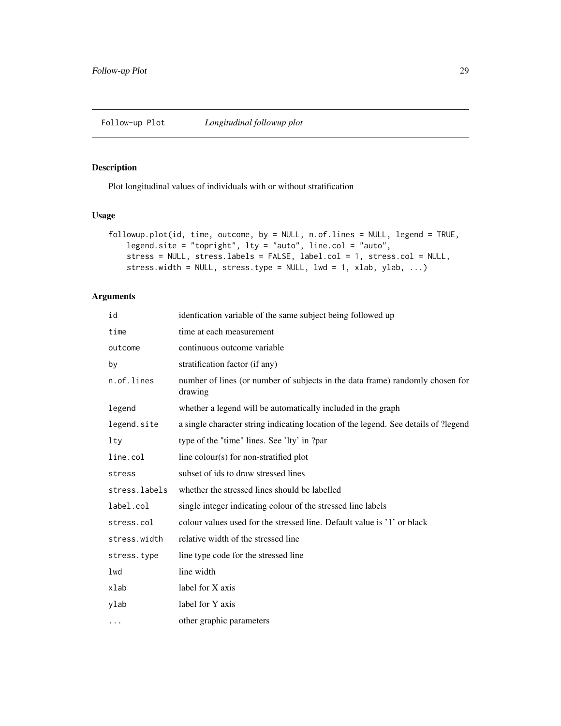<span id="page-28-0"></span>Plot longitudinal values of individuals with or without stratification

# Usage

```
followup.plot(id, time, outcome, by = NULL, n.of.lines = NULL, legend = TRUE,
   legend.site = "topright", lty = "auto", line.col = "auto",
   stress = NULL, stress.labels = FALSE, label.col = 1, stress.col = NULL,
   stress.width = NULL, stress.type = NULL, lwd = 1, xlab, ylab, ...)
```
# Arguments

| id            | idenfication variable of the same subject being followed up                              |
|---------------|------------------------------------------------------------------------------------------|
| time          | time at each measurement                                                                 |
| outcome       | continuous outcome variable                                                              |
| by            | stratification factor (if any)                                                           |
| n.of.lines    | number of lines (or number of subjects in the data frame) randomly chosen for<br>drawing |
| legend        | whether a legend will be automatically included in the graph                             |
| legend.site   | a single character string indicating location of the legend. See details of ?legend      |
| lty           | type of the "time" lines. See 'lty' in ?par                                              |
| line.col      | line colour(s) for non-stratified plot                                                   |
| stress        | subset of ids to draw stressed lines                                                     |
| stress.labels | whether the stressed lines should be labelled                                            |
| label.col     | single integer indicating colour of the stressed line labels                             |
| stress.col    | colour values used for the stressed line. Default value is '1' or black                  |
| stress.width  | relative width of the stressed line                                                      |
| stress.type   | line type code for the stressed line                                                     |
| lwd           | line width                                                                               |
| xlab          | label for X axis                                                                         |
| ylab          | label for Y axis                                                                         |
| $\cdots$      | other graphic parameters                                                                 |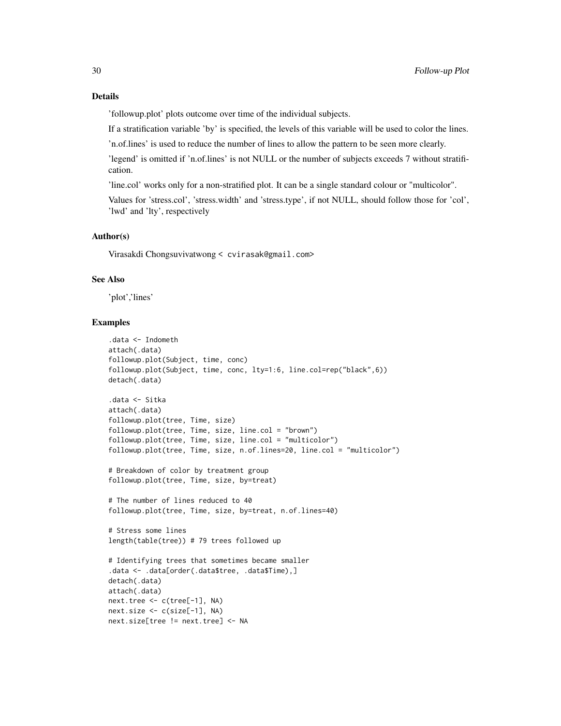'followup.plot' plots outcome over time of the individual subjects.

If a stratification variable 'by' is specified, the levels of this variable will be used to color the lines.

'n.of.lines' is used to reduce the number of lines to allow the pattern to be seen more clearly.

'legend' is omitted if 'n.of.lines' is not NULL or the number of subjects exceeds 7 without stratification.

'line.col' works only for a non-stratified plot. It can be a single standard colour or "multicolor".

Values for 'stress.col', 'stress.width' and 'stress.type', if not NULL, should follow those for 'col', 'lwd' and 'lty', respectively

#### Author(s)

Virasakdi Chongsuvivatwong < cvirasak@gmail.com>

# See Also

'plot','lines'

```
.data <- Indometh
attach(.data)
followup.plot(Subject, time, conc)
followup.plot(Subject, time, conc, lty=1:6, line.col=rep("black",6))
detach(.data)
.data <- Sitka
attach(.data)
followup.plot(tree, Time, size)
followup.plot(tree, Time, size, line.col = "brown")
followup.plot(tree, Time, size, line.col = "multicolor")
followup.plot(tree, Time, size, n.of.lines=20, line.col = "multicolor")
# Breakdown of color by treatment group
followup.plot(tree, Time, size, by=treat)
# The number of lines reduced to 40
followup.plot(tree, Time, size, by=treat, n.of.lines=40)
# Stress some lines
length(table(tree)) # 79 trees followed up
# Identifying trees that sometimes became smaller
.data <- .data[order(.data$tree, .data$Time),]
detach(.data)
attach(.data)
next.tree <- c(tree[-1], NA)
next.size <- c(size[-1], NA)
next.size[tree != next.tree] <- NA
```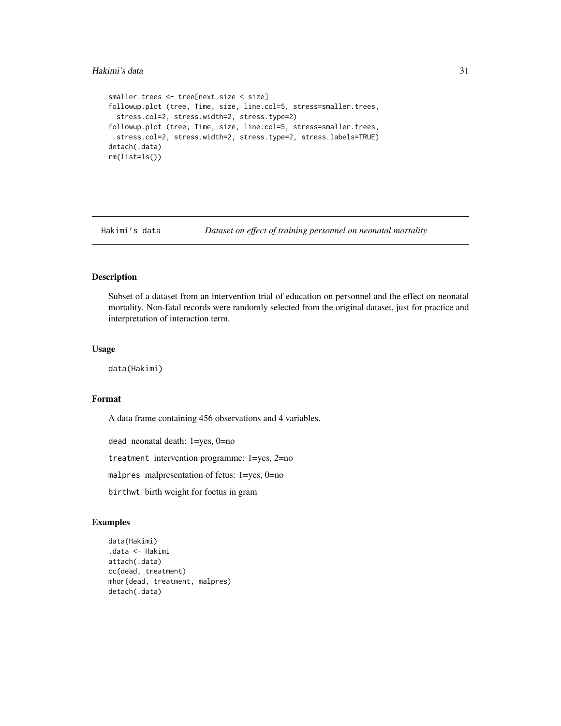```
smaller.trees <- tree[next.size < size]
followup.plot (tree, Time, size, line.col=5, stress=smaller.trees,
  stress.col=2, stress.width=2, stress.type=2)
followup.plot (tree, Time, size, line.col=5, stress=smaller.trees,
  stress.col=2, stress.width=2, stress.type=2, stress.labels=TRUE)
detach(.data)
rm(list=ls())
```
Hakimi's data *Dataset on effect of training personnel on neonatal mortality*

# Description

Subset of a dataset from an intervention trial of education on personnel and the effect on neonatal mortality. Non-fatal records were randomly selected from the original dataset, just for practice and interpretation of interaction term.

#### Usage

data(Hakimi)

#### Format

A data frame containing 456 observations and 4 variables.

dead neonatal death: 1=yes, 0=no

treatment intervention programme: 1=yes, 2=no

malpres malpresentation of fetus: 1=yes, 0=no

birthwt birth weight for foetus in gram

```
data(Hakimi)
.data <- Hakimi
attach(.data)
cc(dead, treatment)
mhor(dead, treatment, malpres)
detach(.data)
```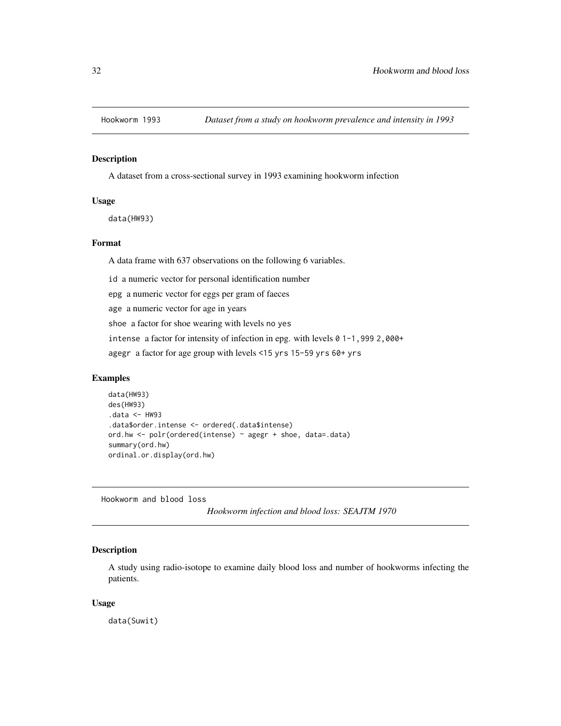<span id="page-31-0"></span>

A dataset from a cross-sectional survey in 1993 examining hookworm infection

# Usage

data(HW93)

#### Format

A data frame with 637 observations on the following 6 variables.

id a numeric vector for personal identification number

epg a numeric vector for eggs per gram of faeces

age a numeric vector for age in years

shoe a factor for shoe wearing with levels no yes

intense a factor for intensity of infection in epg. with levels 0 1-1,999 2,000+

agegr a factor for age group with levels <15 yrs 15-59 yrs 60+ yrs

# Examples

```
data(HW93)
des(HW93)
.data <- HW93
.data$order.intense <- ordered(.data$intense)
ord.hw <- polr(ordered(intense) ~ agegr + shoe, data=.data)
summary(ord.hw)
ordinal.or.display(ord.hw)
```
Hookworm and blood loss

*Hookworm infection and blood loss: SEAJTM 1970*

# Description

A study using radio-isotope to examine daily blood loss and number of hookworms infecting the patients.

#### Usage

data(Suwit)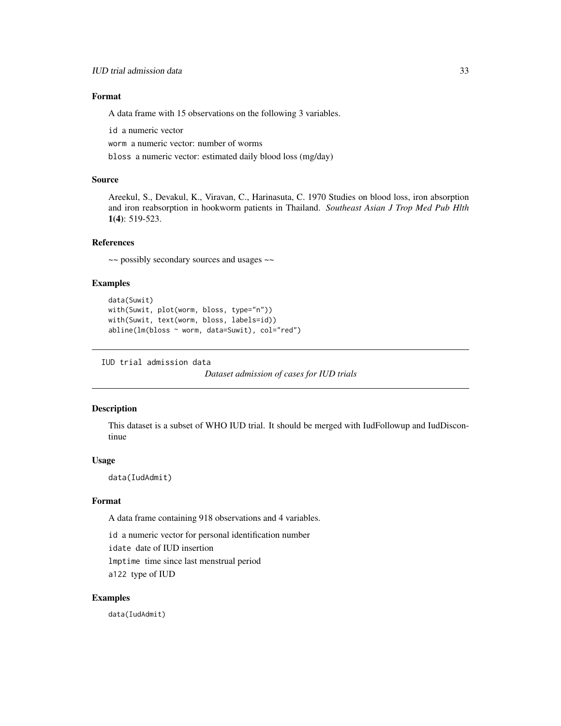# <span id="page-32-0"></span>Format

A data frame with 15 observations on the following 3 variables.

id a numeric vector

worm a numeric vector: number of worms

bloss a numeric vector: estimated daily blood loss (mg/day)

# Source

Areekul, S., Devakul, K., Viravan, C., Harinasuta, C. 1970 Studies on blood loss, iron absorption and iron reabsorption in hookworm patients in Thailand. *Southeast Asian J Trop Med Pub Hlth* 1(4): 519-523.

# References

~~ possibly secondary sources and usages ~~

#### Examples

```
data(Suwit)
with(Suwit, plot(worm, bloss, type="n"))
with(Suwit, text(worm, bloss, labels=id))
abline(lm(bloss ~ worm, data=Suwit), col="red")
```
IUD trial admission data

*Dataset admission of cases for IUD trials*

#### Description

This dataset is a subset of WHO IUD trial. It should be merged with IudFollowup and IudDiscontinue

#### Usage

data(IudAdmit)

#### Format

A data frame containing 918 observations and 4 variables.

id a numeric vector for personal identification number

idate date of IUD insertion

lmptime time since last menstrual period

a122 type of IUD

#### Examples

data(IudAdmit)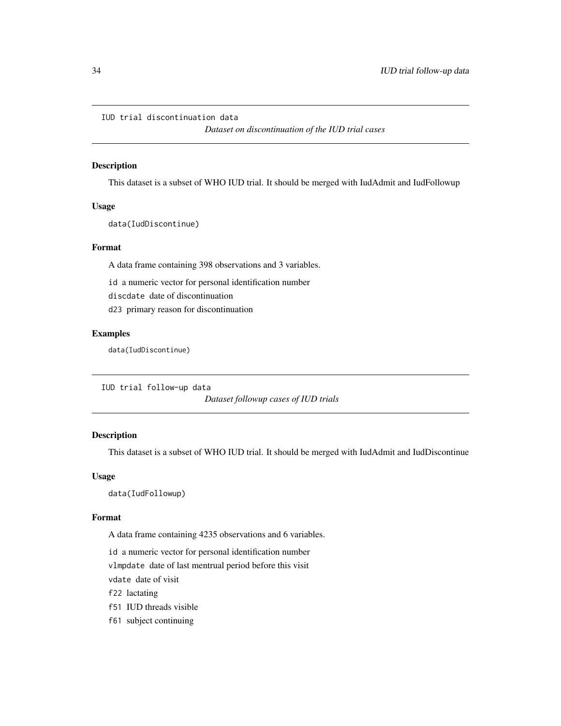# <span id="page-33-0"></span>IUD trial discontinuation data

*Dataset on discontinuation of the IUD trial cases*

# Description

This dataset is a subset of WHO IUD trial. It should be merged with IudAdmit and IudFollowup

# Usage

data(IudDiscontinue)

# Format

A data frame containing 398 observations and 3 variables.

id a numeric vector for personal identification number

discdate date of discontinuation

d23 primary reason for discontinuation

#### Examples

data(IudDiscontinue)

IUD trial follow-up data

*Dataset followup cases of IUD trials*

# Description

This dataset is a subset of WHO IUD trial. It should be merged with IudAdmit and IudDiscontinue

#### Usage

data(IudFollowup)

#### Format

A data frame containing 4235 observations and 6 variables.

id a numeric vector for personal identification number

vlmpdate date of last mentrual period before this visit

vdate date of visit

f22 lactating

- f51 IUD threads visible
- f61 subject continuing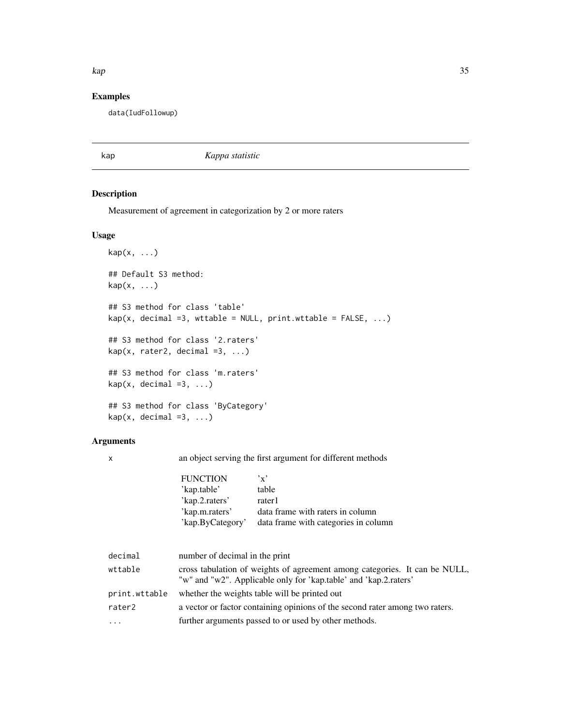#### <span id="page-34-0"></span>kap 35

# Examples

data(IudFollowup)

kap *Kappa statistic*

# Description

Measurement of agreement in categorization by 2 or more raters

# Usage

```
\text{kap}(x, \ldots)## Default S3 method:
kap(x, ...)
## S3 method for class 'table'
kap(x, decimal =3, wtable = NULL, print.wtable = FALSE, ...)## S3 method for class '2.raters'
kap(x, \text{rater2}, \text{decimal }=3, ...)## S3 method for class 'm.raters'
kap(x, decimal =3, ...)## S3 method for class 'ByCategory'
kap(x, decimal =3, ...)
```
# Arguments

x an object serving the first argument for different methods

| <b>FUNCTION</b>  | $, \mathbf{v}, \mathbf{v}$           |
|------------------|--------------------------------------|
| 'kap.table'      | table                                |
| 'kap.2.raters'   | rater1                               |
| 'kap.m.raters'   | data frame with raters in column     |
| 'kap.ByCategory' | data frame with categories in column |
|                  |                                      |

| decimal       | number of decimal in the print                                                                                                                 |
|---------------|------------------------------------------------------------------------------------------------------------------------------------------------|
| wttable       | cross tabulation of weights of agreement among categories. It can be NULL,<br>"w" and "w2". Applicable only for 'kap.table' and 'kap.2.raters' |
| print.wttable | whether the weights table will be printed out                                                                                                  |
| rater2        | a vector or factor containing opinions of the second rater among two raters.                                                                   |
| $\cdots$      | further arguments passed to or used by other methods.                                                                                          |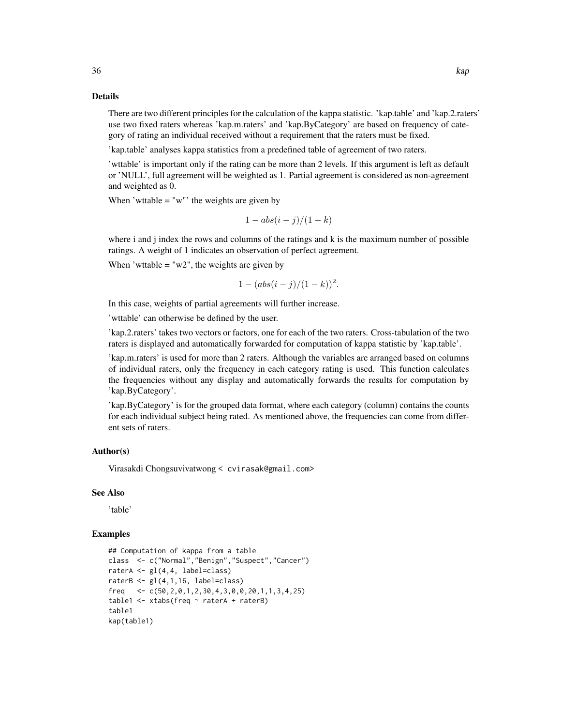There are two different principles for the calculation of the kappa statistic. 'kap.table' and 'kap.2.raters' use two fixed raters whereas 'kap.m.raters' and 'kap.ByCategory' are based on frequency of category of rating an individual received without a requirement that the raters must be fixed.

'kap.table' analyses kappa statistics from a predefined table of agreement of two raters.

'wttable' is important only if the rating can be more than 2 levels. If this argument is left as default or 'NULL', full agreement will be weighted as 1. Partial agreement is considered as non-agreement and weighted as 0.

When 'wttable  $=$  "w"' the weights are given by

$$
1 - abs(i - j)/(1 - k)
$$

where i and j index the rows and columns of the ratings and k is the maximum number of possible ratings. A weight of 1 indicates an observation of perfect agreement.

When 'wttable  $=$  "w2", the weights are given by

$$
1 - (abs(i - j)/(1 - k))^2.
$$

In this case, weights of partial agreements will further increase.

'wttable' can otherwise be defined by the user.

'kap.2.raters' takes two vectors or factors, one for each of the two raters. Cross-tabulation of the two raters is displayed and automatically forwarded for computation of kappa statistic by 'kap.table'.

'kap.m.raters' is used for more than 2 raters. Although the variables are arranged based on columns of individual raters, only the frequency in each category rating is used. This function calculates the frequencies without any display and automatically forwards the results for computation by 'kap.ByCategory'.

'kap.ByCategory' is for the grouped data format, where each category (column) contains the counts for each individual subject being rated. As mentioned above, the frequencies can come from different sets of raters.

#### Author(s)

Virasakdi Chongsuvivatwong < cvirasak@gmail.com>

#### See Also

'table'

#### Examples

```
## Computation of kappa from a table
class <- c("Normal","Benign","Suspect","Cancer")
raterA \leq gl(4,4, label=class)
raterB \leftarrow gl(4,1,16, label=class)
freq \langle -c(50, 2, 0, 1, 2, 30, 4, 3, 0, 0, 20, 1, 1, 3, 4, 25) \rangletable1 <- xtabs(freq ~ raterA + raterB)
table1
kap(table1)
```
36 kap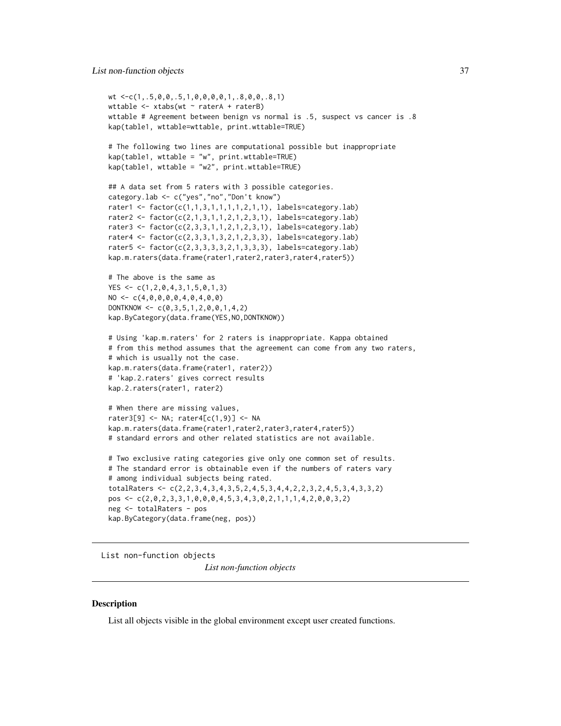```
wt <-c(1,.5,0,0,.5,1,0,0,0,0,1,.8,0,0,.8,1)
wttable <- xtabs(wt ~ raterA + raterB)
wttable # Agreement between benign vs normal is .5, suspect vs cancer is .8
kap(table1, wttable=wttable, print.wttable=TRUE)
# The following two lines are computational possible but inappropriate
kap(table1, wttable = "w", print.wttable=TRUE)
kap(table1, wttable = "w2", print.wttable=TRUE)
## A data set from 5 raters with 3 possible categories.
category.lab <- c("yes","no","Don't know")
rater1 <- factor(c(1,1,3,1,1,1,1,2,1,1), labels=category.lab)
rater2 <- factor(c(2,1,3,1,1,2,1,2,3,1), labels=category.lab)
rater3 <- factor(c(2,3,3,1,1,2,1,2,3,1), labels=category.lab)
rater4 <- factor(c(2,3,3,1,3,2,1,2,3,3), labels=category.lab)
rater5 <- factor(c(2,3,3,3,3,2,1,3,3,3), labels=category.lab)
kap.m.raters(data.frame(rater1,rater2,rater3,rater4,rater5))
# The above is the same as
YES <- c(1,2,0,4,3,1,5,0,1,3)
NO \leq C(4, 0, 0, 0, 0, 4, 0, 4, 0, 0)DONTKNOW \leq c(0, 3, 5, 1, 2, 0, 0, 1, 4, 2)kap.ByCategory(data.frame(YES,NO,DONTKNOW))
# Using 'kap.m.raters' for 2 raters is inappropriate. Kappa obtained
# from this method assumes that the agreement can come from any two raters,
# which is usually not the case.
kap.m.raters(data.frame(rater1, rater2))
# 'kap.2.raters' gives correct results
kap.2.raters(rater1, rater2)
# When there are missing values,
rater3[9] <- NA; rater4[c(1,9)] <- NA
kap.m.raters(data.frame(rater1,rater2,rater3,rater4,rater5))
# standard errors and other related statistics are not available.
# Two exclusive rating categories give only one common set of results.
# The standard error is obtainable even if the numbers of raters vary
# among individual subjects being rated.
totalRaters <- c(2,2,3,4,3,4,3,5,2,4,5,3,4,4,2,2,3,2,4,5,3,4,3,3,2)
pos <- c(2,0,2,3,3,1,0,0,0,4,5,3,4,3,0,2,1,1,1,4,2,0,0,3,2)
neg <- totalRaters - pos
kap.ByCategory(data.frame(neg, pos))
```
List non-function objects

*List non-function objects*

### **Description**

List all objects visible in the global environment except user created functions.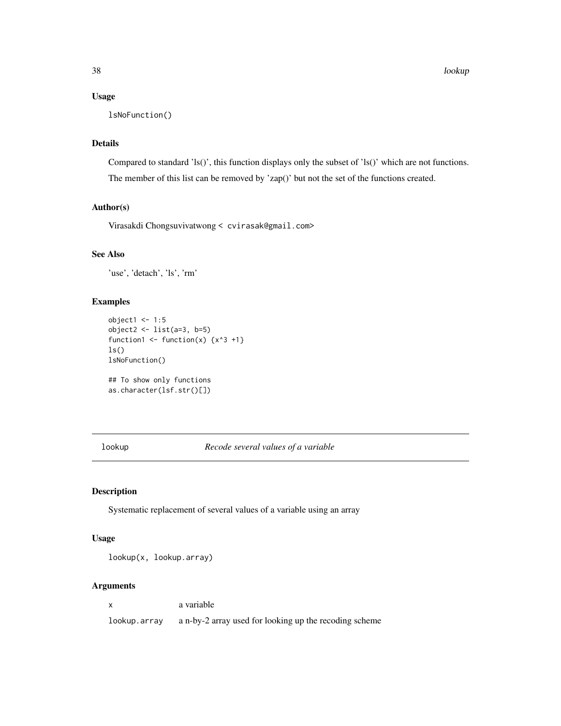# Usage

```
lsNoFunction()
```
### Details

Compared to standard 'ls()', this function displays only the subset of 'ls()' which are not functions. The member of this list can be removed by 'zap()' but not the set of the functions created.

# Author(s)

Virasakdi Chongsuvivatwong < cvirasak@gmail.com>

### See Also

'use', 'detach', 'ls', 'rm'

# Examples

```
object1 < -1:5object2 <- list(a=3, b=5)
function1 <- function(x) \{x^3 +1\}ls()
lsNoFunction()
```

```
## To show only functions
as.character(lsf.str()[])
```
lookup *Recode several values of a variable*

# Description

Systematic replacement of several values of a variable using an array

### Usage

lookup(x, lookup.array)

### Arguments

x a variable

lookup.array a n-by-2 array used for looking up the recoding scheme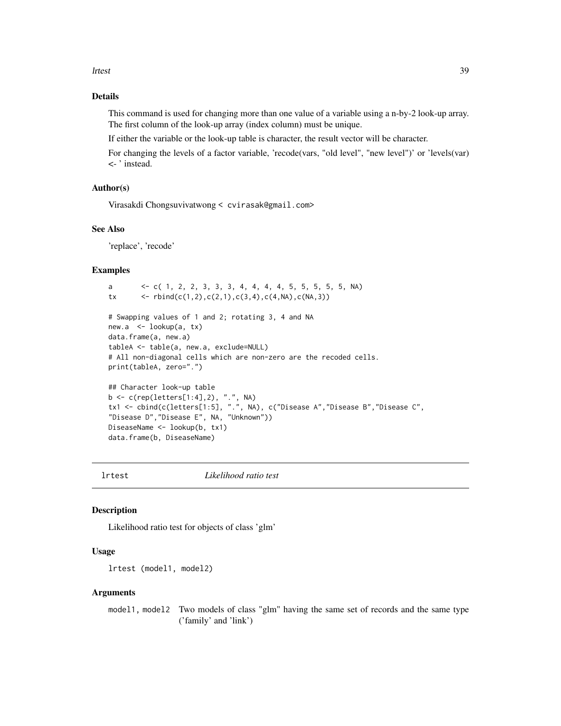lrtest 39

### Details

This command is used for changing more than one value of a variable using a n-by-2 look-up array. The first column of the look-up array (index column) must be unique.

If either the variable or the look-up table is character, the result vector will be character.

For changing the levels of a factor variable, 'recode(vars, "old level", "new level")' or 'levels(var) <- ' instead.

#### Author(s)

Virasakdi Chongsuvivatwong < cvirasak@gmail.com>

### See Also

'replace', 'recode'

### Examples

```
a <- c( 1, 2, 2, 3, 3, 3, 4, 4, 4, 4, 5, 5, 5, 5, 5, NA)
tx \left\{ \text{c} \in \text{rbind}(c(1,2), c(2,1), c(3,4), c(4,NA), c(NA,3)) \right\}# Swapping values of 1 and 2; rotating 3, 4 and NA
new.a <- lookup(a, tx)
data.frame(a, new.a)
tableA <- table(a, new.a, exclude=NULL)
# All non-diagonal cells which are non-zero are the recoded cells.
print(tableA, zero=".")
## Character look-up table
b <- c(rep(letters[1:4],2), ".", NA)
tx1 <- cbind(c(letters[1:5], ".", NA), c("Disease A","Disease B","Disease C",
"Disease D","Disease E", NA, "Unknown"))
DiseaseName <- lookup(b, tx1)
data.frame(b, DiseaseName)
```
lrtest *Likelihood ratio test*

### Description

Likelihood ratio test for objects of class 'glm'

#### Usage

lrtest (model1, model2)

#### Arguments

model1, model2 Two models of class "glm" having the same set of records and the same type ('family' and 'link')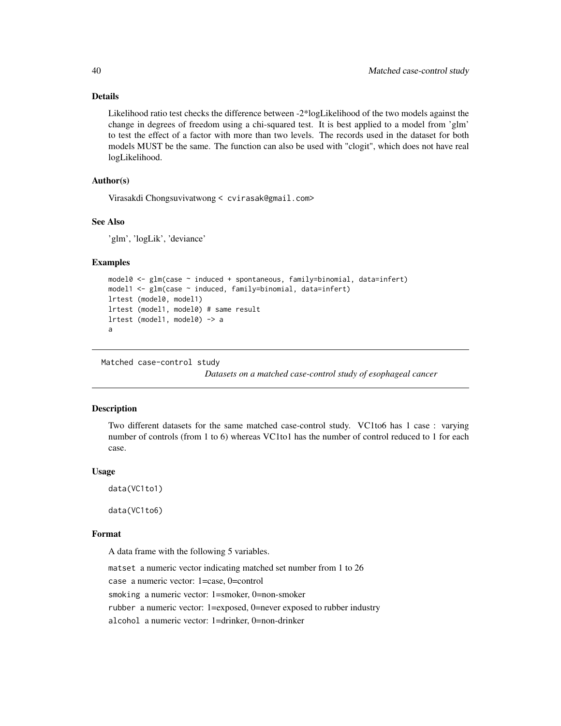### Details

Likelihood ratio test checks the difference between -2\*logLikelihood of the two models against the change in degrees of freedom using a chi-squared test. It is best applied to a model from 'glm' to test the effect of a factor with more than two levels. The records used in the dataset for both models MUST be the same. The function can also be used with "clogit", which does not have real logLikelihood.

### Author(s)

Virasakdi Chongsuvivatwong < cvirasak@gmail.com>

# See Also

'glm', 'logLik', 'deviance'

### Examples

```
model0 <- glm(case ~ induced + spontaneous, family=binomial, data=infert)
model1 <- glm(case ~ induced, family=binomial, data=infert)
lrtest (model0, model1)
lrtest (model1, model0) # same result
lrtest (model1, model0) \rightarrow a
a
```
Matched case-control study

*Datasets on a matched case-control study of esophageal cancer*

### Description

Two different datasets for the same matched case-control study. VC1to6 has 1 case : varying number of controls (from 1 to 6) whereas VC1to1 has the number of control reduced to 1 for each case.

#### Usage

```
data(VC1to1)
```
data(VC1to6)

### Format

A data frame with the following 5 variables.

matset a numeric vector indicating matched set number from 1 to 26 case a numeric vector: 1=case, 0=control smoking a numeric vector: 1=smoker, 0=non-smoker rubber a numeric vector: 1=exposed, 0=never exposed to rubber industry alcohol a numeric vector: 1=drinker, 0=non-drinker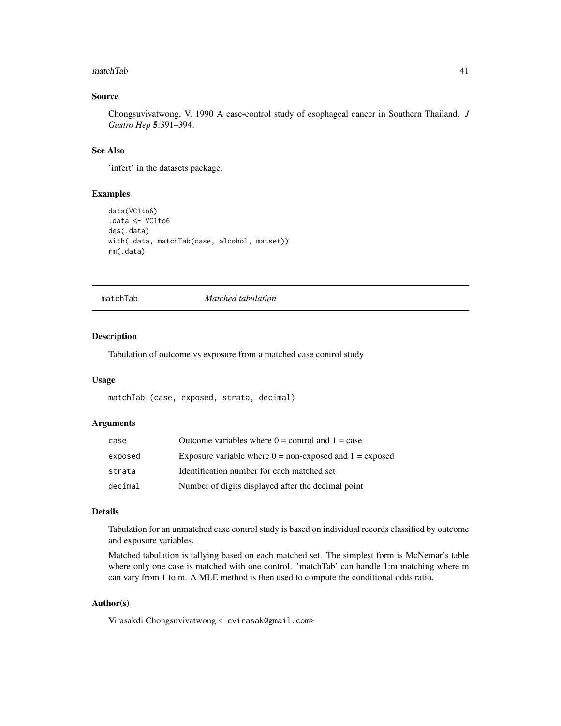#### matchTab 41

### Source

Chongsuvivatwong, V. 1990 A case-control study of esophageal cancer in Southern Thailand. *J Gastro Hep* 5:391–394.

### See Also

'infert' in the datasets package.

### Examples

```
data(VC1to6)
.data <- VC1to6
des(.data)
with(.data, matchTab(case, alcohol, matset))
rm(.data)
```
matchTab *Matched tabulation*

#### Description

Tabulation of outcome vs exposure from a matched case control study

#### Usage

matchTab (case, exposed, strata, decimal)

### Arguments

| case    | Outcome variables where $0 =$ control and $1 =$ case        |
|---------|-------------------------------------------------------------|
| exposed | Exposure variable where $0 =$ non-exposed and $1 =$ exposed |
| strata  | Identification number for each matched set                  |
| decimal | Number of digits displayed after the decimal point          |

### Details

Tabulation for an unmatched case control study is based on individual records classified by outcome and exposure variables.

Matched tabulation is tallying based on each matched set. The simplest form is McNemar's table where only one case is matched with one control. 'matchTab' can handle 1:m matching where m can vary from 1 to m. A MLE method is then used to compute the conditional odds ratio.

### Author(s)

Virasakdi Chongsuvivatwong < cvirasak@gmail.com>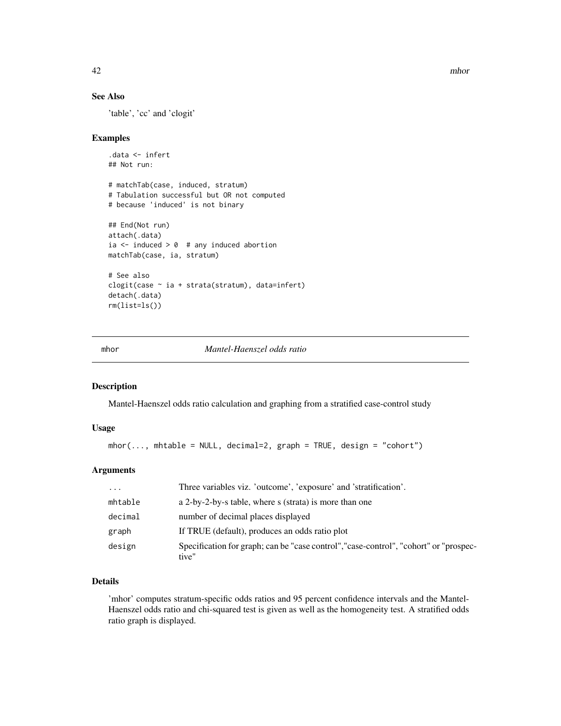42 mhor

### See Also

'table', 'cc' and 'clogit'

### Examples

```
.data <- infert
## Not run:
# matchTab(case, induced, stratum)
# Tabulation successful but OR not computed
# because 'induced' is not binary
## End(Not run)
attach(.data)
ia \le induced > 0 # any induced abortion
matchTab(case, ia, stratum)
# See also
clogit(case ~ ia + strata(stratum), data=infert)
detach(.data)
rm(list=ls())
```
### mhor *Mantel-Haenszel odds ratio*

### Description

Mantel-Haenszel odds ratio calculation and graphing from a stratified case-control study

### Usage

```
mhor(..., mhtable = NULL, decimal=2, graph = TRUE, design = "cohort")
```
# Arguments

| $\cdot$ | Three variables viz. 'outcome', 'exposure' and 'stratification'.                               |
|---------|------------------------------------------------------------------------------------------------|
| mhtable | a 2-by-2-by-s table, where s (strata) is more than one                                         |
| decimal | number of decimal places displayed                                                             |
| graph   | If TRUE (default), produces an odds ratio plot                                                 |
| design  | Specification for graph; can be "case control", "case-control", "cohort" or "prospec-<br>tive" |

### Details

'mhor' computes stratum-specific odds ratios and 95 percent confidence intervals and the Mantel-Haenszel odds ratio and chi-squared test is given as well as the homogeneity test. A stratified odds ratio graph is displayed.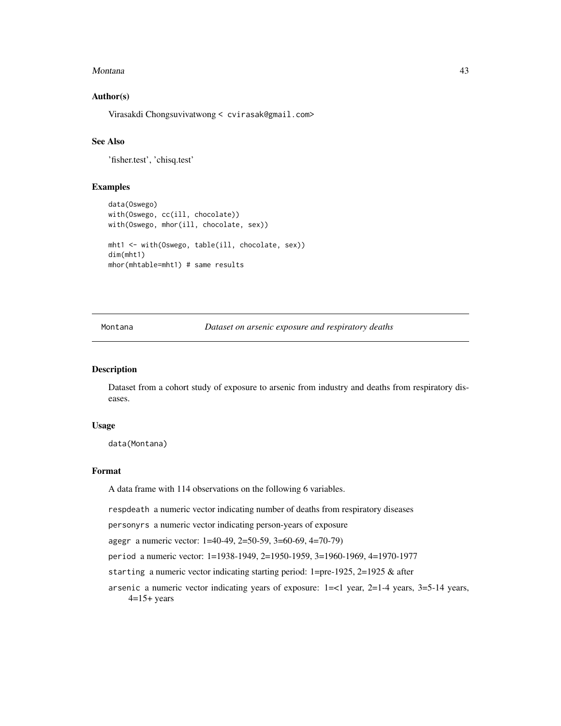#### Montana and the contract of the contract of the contract of the contract of the contract of the contract of the contract of the contract of the contract of the contract of the contract of the contract of the contract of th

### Author(s)

Virasakdi Chongsuvivatwong < cvirasak@gmail.com>

# See Also

'fisher.test', 'chisq.test'

# Examples

```
data(Oswego)
with(Oswego, cc(ill, chocolate))
with(Oswego, mhor(ill, chocolate, sex))
mht1 <- with(Oswego, table(ill, chocolate, sex))
dim(mht1)
mhor(mhtable=mht1) # same results
```
Montana *Dataset on arsenic exposure and respiratory deaths*

### Description

Dataset from a cohort study of exposure to arsenic from industry and deaths from respiratory diseases.

#### Usage

data(Montana)

### Format

A data frame with 114 observations on the following 6 variables.

respdeath a numeric vector indicating number of deaths from respiratory diseases

personyrs a numeric vector indicating person-years of exposure

agegr a numeric vector: 1=40-49, 2=50-59, 3=60-69, 4=70-79)

period a numeric vector: 1=1938-1949, 2=1950-1959, 3=1960-1969, 4=1970-1977

starting a numeric vector indicating starting period: 1=pre-1925, 2=1925 & after

arsenic a numeric vector indicating years of exposure: 1=<1 year, 2=1-4 years, 3=5-14 years,  $4=15+$  years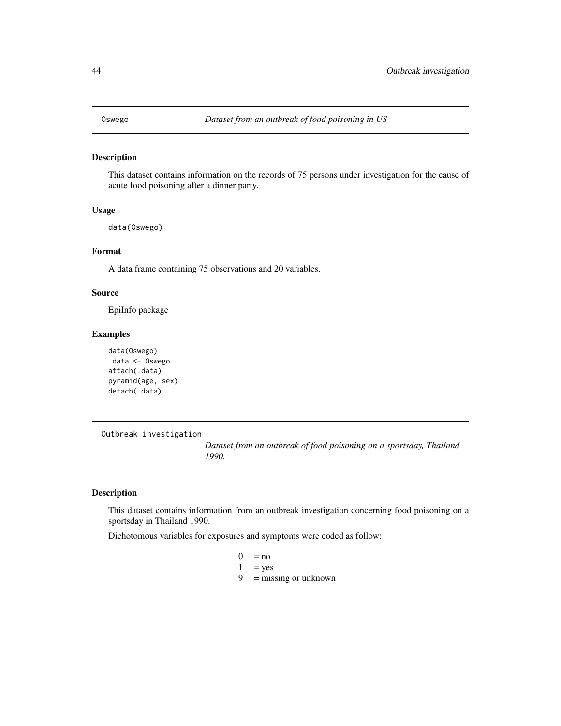### Description

This dataset contains information on the records of 75 persons under investigation for the cause of acute food poisoning after a dinner party.

### Usage

data(Oswego)

### Format

A data frame containing 75 observations and 20 variables.

### Source

EpiInfo package

### Examples

```
data(Oswego)
.data <- Oswego
attach(.data)
pyramid(age, sex)
detach(.data)
```
Outbreak investigation

*Dataset from an outbreak of food poisoning on a sportsday, Thailand 1990.*

#### Description

This dataset contains information from an outbreak investigation concerning food poisoning on a sportsday in Thailand 1990.

Dichotomous variables for exposures and symptoms were coded as follow:

```
0 = no1 = yes
```

```
9 = missing or unknown
```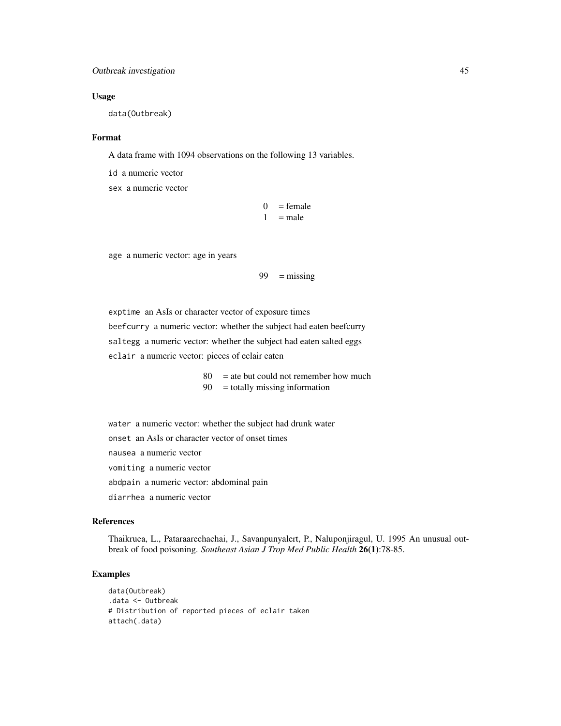# Outbreak investigation 45

#### Usage

data(Outbreak)

### Format

A data frame with 1094 observations on the following 13 variables.

id a numeric vector

sex a numeric vector

```
0 = female
1 = male
```
age a numeric vector: age in years

$$
99 = \text{missing}
$$

exptime an AsIs or character vector of exposure times beefcurry a numeric vector: whether the subject had eaten beefcurry saltegg a numeric vector: whether the subject had eaten salted eggs eclair a numeric vector: pieces of eclair eaten

> 80 = ate but could not remember how much 90 = totally missing information

water a numeric vector: whether the subject had drunk water

onset an AsIs or character vector of onset times

nausea a numeric vector

vomiting a numeric vector

abdpain a numeric vector: abdominal pain

diarrhea a numeric vector

### References

Thaikruea, L., Pataraarechachai, J., Savanpunyalert, P., Naluponjiragul, U. 1995 An unusual outbreak of food poisoning. *Southeast Asian J Trop Med Public Health* 26(1):78-85.

```
data(Outbreak)
.data <- Outbreak
# Distribution of reported pieces of eclair taken
attach(.data)
```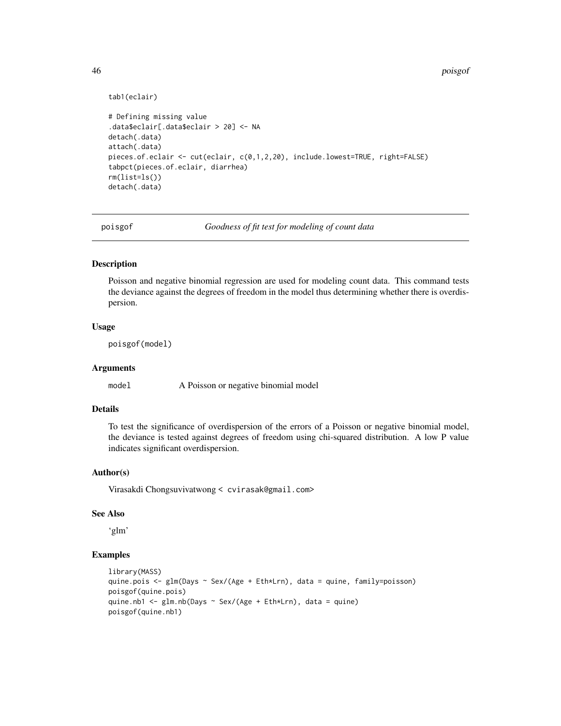```
tab1(eclair)
# Defining missing value
.data$eclair[.data$eclair > 20] <- NA
detach(.data)
attach(.data)
pieces.of.eclair <- cut(eclair, c(0,1,2,20), include.lowest=TRUE, right=FALSE)
tabpct(pieces.of.eclair, diarrhea)
rm(list=ls())
detach(.data)
```
poisgof *Goodness of fit test for modeling of count data*

### Description

Poisson and negative binomial regression are used for modeling count data. This command tests the deviance against the degrees of freedom in the model thus determining whether there is overdispersion.

# Usage

poisgof(model)

# Arguments

model A Poisson or negative binomial model

### Details

To test the significance of overdispersion of the errors of a Poisson or negative binomial model, the deviance is tested against degrees of freedom using chi-squared distribution. A low P value indicates significant overdispersion.

#### Author(s)

Virasakdi Chongsuvivatwong < cvirasak@gmail.com>

#### See Also

'glm'

```
library(MASS)
quine.pois <- glm(Days ~ Sex/(Age + Eth*Lrn), data = quine, family=poisson)
poisgof(quine.pois)
quine.nb1 \leq glm.nb(Days \sim Sex/(Age + Eth*Lrn), data = quine)
poisgof(quine.nb1)
```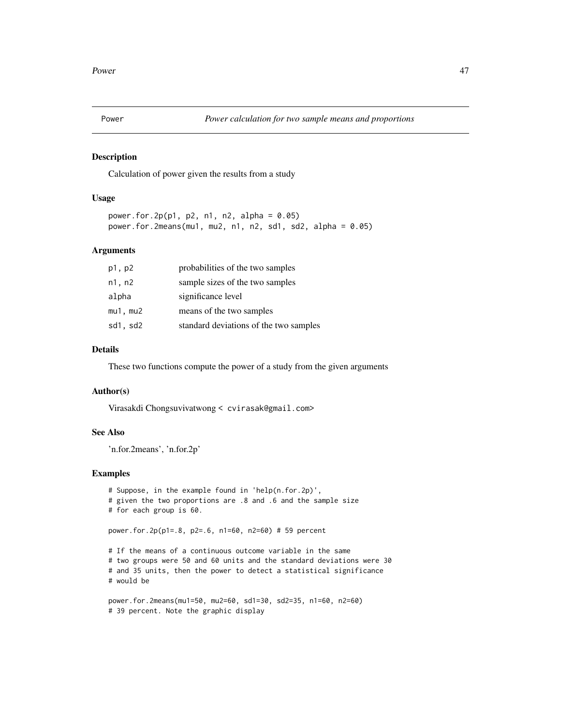### Description

Calculation of power given the results from a study

### Usage

```
power.for.2p(p1, p2, n1, n2, alpha = 0.05)
power.for.2means(mu1, mu2, n1, n2, sd1, sd2, alpha = 0.05)
```
### Arguments

| p1, p2        | probabilities of the two samples       |
|---------------|----------------------------------------|
| n1, n2        | sample sizes of the two samples        |
| alpha         | significance level                     |
| $mu1$ , $mu2$ | means of the two samples               |
| sd1, sd2      | standard deviations of the two samples |

# Details

These two functions compute the power of a study from the given arguments

#### Author(s)

Virasakdi Chongsuvivatwong < cvirasak@gmail.com>

### See Also

'n.for.2means', 'n.for.2p'

```
# Suppose, in the example found in 'help(n.for.2p)',
# given the two proportions are .8 and .6 and the sample size
# for each group is 60.
power.for.2p(p1=.8, p2=.6, n1=60, n2=60) # 59 percent
# If the means of a continuous outcome variable in the same
# two groups were 50 and 60 units and the standard deviations were 30
# and 35 units, then the power to detect a statistical significance
# would be
```

```
power.for.2means(mu1=50, mu2=60, sd1=30, sd2=35, n1=60, n2=60)
# 39 percent. Note the graphic display
```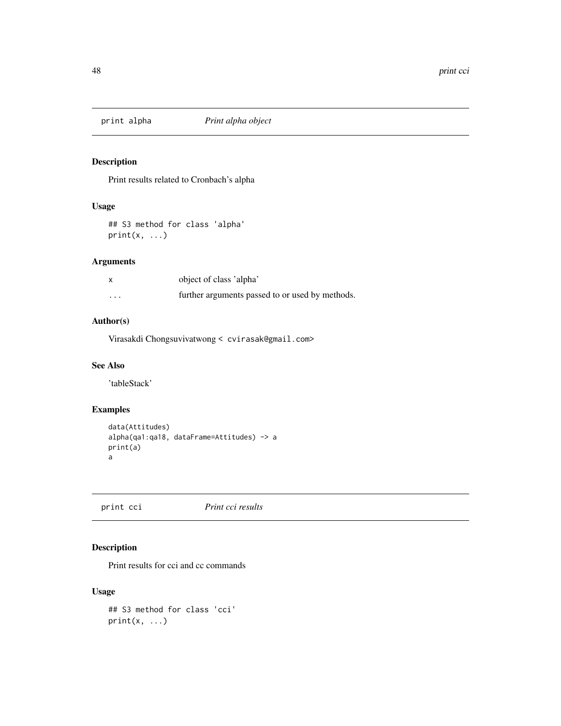# Description

Print results related to Cronbach's alpha

# Usage

## S3 method for class 'alpha'  $print(x, \ldots)$ 

# Arguments

|          | object of class 'alpha'                         |
|----------|-------------------------------------------------|
| $\cdots$ | further arguments passed to or used by methods. |

# Author(s)

Virasakdi Chongsuvivatwong < cvirasak@gmail.com>

### See Also

'tableStack'

# Examples

```
data(Attitudes)
alpha(qa1:qa18, dataFrame=Attitudes) -> a
print(a)
a
```
print cci *Print cci results*

# Description

Print results for cci and cc commands

### Usage

```
## S3 method for class 'cci'
print(x, \ldots)
```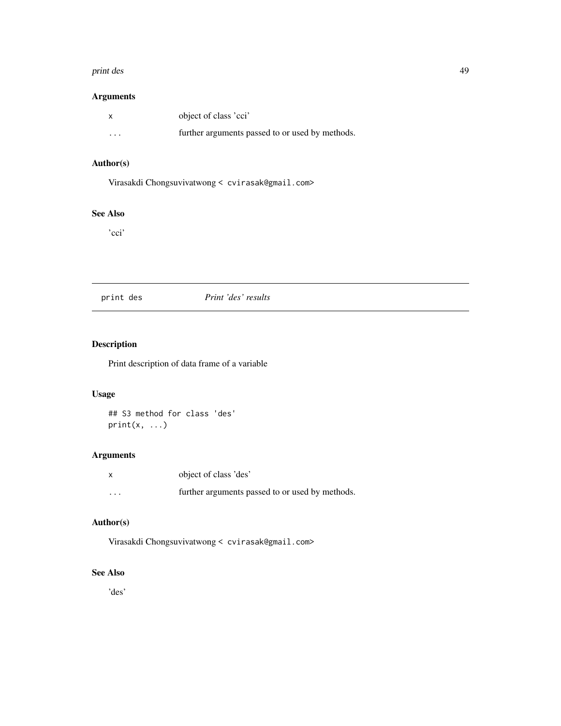#### print des 49

# Arguments

|          | object of class 'cci'                           |
|----------|-------------------------------------------------|
| $\cdots$ | further arguments passed to or used by methods. |

# Author(s)

Virasakdi Chongsuvivatwong < cvirasak@gmail.com>

# See Also

'cci'

# print des *Print 'des' results*

# Description

Print description of data frame of a variable

# Usage

## S3 method for class 'des'  $print(x, \ldots)$ 

# Arguments

|          | object of class 'des'                           |
|----------|-------------------------------------------------|
| $\cdots$ | further arguments passed to or used by methods. |

# Author(s)

Virasakdi Chongsuvivatwong < cvirasak@gmail.com>

# See Also

'des'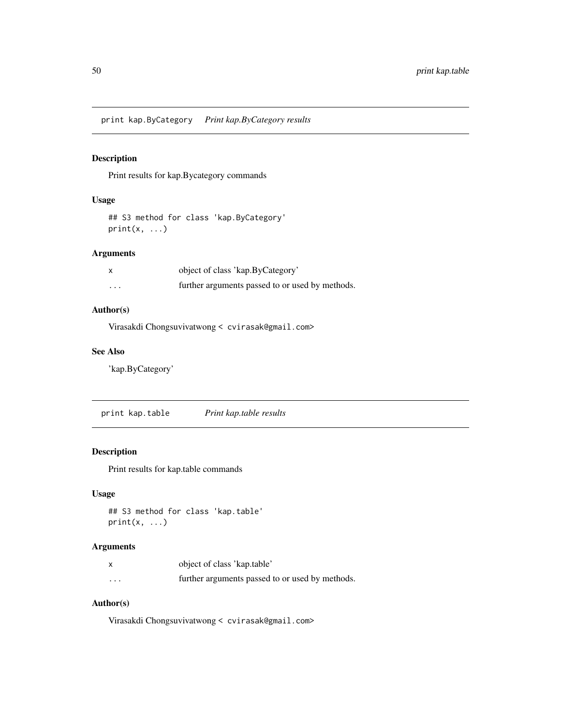print kap.ByCategory *Print kap.ByCategory results*

# Description

Print results for kap.Bycategory commands

### Usage

```
## S3 method for class 'kap.ByCategory'
print(x, \ldots)
```
### Arguments

|                         | object of class 'kap.ByCategory'                |
|-------------------------|-------------------------------------------------|
| $\cdot$ $\cdot$ $\cdot$ | further arguments passed to or used by methods. |

# Author(s)

Virasakdi Chongsuvivatwong < cvirasak@gmail.com>

### See Also

'kap.ByCategory'

print kap.table *Print kap.table results*

# Description

Print results for kap.table commands

# Usage

```
## S3 method for class 'kap.table'
print(x, \ldots)
```
# Arguments

|                         | object of class 'kap.table'                     |
|-------------------------|-------------------------------------------------|
| $\cdot$ $\cdot$ $\cdot$ | further arguments passed to or used by methods. |

# Author(s)

Virasakdi Chongsuvivatwong < cvirasak@gmail.com>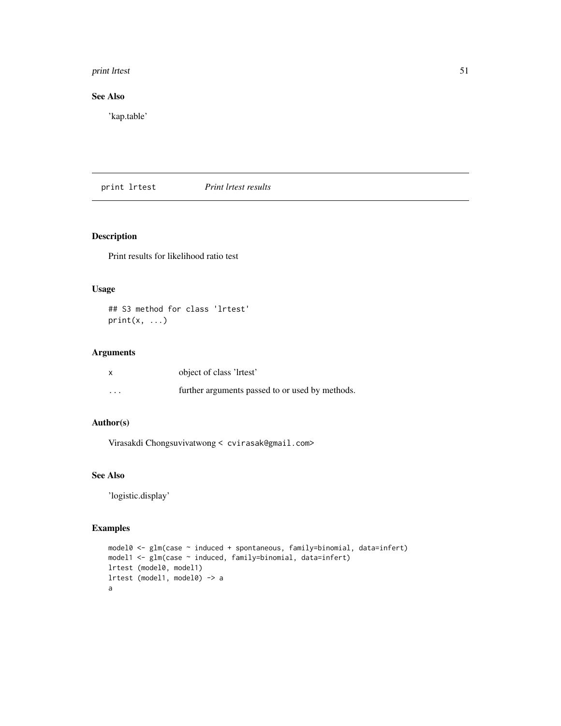# print lrtest 51

# See Also

'kap.table'

print lrtest *Print lrtest results*

# Description

Print results for likelihood ratio test

### Usage

## S3 method for class 'lrtest'  $print(x, \ldots)$ 

# Arguments

| $\mathsf{x}$ | object of class 'lrtest'                        |
|--------------|-------------------------------------------------|
| $\cdots$     | further arguments passed to or used by methods. |

# Author(s)

Virasakdi Chongsuvivatwong < cvirasak@gmail.com>

### See Also

'logistic.display'

```
model0 <- glm(case ~ induced + spontaneous, family=binomial, data=infert)
model1 <- glm(case ~ induced, family=binomial, data=infert)
lrtest (model0, model1)
lrtest (model1, model0) -> a
a
```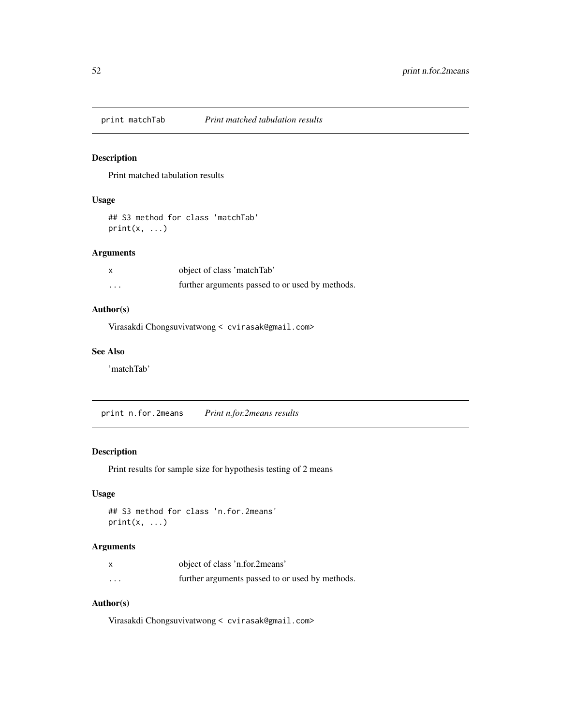# Description

Print matched tabulation results

# Usage

```
## S3 method for class 'matchTab'
print(x, \ldots)
```
# Arguments

|          | object of class 'matchTab'                      |
|----------|-------------------------------------------------|
| $\cdots$ | further arguments passed to or used by methods. |

### Author(s)

Virasakdi Chongsuvivatwong < cvirasak@gmail.com>

### See Also

'matchTab'

print n.for.2means *Print n.for.2means results*

# Description

Print results for sample size for hypothesis testing of 2 means

# Usage

```
## S3 method for class 'n.for.2means'
print(x, \ldots)
```
# Arguments

|          | object of class 'n.for.2means'                  |
|----------|-------------------------------------------------|
| $\cdots$ | further arguments passed to or used by methods. |

# Author(s)

Virasakdi Chongsuvivatwong < cvirasak@gmail.com>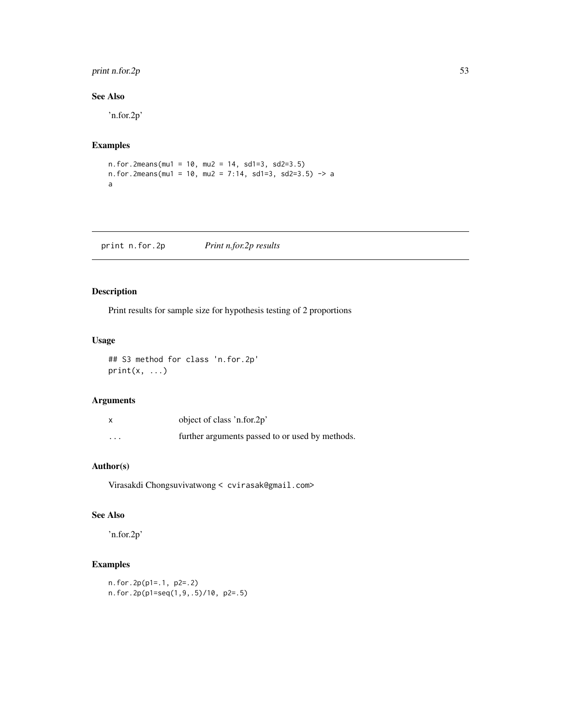# print n.for.2p 53

# See Also

'n.for.2p'

# Examples

n.for.2means(mu1 = 10, mu2 = 14, sd1=3, sd2=3.5) n.for.2means(mu1 = 10, mu2 = 7:14, sd1=3, sd2=3.5) -> a a

print n.for.2p *Print n.for.2p results*

# Description

Print results for sample size for hypothesis testing of 2 proportions

### Usage

```
## S3 method for class 'n.for.2p'
print(x, \ldots)
```
# Arguments

| $\times$ | object of class 'n.for.2p'                      |
|----------|-------------------------------------------------|
| $\cdots$ | further arguments passed to or used by methods. |

# Author(s)

Virasakdi Chongsuvivatwong < cvirasak@gmail.com>

### See Also

'n.for.2p'

```
n.for.2p(p1=.1, p2=.2)
n.for.2p(p1=seq(1,9,.5)/10, p2=.5)
```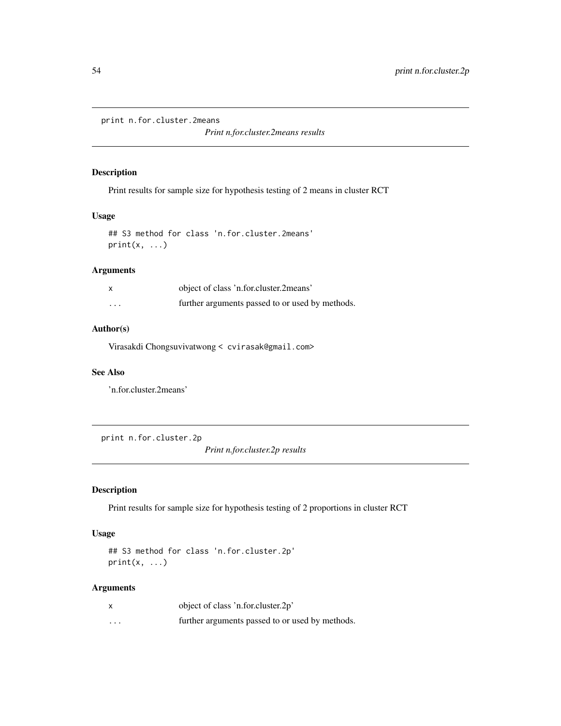print n.for.cluster.2means

*Print n.for.cluster.2means results*

### Description

Print results for sample size for hypothesis testing of 2 means in cluster RCT

# Usage

```
## S3 method for class 'n.for.cluster.2means'
print(x, \ldots)
```
#### Arguments

|          | object of class 'n.for.cluster.2means'          |
|----------|-------------------------------------------------|
| $\cdots$ | further arguments passed to or used by methods. |

### Author(s)

Virasakdi Chongsuvivatwong < cvirasak@gmail.com>

#### See Also

'n.for.cluster.2means'

print n.for.cluster.2p

*Print n.for.cluster.2p results*

# Description

Print results for sample size for hypothesis testing of 2 proportions in cluster RCT

### Usage

```
## S3 method for class 'n.for.cluster.2p'
print(x, \ldots)
```
### Arguments

|          | object of class 'n.for.cluster.2p'              |
|----------|-------------------------------------------------|
| $\cdots$ | further arguments passed to or used by methods. |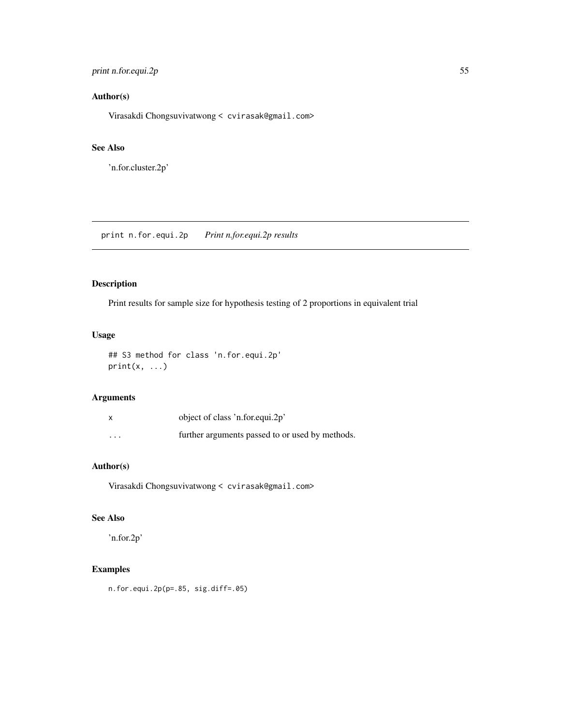# print n.for.equi.2p 55

# Author(s)

Virasakdi Chongsuvivatwong < cvirasak@gmail.com>

### See Also

'n.for.cluster.2p'

print n.for.equi.2p *Print n.for.equi.2p results*

# Description

Print results for sample size for hypothesis testing of 2 proportions in equivalent trial

# Usage

## S3 method for class 'n.for.equi.2p'  $print(x, \ldots)$ 

# Arguments

| x        | object of class 'n.for.equi.2p'                 |
|----------|-------------------------------------------------|
| $\cdots$ | further arguments passed to or used by methods. |

# Author(s)

Virasakdi Chongsuvivatwong < cvirasak@gmail.com>

### See Also

'n.for.2p'

# Examples

n.for.equi.2p(p=.85, sig.diff=.05)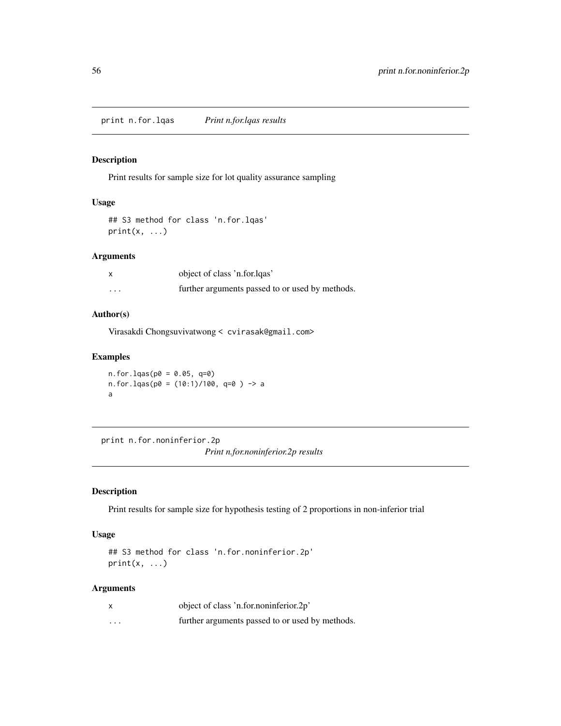print n.for.lqas *Print n.for.lqas results*

# Description

Print results for sample size for lot quality assurance sampling

# Usage

```
## S3 method for class 'n.for.lqas'
print(x, \ldots)
```
# Arguments

|          | object of class 'n.for.lqas'                    |
|----------|-------------------------------------------------|
| $\cdots$ | further arguments passed to or used by methods. |

### Author(s)

Virasakdi Chongsuvivatwong < cvirasak@gmail.com>

### Examples

```
n.for.lqas(p0 = 0.05, q=0)
n.for.lqas(p0 = (10:1)/100, q=0 ) -> a
a
```
print n.for.noninferior.2p *Print n.for.noninferior.2p results*

# Description

Print results for sample size for hypothesis testing of 2 proportions in non-inferior trial

### Usage

```
## S3 method for class 'n.for.noninferior.2p'
print(x, \ldots)
```
# Arguments

| X        | object of class 'n.for.noninferior.2p'          |
|----------|-------------------------------------------------|
| $\cdots$ | further arguments passed to or used by methods. |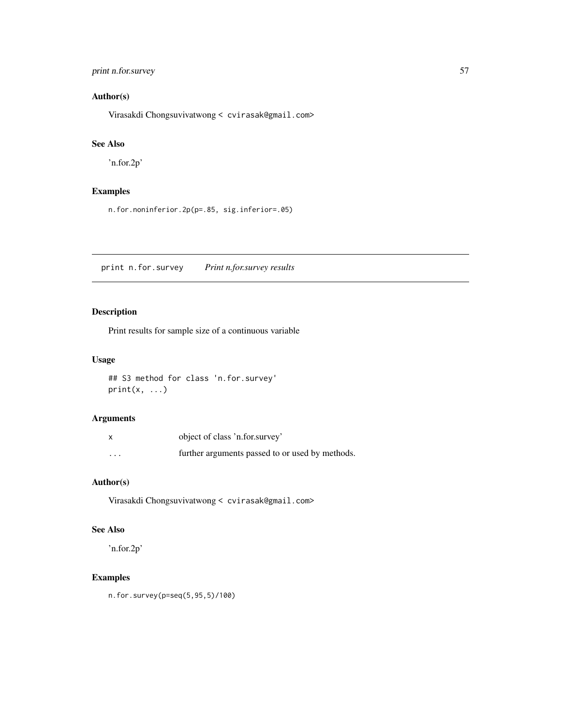# print n.for.survey 57

# Author(s)

Virasakdi Chongsuvivatwong < cvirasak@gmail.com>

# See Also

'n.for.2p'

# Examples

n.for.noninferior.2p(p=.85, sig.inferior=.05)

print n.for.survey *Print n.for.survey results*

# Description

Print results for sample size of a continuous variable

### Usage

```
## S3 method for class 'n.for.survey'
print(x, \ldots)
```
# Arguments

|          | object of class 'n.for.survey'                  |
|----------|-------------------------------------------------|
| $\cdots$ | further arguments passed to or used by methods. |

# Author(s)

Virasakdi Chongsuvivatwong < cvirasak@gmail.com>

# See Also

'n.for.2p'

# Examples

n.for.survey(p=seq(5,95,5)/100)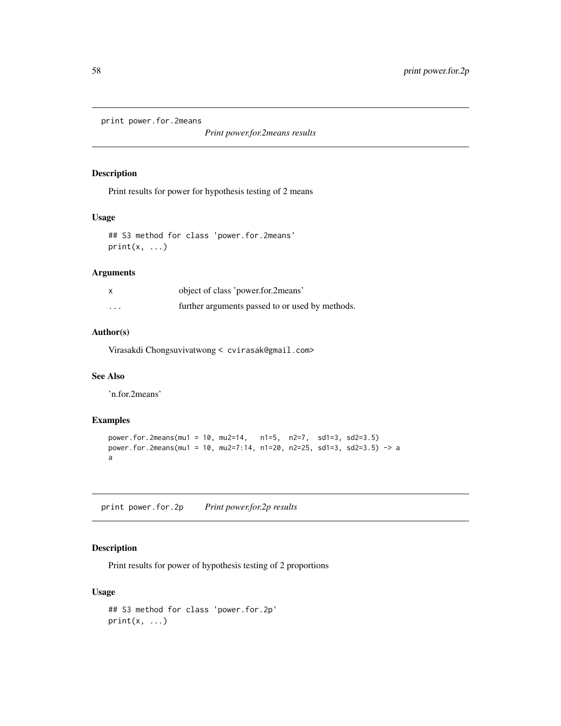print power.for.2means

*Print power.for.2means results*

### Description

Print results for power for hypothesis testing of 2 means

### Usage

```
## S3 method for class 'power.for.2means'
print(x, \ldots)
```
### Arguments

|          | object of class 'power.for.2means'              |
|----------|-------------------------------------------------|
| $\cdots$ | further arguments passed to or used by methods. |

### Author(s)

Virasakdi Chongsuvivatwong < cvirasak@gmail.com>

# See Also

'n.for.2means'

### Examples

```
power.for.2means(mu1 = 10, mu2=14, n1=5, n2=7, sd1=3, sd2=3.5)
power.for.2means(mu1 = 10, mu2=7:14, n1=20, n2=25, sd1=3, sd2=3.5) -> a
a
```
print power.for.2p *Print power.for.2p results*

# Description

Print results for power of hypothesis testing of 2 proportions

### Usage

```
## S3 method for class 'power.for.2p'
print(x, \ldots)
```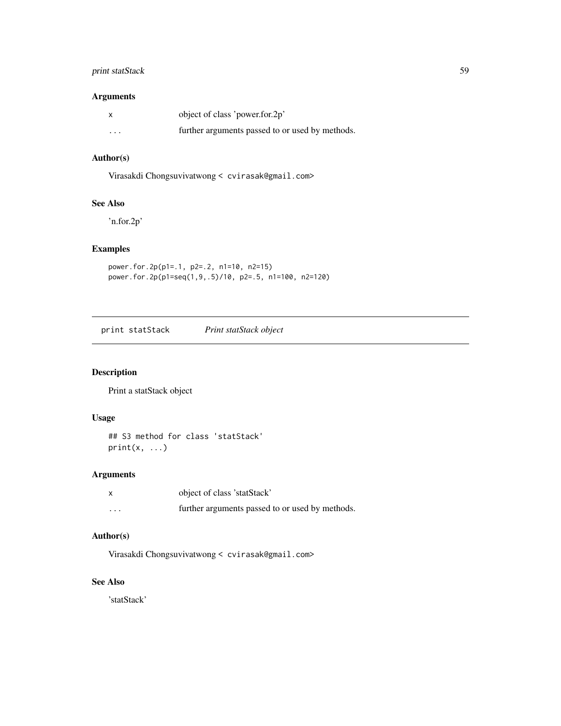# print statStack 59

# Arguments

| X                       | object of class 'power.for.2p'                  |
|-------------------------|-------------------------------------------------|
| $\cdot$ $\cdot$ $\cdot$ | further arguments passed to or used by methods. |

# Author(s)

Virasakdi Chongsuvivatwong < cvirasak@gmail.com>

### See Also

'n.for.2p'

# Examples

```
power.for.2p(p1=.1, p2=.2, n1=10, n2=15)
power.for.2p(p1=seq(1,9,.5)/10, p2=.5, n1=100, n2=120)
```
print statStack *Print statStack object*

# Description

Print a statStack object

### Usage

## S3 method for class 'statStack'  $print(x, \ldots)$ 

# Arguments

| $\boldsymbol{\mathsf{x}}$ | object of class 'statStack'                     |
|---------------------------|-------------------------------------------------|
| $\cdots$                  | further arguments passed to or used by methods. |

### Author(s)

Virasakdi Chongsuvivatwong < cvirasak@gmail.com>

### See Also

'statStack'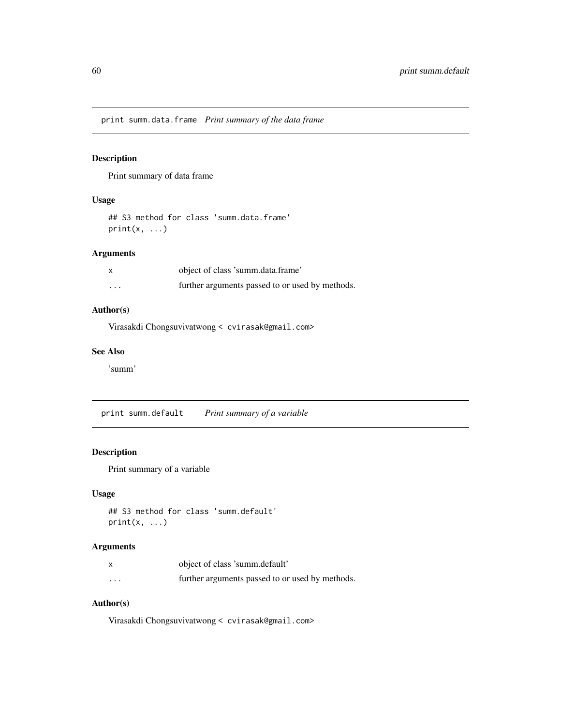print summ.data.frame *Print summary of the data frame*

# Description

Print summary of data frame

### Usage

```
## S3 method for class 'summ.data.frame'
print(x, \ldots)
```
### Arguments

|          | object of class 'summ.data.frame'               |
|----------|-------------------------------------------------|
| $\cdots$ | further arguments passed to or used by methods. |

# Author(s)

Virasakdi Chongsuvivatwong < cvirasak@gmail.com>

### See Also

'summ'

print summ.default *Print summary of a variable*

# Description

Print summary of a variable

### Usage

```
## S3 method for class 'summ.default'
print(x, \ldots)
```
# Arguments

|                         | object of class 'summ.default'                  |
|-------------------------|-------------------------------------------------|
| $\cdot$ $\cdot$ $\cdot$ | further arguments passed to or used by methods. |

# Author(s)

Virasakdi Chongsuvivatwong < cvirasak@gmail.com>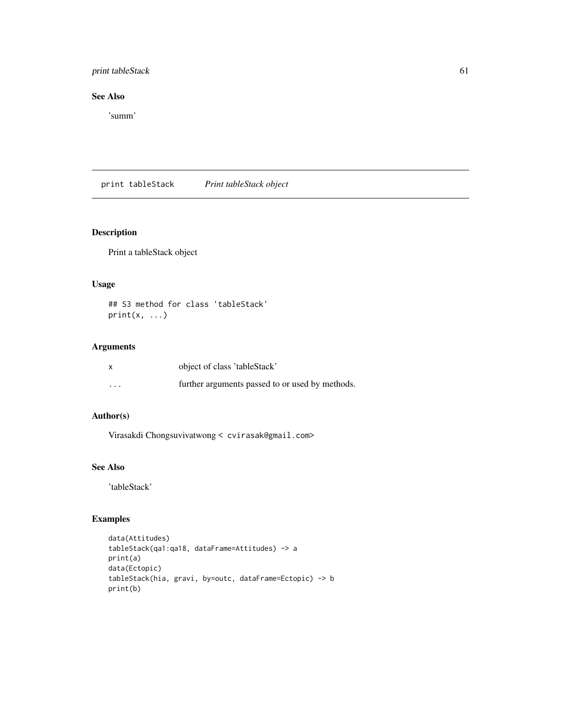# print tableStack 61

# See Also

'summ'

print tableStack *Print tableStack object*

# Description

Print a tableStack object

# Usage

## S3 method for class 'tableStack'  $print(x, \ldots)$ 

# Arguments

|                         | object of class 'tableStack'                    |
|-------------------------|-------------------------------------------------|
| $\cdot$ $\cdot$ $\cdot$ | further arguments passed to or used by methods. |

# Author(s)

Virasakdi Chongsuvivatwong < cvirasak@gmail.com>

# See Also

'tableStack'

```
data(Attitudes)
tableStack(qa1:qa18, dataFrame=Attitudes) -> a
print(a)
data(Ectopic)
tableStack(hia, gravi, by=outc, dataFrame=Ectopic) -> b
print(b)
```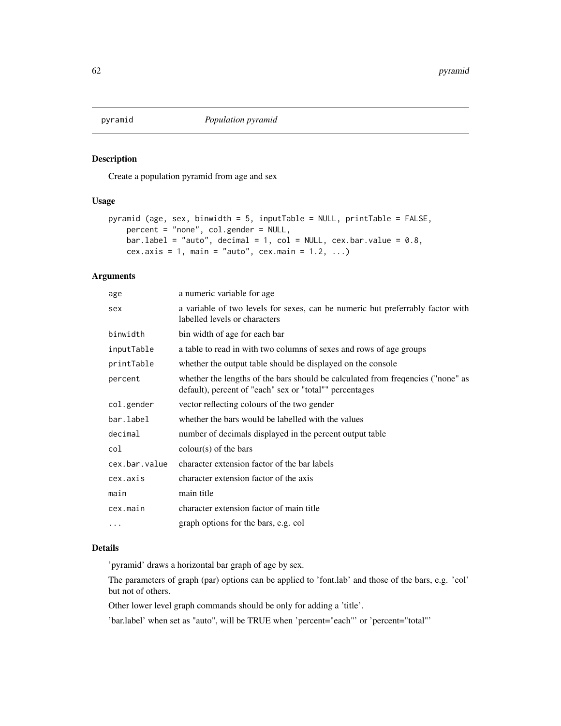# Description

Create a population pyramid from age and sex

### Usage

```
pyramid (age, sex, binwidth = 5, inputTable = NULL, printTable = FALSE,
    percent = "none", col.gender = NULL,
   bar.label = "auto", decimal = 1, col = NULL, cex.bar.value = 0.8,
    cex.axis = 1, main = "auto", cex.main = 1.2, ...)
```
### Arguments

| age           | a numeric variable for age                                                                                                                  |
|---------------|---------------------------------------------------------------------------------------------------------------------------------------------|
| sex           | a variable of two levels for sexes, can be numeric but preferrably factor with<br>labelled levels or characters                             |
| binwidth      | bin width of age for each bar                                                                                                               |
| inputTable    | a table to read in with two columns of sexes and rows of age groups                                                                         |
| printTable    | whether the output table should be displayed on the console                                                                                 |
| percent       | whether the lengths of the bars should be calculated from frequencies ("none" as<br>default), percent of "each" sex or "total"" percentages |
| col.gender    | vector reflecting colours of the two gender                                                                                                 |
| bar.label     | whether the bars would be labelled with the values                                                                                          |
| decimal       | number of decimals displayed in the percent output table                                                                                    |
| col           | $\text{colour}(s)$ of the bars                                                                                                              |
| cex.bar.value | character extension factor of the bar labels                                                                                                |
| cex.axis      | character extension factor of the axis                                                                                                      |
| main          | main title                                                                                                                                  |
| cex.main      | character extension factor of main title                                                                                                    |
| $\cdots$      | graph options for the bars, e.g. col                                                                                                        |
|               |                                                                                                                                             |

# Details

'pyramid' draws a horizontal bar graph of age by sex.

The parameters of graph (par) options can be applied to 'font.lab' and those of the bars, e.g. 'col' but not of others.

Other lower level graph commands should be only for adding a 'title'.

'bar.label' when set as "auto", will be TRUE when 'percent="each"' or 'percent="total"'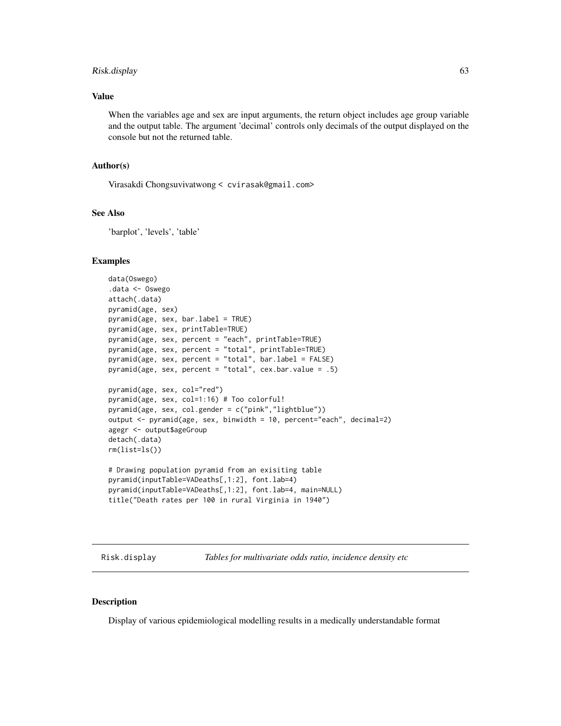# Risk.display 63

### Value

When the variables age and sex are input arguments, the return object includes age group variable and the output table. The argument 'decimal' controls only decimals of the output displayed on the console but not the returned table.

### Author(s)

Virasakdi Chongsuvivatwong < cvirasak@gmail.com>

#### See Also

'barplot', 'levels', 'table'

### Examples

```
data(Oswego)
.data <- Oswego
attach(.data)
pyramid(age, sex)
pyramid(age, sex, bar.label = TRUE)
pyramid(age, sex, printTable=TRUE)
pyramid(age, sex, percent = "each", printTable=TRUE)
pyramid(age, sex, percent = "total", printTable=TRUE)
pyramid(age, sex, percent = "total", bar.label = FALSE)
pyramid(age, sex, percent = "total", cex.bar.value = .5)
pyramid(age, sex, col="red")
pyramid(age, sex, col=1:16) # Too colorful!
pyramid(age, sex, col.gender = c("pink","lightblue"))
output <- pyramid(age, sex, binwidth = 10, percent="each", decimal=2)
agegr <- output$ageGroup
detach(.data)
rm(list=ls())
# Drawing population pyramid from an exisiting table
pyramid(inputTable=VADeaths[,1:2], font.lab=4)
pyramid(inputTable=VADeaths[,1:2], font.lab=4, main=NULL)
title("Death rates per 100 in rural Virginia in 1940")
```
Risk.display *Tables for multivariate odds ratio, incidence density etc*

#### **Description**

Display of various epidemiological modelling results in a medically understandable format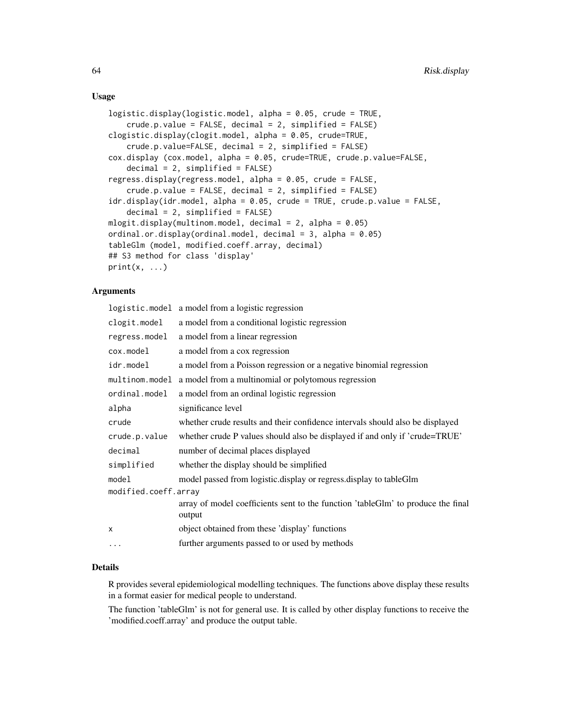### Usage

```
logistic.display(logistic.model, alpha = 0.05, crude = TRUE,
   crude.p.value = FALSE, decimal = 2, simplified = FALSE)
clogistic.display(clogit.model, alpha = 0.05, crude=TRUE,
   crude.p.value=FALSE, decimal = 2, simplified = FALSE)
cox.display (cox.model, alpha = 0.05, crude=TRUE, crude.p.value=FALSE,
    decimal = 2, simplified = FALSE)
regress.display(regress.model, alpha = 0.05, crude = FALSE,
   crude.p.value = FALSE, decimal = 2, simplified = FALSE)
idr.display(idr.model, alpha = 0.05, crude = TRUE, crude.p.value = FALSE,
    decimal = 2, simplified = FALSE)
mlogit.display(multinom.model, decimal = 2, alpha = 0.05)
ordinal.or.display(ordinal.model, decimal = 3, alpha = 0.05)
tableGlm (model, modified.coeff.array, decimal)
## S3 method for class 'display'
print(x, \ldots)
```
### Arguments

|                             | logistic.model a model from a logistic regression                                          |  |
|-----------------------------|--------------------------------------------------------------------------------------------|--|
| clogit.model                | a model from a conditional logistic regression                                             |  |
| regress.model               | a model from a linear regression                                                           |  |
| cox.model                   | a model from a cox regression                                                              |  |
| idr.model                   | a model from a Poisson regression or a negative binomial regression                        |  |
| <code>multinom.model</code> | a model from a multinomial or polytomous regression                                        |  |
| ordinal.model               | a model from an ordinal logistic regression                                                |  |
| alpha                       | significance level                                                                         |  |
| crude                       | whether crude results and their confidence intervals should also be displayed              |  |
| crude.p.value               | whether crude P values should also be displayed if and only if 'crude=TRUE'                |  |
| decimal                     | number of decimal places displayed                                                         |  |
| simplified                  | whether the display should be simplified                                                   |  |
| model                       | model passed from logistic.display or regress.display to tableGlm                          |  |
| modified.coeff.array        |                                                                                            |  |
|                             | array of model coefficients sent to the function 'tableGlm' to produce the final<br>output |  |
| X                           | object obtained from these 'display' functions                                             |  |
| $\ddots$                    | further arguments passed to or used by methods                                             |  |

### Details

R provides several epidemiological modelling techniques. The functions above display these results in a format easier for medical people to understand.

The function 'tableGlm' is not for general use. It is called by other display functions to receive the 'modified.coeff.array' and produce the output table.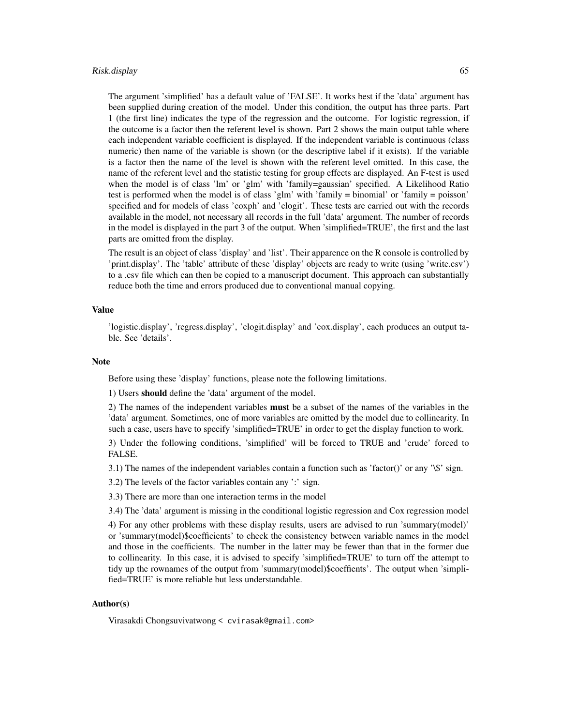#### Risk.display 65

The argument 'simplified' has a default value of 'FALSE'. It works best if the 'data' argument has been supplied during creation of the model. Under this condition, the output has three parts. Part 1 (the first line) indicates the type of the regression and the outcome. For logistic regression, if the outcome is a factor then the referent level is shown. Part 2 shows the main output table where each independent variable coefficient is displayed. If the independent variable is continuous (class numeric) then name of the variable is shown (or the descriptive label if it exists). If the variable is a factor then the name of the level is shown with the referent level omitted. In this case, the name of the referent level and the statistic testing for group effects are displayed. An F-test is used when the model is of class 'lm' or 'glm' with 'family=gaussian' specified. A Likelihood Ratio test is performed when the model is of class 'glm' with 'family = binomial' or 'family = poisson' specified and for models of class 'coxph' and 'clogit'. These tests are carried out with the records available in the model, not necessary all records in the full 'data' argument. The number of records in the model is displayed in the part 3 of the output. When 'simplified=TRUE', the first and the last parts are omitted from the display.

The result is an object of class 'display' and 'list'. Their apparence on the R console is controlled by 'print.display'. The 'table' attribute of these 'display' objects are ready to write (using 'write.csv') to a .csv file which can then be copied to a manuscript document. This approach can substantially reduce both the time and errors produced due to conventional manual copying.

#### Value

'logistic.display', 'regress.display', 'clogit.display' and 'cox.display', each produces an output table. See 'details'.

#### **Note**

Before using these 'display' functions, please note the following limitations.

1) Users should define the 'data' argument of the model.

2) The names of the independent variables **must** be a subset of the names of the variables in the 'data' argument. Sometimes, one of more variables are omitted by the model due to collinearity. In such a case, users have to specify 'simplified=TRUE' in order to get the display function to work.

3) Under the following conditions, 'simplified' will be forced to TRUE and 'crude' forced to FALSE.

3.1) The names of the independent variables contain a function such as 'factor()' or any '\\$' sign.

3.2) The levels of the factor variables contain any ':' sign.

3.3) There are more than one interaction terms in the model

3.4) The 'data' argument is missing in the conditional logistic regression and Cox regression model

4) For any other problems with these display results, users are advised to run 'summary(model)' or 'summary(model)\$coefficients' to check the consistency between variable names in the model and those in the coefficients. The number in the latter may be fewer than that in the former due to collinearity. In this case, it is advised to specify 'simplified=TRUE' to turn off the attempt to tidy up the rownames of the output from 'summary(model)\$coeffients'. The output when 'simplified=TRUE' is more reliable but less understandable.

### Author(s)

Virasakdi Chongsuvivatwong < cvirasak@gmail.com>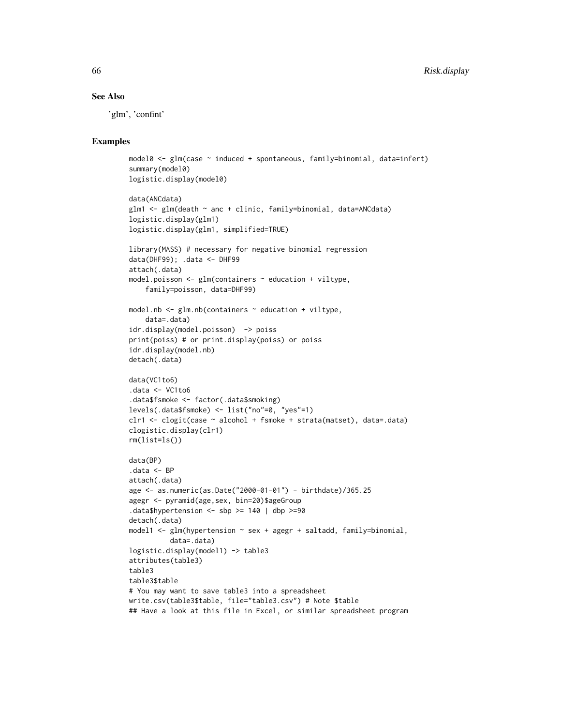### See Also

'glm', 'confint'

```
model0 <- glm(case ~ induced + spontaneous, family=binomial, data=infert)
summary(model0)
logistic.display(model0)
data(ANCdata)
glm1 <- glm(death ~ anc + clinic, family=binomial, data=ANCdata)
logistic.display(glm1)
logistic.display(glm1, simplified=TRUE)
library(MASS) # necessary for negative binomial regression
data(DHF99); .data <- DHF99
attach(.data)
model.poisson \leq glm(containers \sim education + viltype,
    family=poisson, data=DHF99)
model.nb \leq glm.nb(containers \sim education + viltype,
    data=.data)
idr.display(model.poisson) -> poiss
print(poiss) # or print.display(poiss) or poiss
idr.display(model.nb)
detach(.data)
data(VC1to6)
.data <- VC1to6
.data$fsmoke <- factor(.data$smoking)
levels(.data$fsmoke) <- list("no"=0, "yes"=1)
clr1 <- clogit(case ~ alcohol + fsmoke + strata(matset), data=.data)
clogistic.display(clr1)
rm(list=ls())
data(BP)
.data <- BP
attach(.data)
age <- as.numeric(as.Date("2000-01-01") - birthdate)/365.25
agegr <- pyramid(age,sex, bin=20)$ageGroup
.data$hypertension \le sbp >= 140 | dbp >=90
detach(.data)
model1 <- glm(hypertension ~ sex + agegr + saltadd, family=binomial,
          data=.data)
logistic.display(model1) -> table3
attributes(table3)
table3
table3$table
# You may want to save table3 into a spreadsheet
write.csv(table3$table, file="table3.csv") # Note $table
## Have a look at this file in Excel, or similar spreadsheet program
```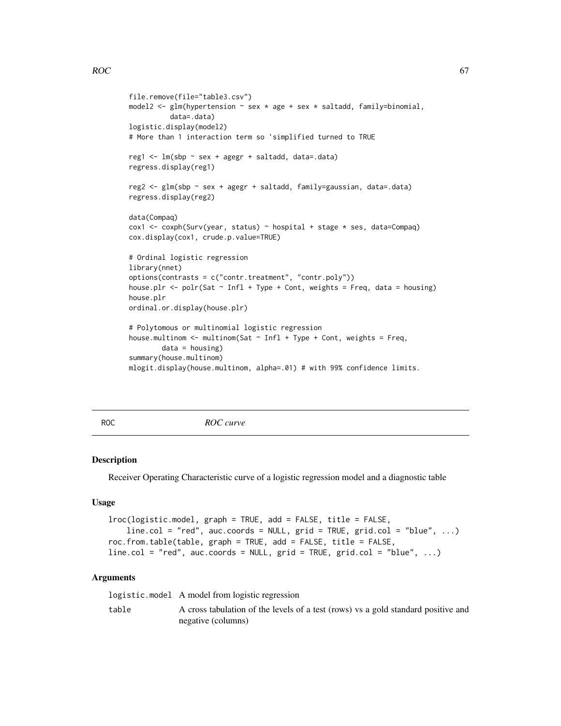```
file.remove(file="table3.csv")
model2 <- glm(hypertension ~ sex ~ age ~ sex ~ saltadd, family=binomial,data=.data)
logistic.display(model2)
# More than 1 interaction term so 'simplified turned to TRUE
reg1 <- lm(sbp ~ sex + agegr + saltadd, data=.data)
regress.display(reg1)
reg2 <- glm(sbp ~ sex + agegr + saltadd, family=gaussian, data=.data)
regress.display(reg2)
data(Compaq)
cox1 <- coxph(Surv(year, status) ~ hospital + stage * ses, data=Compaq)
cox.display(cox1, crude.p.value=TRUE)
# Ordinal logistic regression
library(nnet)
options(contrasts = c("contr.treatment", "contr.poly"))
house.plr \leq polr(Sat \sim Infl + Type + Cont, weights = Freq, data = housing)
house.plr
ordinal.or.display(house.plr)
# Polytomous or multinomial logistic regression
house.multinom \leq multinom(Sat \sim Infl + Type + Cont, weights = Freq,
        data = housing)summary(house.multinom)
mlogit.display(house.multinom, alpha=.01) # with 99% confidence limits.
```
ROC *ROC curve*

#### Description

Receiver Operating Characteristic curve of a logistic regression model and a diagnostic table

#### Usage

```
lroc(logistic.model, graph = TRUE, add = FALSE, title = FALSE,
   line.col = "red", acc.cords = NULL, grid = TRUE, grid.col = "blue", ...roc.from.table(table, graph = TRUE, add = FALSE, title = FALSE,
line.col = "red", auc.coords = NULL, grid = TRUE, grid.col = "blue", ...)
```
#### Arguments

logistic.model A model from logistic regression

table A cross tabulation of the levels of a test (rows) vs a gold standard positive and negative (columns)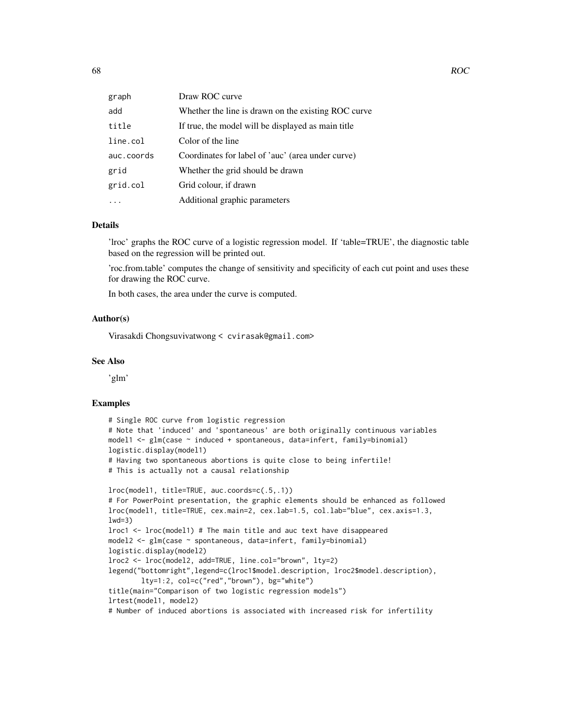| graph      | Draw ROC curve                                      |
|------------|-----------------------------------------------------|
| add        | Whether the line is drawn on the existing ROC curve |
| title      | If true, the model will be displayed as main title  |
| line.col   | Color of the line                                   |
| auc.coords | Coordinates for label of 'auc' (area under curve)   |
| grid       | Whether the grid should be drawn                    |
| grid.col   | Grid colour, if drawn                               |
|            | Additional graphic parameters                       |

### Details

'lroc' graphs the ROC curve of a logistic regression model. If 'table=TRUE', the diagnostic table based on the regression will be printed out.

'roc.from.table' computes the change of sensitivity and specificity of each cut point and uses these for drawing the ROC curve.

In both cases, the area under the curve is computed.

### Author(s)

Virasakdi Chongsuvivatwong < cvirasak@gmail.com>

#### See Also

'glm'

```
# Single ROC curve from logistic regression
# Note that 'induced' and 'spontaneous' are both originally continuous variables
model1 \leq glm(case \sim induced + spontaneous, data=infert, family=binomial)
logistic.display(model1)
# Having two spontaneous abortions is quite close to being infertile!
# This is actually not a causal relationship
lroc(model1, title=TRUE, auc.coords=c(.5,.1))
# For PowerPoint presentation, the graphic elements should be enhanced as followed
lroc(model1, title=TRUE, cex.main=2, cex.lab=1.5, col.lab="blue", cex.axis=1.3,
1wd=3)lroc1 <- lroc(model1) # The main title and auc text have disappeared
model2 <- glm(case ~ spontaneous, data=infert, family=binomial)
logistic.display(model2)
lroc2 <- lroc(model2, add=TRUE, line.col="brown", lty=2)
legend("bottomright",legend=c(lroc1$model.description, lroc2$model.description),
        lty=1:2, col=c("red","brown"), bg="white")
title(main="Comparison of two logistic regression models")
lrtest(model1, model2)
# Number of induced abortions is associated with increased risk for infertility
```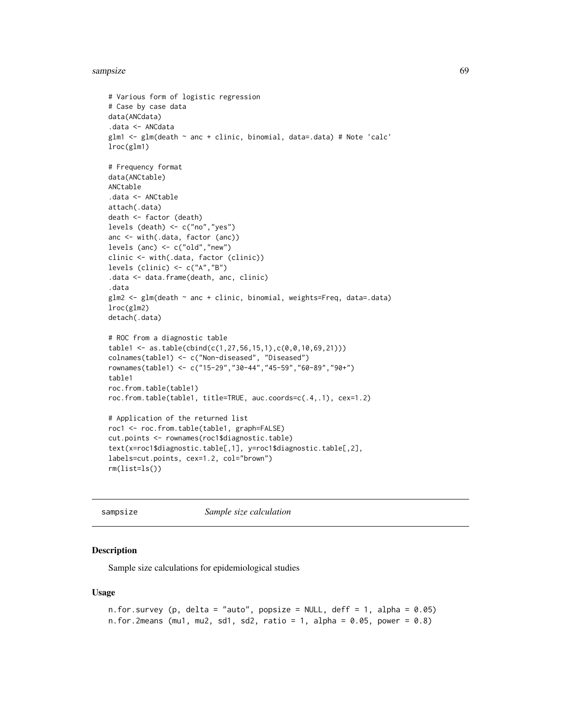#### sampsize 69

```
# Various form of logistic regression
# Case by case data
data(ANCdata)
.data <- ANCdata
glm1 <- glm(death ~ anc + clinic, binomial, data=.data) # Note 'calc'
lroc(glm1)
# Frequency format
data(ANCtable)
ANCtable
.data <- ANCtable
attach(.data)
death <- factor (death)
levels (death) <- c("no","yes")
anc <- with(.data, factor (anc))
levels (anc) <- c("old","new")
clinic <- with(.data, factor (clinic))
levels (clinic) <- c("A","B")
.data <- data.frame(death, anc, clinic)
.data
glm2 <- glm(death ~ anc + clinic, binomial, weights=Freq, data=.data)
lroc(glm2)
detach(.data)
# ROC from a diagnostic table
table1 <- as.table(cbind(c(1,27,56,15,1),c(0,0,10,69,21)))
colnames(table1) <- c("Non-diseased", "Diseased")
rownames(table1) <- c("15-29","30-44","45-59","60-89","90+")
table1
roc.from.table(table1)
roc.from.table(table1, title=TRUE, auc.coords=c(.4,.1), cex=1.2)
# Application of the returned list
roc1 <- roc.from.table(table1, graph=FALSE)
cut.points <- rownames(roc1$diagnostic.table)
text(x=roc1$diagnostic.table[,1], y=roc1$diagnostic.table[,2],
labels=cut.points, cex=1.2, col="brown")
rm(list=ls())
```
sampsize *Sample size calculation*

### Description

Sample size calculations for epidemiological studies

#### Usage

```
n.for.survey (p, delta = "auto", popsize = NULL, deff = 1, alpha = 0.05)
n.for.2means (mu1, mu2, sd1, sd2, ratio = 1, alpha = 0.05, power = 0.8)
```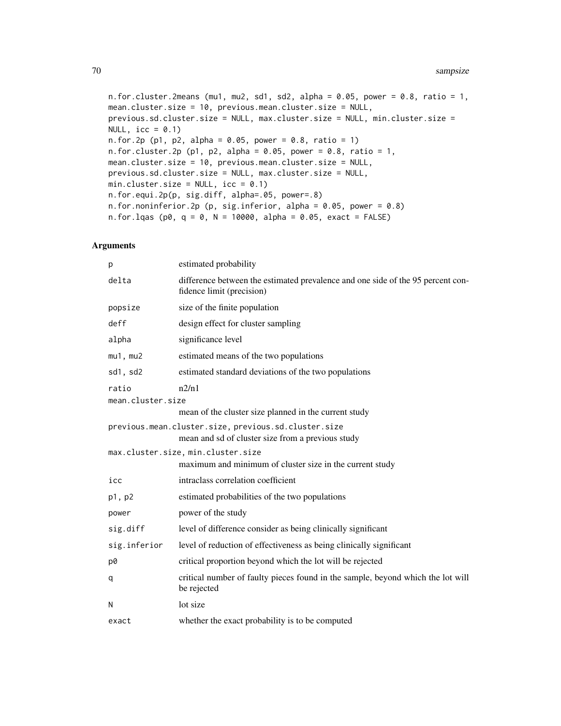```
n.for.cluster.2means (mu1, mu2, sd1, sd2, alpha = 0.05, power = 0.8, ratio = 1,
mean.cluster.size = 10, previous.mean.cluster.size = NULL,
previous.sd.cluster.size = NULL, max.cluster.size = NULL, min.cluster.size =
NULL, \text{icc} = 0.1)
n. for. 2p (p1, p2, alpha = 0.05, power = 0.8, ratio = 1)
n.for.cluster.2p (p1, p2, alpha = 0.05, power = 0.8, ratio = 1,
mean.cluster.size = 10, previous.mean.cluster.size = NULL,
previous.sd.cluster.size = NULL, max.cluster.size = NULL,
min.cluster.size = NULL, icc = 0.1)
n.for.equi.2p(p, sig.diff, alpha=.05, power=.8)
n.for.noninferior.2p (p, sig.inferior, alpha = 0.05, power = 0.8)
n. for.lqas (p0, q = 0, N = 10000, alpha = 0.05, exact = FALSE)
```
### Arguments

| p                 | estimated probability                                                                                        |
|-------------------|--------------------------------------------------------------------------------------------------------------|
| delta             | difference between the estimated prevalence and one side of the 95 percent con-<br>fidence limit (precision) |
| popsize           | size of the finite population                                                                                |
| deff              | design effect for cluster sampling                                                                           |
| alpha             | significance level                                                                                           |
| $mu1$ , $mu2$     | estimated means of the two populations                                                                       |
| sd1, sd2          | estimated standard deviations of the two populations                                                         |
| ratio             | n2/n1                                                                                                        |
| mean.cluster.size |                                                                                                              |
|                   | mean of the cluster size planned in the current study                                                        |
|                   | previous.mean.cluster.size, previous.sd.cluster.size                                                         |
|                   | mean and sd of cluster size from a previous study                                                            |
|                   | max.cluster.size, min.cluster.size<br>maximum and minimum of cluster size in the current study               |
| icc               | intraclass correlation coefficient                                                                           |
| p1, p2            | estimated probabilities of the two populations                                                               |
| power             | power of the study                                                                                           |
| sig.diff          | level of difference consider as being clinically significant                                                 |
| sig.inferior      | level of reduction of effectiveness as being clinically significant                                          |
| p0                | critical proportion beyond which the lot will be rejected                                                    |
| q                 | critical number of faulty pieces found in the sample, beyond which the lot will<br>be rejected               |
| N                 | lot size                                                                                                     |
| exact             | whether the exact probability is to be computed                                                              |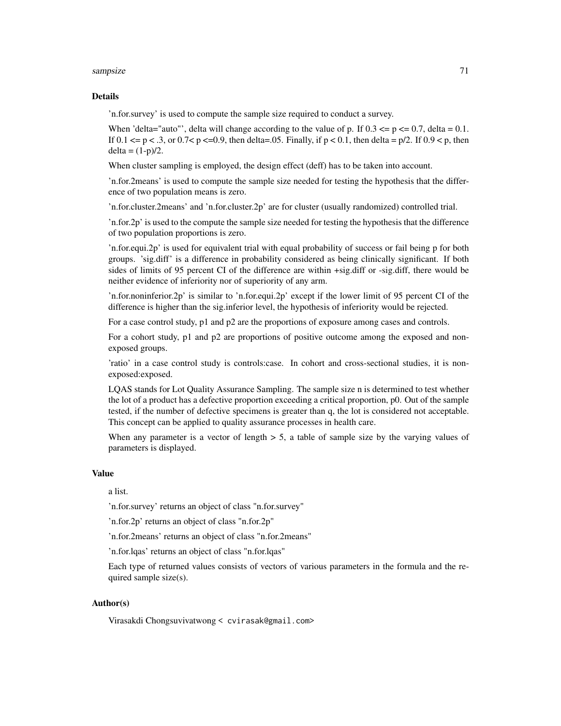#### sampsize 71

#### Details

'n.for.survey' is used to compute the sample size required to conduct a survey.

When 'delta="auto"', delta will change according to the value of p. If  $0.3 \le p \le 0.7$ , delta = 0.1. If 0.1  $\leq$  p  $\leq$  .3, or 0.7 $\leq$  p  $\leq$ =0.9, then delta=.05. Finally, if p  $\leq$  0.1, then delta = p/2. If 0.9  $\leq$  p, then  $delta = (1-p)/2.$ 

When cluster sampling is employed, the design effect (deff) has to be taken into account.

'n.for.2means' is used to compute the sample size needed for testing the hypothesis that the difference of two population means is zero.

'n.for.cluster.2means' and 'n.for.cluster.2p' are for cluster (usually randomized) controlled trial.

'n.for.2p' is used to the compute the sample size needed for testing the hypothesis that the difference of two population proportions is zero.

'n.for.equi.2p' is used for equivalent trial with equal probability of success or fail being p for both groups. 'sig.diff' is a difference in probability considered as being clinically significant. If both sides of limits of 95 percent CI of the difference are within +sig.diff or -sig.diff, there would be neither evidence of inferiority nor of superiority of any arm.

'n.for.noninferior.2p' is similar to 'n.for.equi.2p' except if the lower limit of 95 percent CI of the difference is higher than the sig.inferior level, the hypothesis of inferiority would be rejected.

For a case control study, p1 and p2 are the proportions of exposure among cases and controls.

For a cohort study, p1 and p2 are proportions of positive outcome among the exposed and nonexposed groups.

'ratio' in a case control study is controls:case. In cohort and cross-sectional studies, it is nonexposed:exposed.

LQAS stands for Lot Quality Assurance Sampling. The sample size n is determined to test whether the lot of a product has a defective proportion exceeding a critical proportion, p0. Out of the sample tested, if the number of defective specimens is greater than q, the lot is considered not acceptable. This concept can be applied to quality assurance processes in health care.

When any parameter is a vector of length  $> 5$ , a table of sample size by the varying values of parameters is displayed.

#### Value

a list.

'n.for.survey' returns an object of class "n.for.survey"

'n.for.2p' returns an object of class "n.for.2p"

'n.for.2means' returns an object of class "n.for.2means"

'n.for.lqas' returns an object of class "n.for.lqas"

Each type of returned values consists of vectors of various parameters in the formula and the required sample size(s).

### Author(s)

Virasakdi Chongsuvivatwong < cvirasak@gmail.com>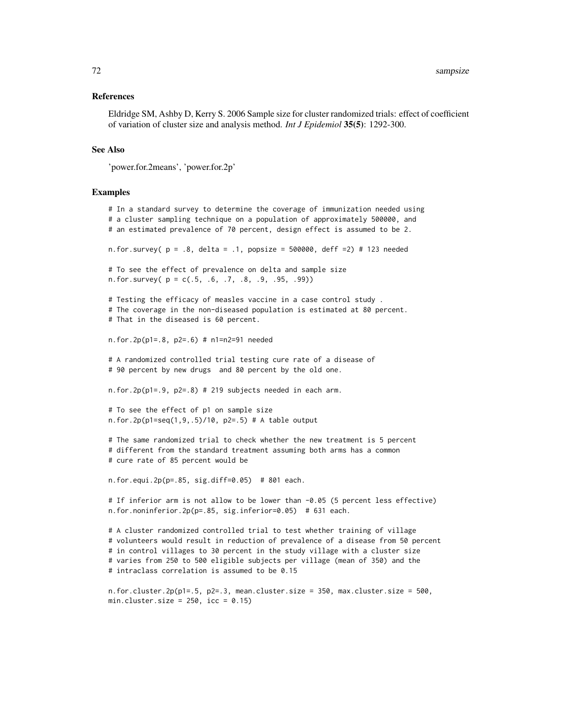#### References

Eldridge SM, Ashby D, Kerry S. 2006 Sample size for cluster randomized trials: effect of coefficient of variation of cluster size and analysis method. *Int J Epidemiol* 35(5): 1292-300.

#### See Also

'power.for.2means', 'power.for.2p'

#### Examples

# In a standard survey to determine the coverage of immunization needed using # a cluster sampling technique on a population of approximately 500000, and # an estimated prevalence of 70 percent, design effect is assumed to be 2. n.for.survey(  $p = .8$ , delta = .1, popsize = 500000, deff = 2) # 123 needed # To see the effect of prevalence on delta and sample size n.for.survey( $p = c(.5, .6, .7, .8, .9, .95, .99)$ ) # Testing the efficacy of measles vaccine in a case control study . # The coverage in the non-diseased population is estimated at 80 percent. # That in the diseased is 60 percent. n.for.2p(p1=.8, p2=.6) # n1=n2=91 needed # A randomized controlled trial testing cure rate of a disease of # 90 percent by new drugs and 80 percent by the old one. n.for.2p(p1=.9, p2=.8) # 219 subjects needed in each arm. # To see the effect of p1 on sample size n.for.2p(p1=seq(1,9,.5)/10, p2=.5) # A table output # The same randomized trial to check whether the new treatment is 5 percent # different from the standard treatment assuming both arms has a common # cure rate of 85 percent would be n.for.equi.2p(p=.85, sig.diff=0.05) # 801 each. # If inferior arm is not allow to be lower than -0.05 (5 percent less effective) n.for.noninferior.2p(p=.85, sig.inferior=0.05) # 631 each. # A cluster randomized controlled trial to test whether training of village # volunteers would result in reduction of prevalence of a disease from 50 percent # in control villages to 30 percent in the study village with a cluster size # varies from 250 to 500 eligible subjects per village (mean of 350) and the # intraclass correlation is assumed to be 0.15 n.for.cluster.2p( $p1 = .5$ ,  $p2 = .3$ , mean.cluster.size = 350, max.cluster.size = 500, min.cluster.size =  $250$ , icc =  $0.15$ )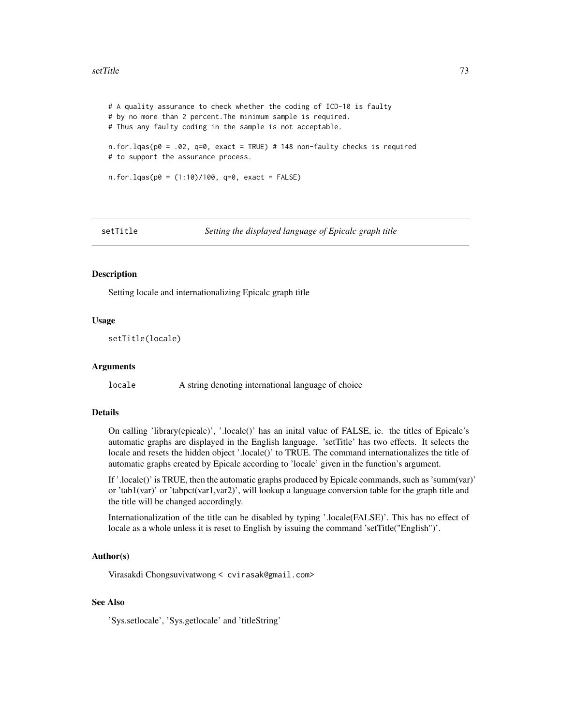#### <span id="page-72-0"></span>setTitle 73

```
# A quality assurance to check whether the coding of ICD-10 is faulty
# by no more than 2 percent.The minimum sample is required.
# Thus any faulty coding in the sample is not acceptable.
n.for.lqas(p0 = .02, q=0, exact = TRUE) # 148 non-faulty checks is required
# to support the assurance process.
n. for. lqas(p0 = (1:10)/100, q=0, exact = FALSE)
```
setTitle *Setting the displayed language of Epicalc graph title*

#### **Description**

Setting locale and internationalizing Epicalc graph title

#### Usage

```
setTitle(locale)
```
#### **Arguments**

locale A string denoting international language of choice

#### Details

On calling 'library(epicalc)', '.locale()' has an inital value of FALSE, ie. the titles of Epicalc's automatic graphs are displayed in the English language. 'setTitle' has two effects. It selects the locale and resets the hidden object '.locale()' to TRUE. The command internationalizes the title of automatic graphs created by Epicalc according to 'locale' given in the function's argument.

If '.locale()' is TRUE, then the automatic graphs produced by Epicalc commands, such as 'summ(var)' or 'tab1(var)' or 'tabpct(var1,var2)', will lookup a language conversion table for the graph title and the title will be changed accordingly.

Internationalization of the title can be disabled by typing '.locale(FALSE)'. This has no effect of locale as a whole unless it is reset to English by issuing the command 'setTitle("English")'.

#### Author(s)

Virasakdi Chongsuvivatwong < cvirasak@gmail.com>

### See Also

'Sys.setlocale', 'Sys.getlocale' and 'titleString'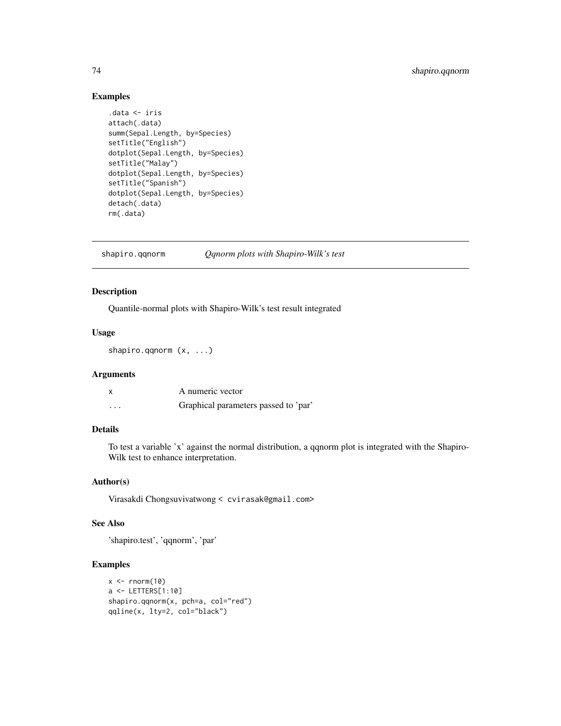# Examples

```
.data <- iris
attach(.data)
summ(Sepal.Length, by=Species)
setTitle("English")
dotplot(Sepal.Length, by=Species)
setTitle("Malay")
dotplot(Sepal.Length, by=Species)
setTitle("Spanish")
dotplot(Sepal.Length, by=Species)
detach(.data)
rm(.data)
```
shapiro.qqnorm *Qqnorm plots with Shapiro-Wilk's test*

#### Description

Quantile-normal plots with Shapiro-Wilk's test result integrated

# Usage

shapiro.qqnorm (x, ...)

# Arguments

|                   | A numeric vector                     |
|-------------------|--------------------------------------|
| $\cdot\cdot\cdot$ | Graphical parameters passed to 'par' |

# Details

To test a variable 'x' against the normal distribution, a qqnorm plot is integrated with the Shapiro-Wilk test to enhance interpretation.

# Author(s)

Virasakdi Chongsuvivatwong < cvirasak@gmail.com>

### See Also

'shapiro.test', 'qqnorm', 'par'

# Examples

```
x \le - rnorm(10)
a <- LETTERS[1:10]
shapiro.qqnorm(x, pch=a, col="red")
qqline(x, lty=2, col="black")
```
<span id="page-73-0"></span>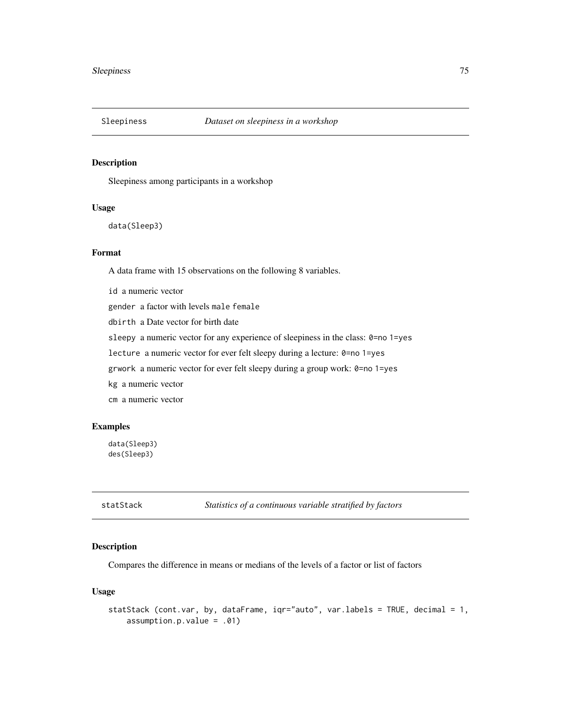<span id="page-74-0"></span>

# Description

Sleepiness among participants in a workshop

#### Usage

```
data(Sleep3)
```
# Format

A data frame with 15 observations on the following 8 variables.

id a numeric vector gender a factor with levels male female dbirth a Date vector for birth date sleepy a numeric vector for any experience of sleepiness in the class: 0=no 1=yes lecture a numeric vector for ever felt sleepy during a lecture: 0=no 1=yes grwork a numeric vector for ever felt sleepy during a group work: 0=no 1=yes kg a numeric vector cm a numeric vector

# Examples

data(Sleep3) des(Sleep3)

statStack *Statistics of a continuous variable stratified by factors*

# Description

Compares the difference in means or medians of the levels of a factor or list of factors

#### Usage

```
statStack (cont.var, by, dataFrame, iqr="auto", var.labels = TRUE, decimal = 1,
   assumption.p.value = .01)
```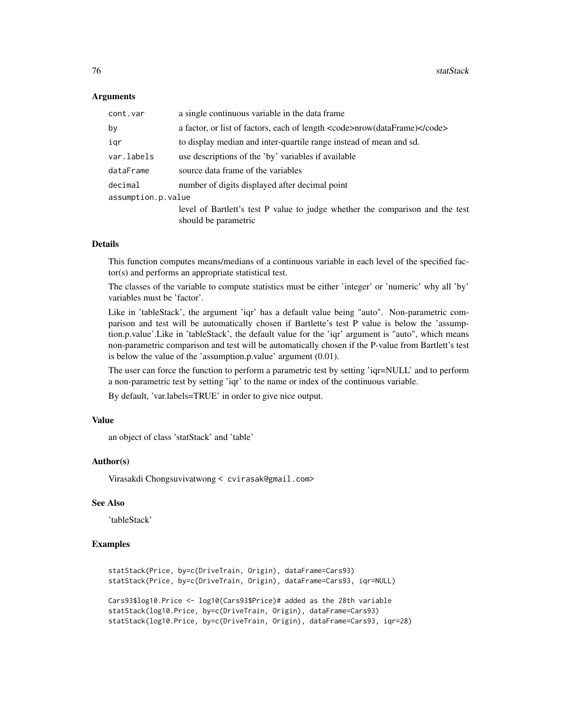#### Arguments

| cont.var           | a single continuous variable in the data frame.                                                       |
|--------------------|-------------------------------------------------------------------------------------------------------|
| by                 | a factor, or list of factors, each of length <code>nrow(dataFrame)</code>                             |
| igr                | to display median and inter-quartile range instead of mean and sd.                                    |
| var.labels         | use descriptions of the 'by' variables if available                                                   |
| dataFrame          | source data frame of the variables                                                                    |
| decimal            | number of digits displayed after decimal point                                                        |
| assumption.p.value |                                                                                                       |
|                    | level of Bartlett's test P value to judge whether the comparison and the test<br>should be parametric |

#### Details

This function computes means/medians of a continuous variable in each level of the specified factor(s) and performs an appropriate statistical test.

The classes of the variable to compute statistics must be either 'integer' or 'numeric' why all 'by' variables must be 'factor'.

Like in 'tableStack', the argument 'iqr' has a default value being "auto". Non-parametric comparison and test will be automatically chosen if Bartlette's test P value is below the 'assumption.p.value'.Like in 'tableStack', the default value for the 'iqr' argument is "auto", which means non-parametric comparison and test will be automatically chosen if the P-value from Bartlett's test is below the value of the 'assumption.p.value' argument (0.01).

The user can force the function to perform a parametric test by setting 'iqr=NULL' and to perform a non-parametric test by setting 'iqr' to the name or index of the continuous variable.

By default, 'var.labels=TRUE' in order to give nice output.

#### Value

an object of class 'statStack' and 'table'

#### Author(s)

Virasakdi Chongsuvivatwong < cvirasak@gmail.com>

#### See Also

'tableStack'

### Examples

statStack(Price, by=c(DriveTrain, Origin), dataFrame=Cars93) statStack(Price, by=c(DriveTrain, Origin), dataFrame=Cars93, iqr=NULL)

Cars93\$log10.Price <- log10(Cars93\$Price)# added as the 28th variable statStack(log10.Price, by=c(DriveTrain, Origin), dataFrame=Cars93) statStack(log10.Price, by=c(DriveTrain, Origin), dataFrame=Cars93, iqr=28)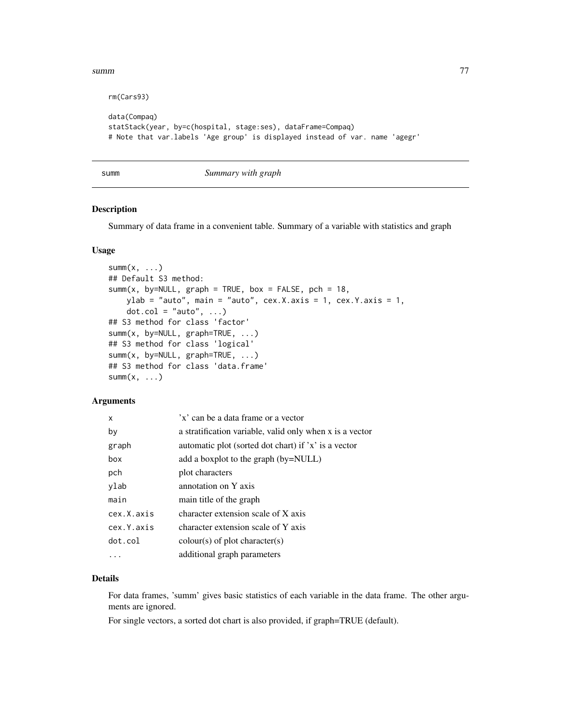<span id="page-76-0"></span>summ and the contract of the contract of the contract of the contract of the contract of the contract of the contract of the contract of the contract of the contract of the contract of the contract of the contract of the c

rm(Cars93)

```
data(Compaq)
statStack(year, by=c(hospital, stage:ses), dataFrame=Compaq)
# Note that var.labels 'Age group' is displayed instead of var. name 'agegr'
```
summ *Summary with graph*

#### Description

Summary of data frame in a convenient table. Summary of a variable with statistics and graph

#### Usage

```
summ(x, \ldots)## Default S3 method:
summ(x, by=NULL, graph = TRUE, box = FALSE, pch = 18,
    ylab = "auto", main = "auto", cex.X.axis = 1, cex.Y.axis = 1,
    dot.col = "auto", ...)## S3 method for class 'factor'
summ(x, by=NULL, graph=TRUE, ...)
## S3 method for class 'logical'
summ(x, by=NULL, graph=TRUE, ...)
## S3 method for class 'data.frame'
summ(x, \ldots)
```
# **Arguments**

| X          | 'x' can be a data frame or a vector                      |
|------------|----------------------------------------------------------|
| by         | a stratification variable, valid only when x is a vector |
| graph      | automatic plot (sorted dot chart) if 'x' is a vector     |
| box        | add a boxplot to the graph (by=NULL)                     |
| pch        | plot characters                                          |
| ylab       | annotation on Y axis                                     |
| main       | main title of the graph                                  |
| cex.X.axis | character extension scale of X axis                      |
| cex.Y.axis | character extension scale of Y axis                      |
| dot.col    | $\text{colour}(s)$ of plot character(s)                  |
|            | additional graph parameters                              |

#### Details

For data frames, 'summ' gives basic statistics of each variable in the data frame. The other arguments are ignored.

For single vectors, a sorted dot chart is also provided, if graph=TRUE (default).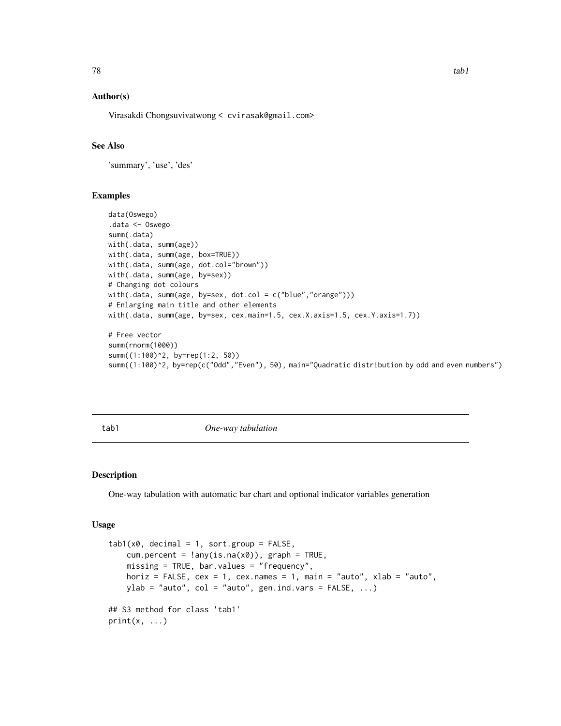# <span id="page-77-0"></span>Author(s)

Virasakdi Chongsuvivatwong < cvirasak@gmail.com>

# See Also

'summary', 'use', 'des'

#### Examples

```
data(Oswego)
.data <- Oswego
summ(.data)
with(.data, summ(age))
with(.data, summ(age, box=TRUE))
with(.data, summ(age, dot.col="brown"))
with(.data, summ(age, by=sex))
# Changing dot colours
with(.data, summ(age, by=sex, dot.col = c("blue","orange")))
# Enlarging main title and other elements
with(.data, summ(age, by=sex, cex.main=1.5, cex.X.axis=1.5, cex.Y.axis=1.7))
# Free vector
summ(rnorm(1000))
summ((1:100)^2, by=rep(1:2, 50))
summ((1:100)^2, by=rep(c("Odd","Even"), 50), main="Quadratic distribution by odd and even numbers")
```
tab1 *One-way tabulation*

# Description

One-way tabulation with automatic bar chart and optional indicator variables generation

#### Usage

```
tab1(x0, decimal = 1, sort.group = FALSE,cum.percent = !\text{any}(is.na(x0)), graph = TRUE,
   missing = TRUE, bar.values = "frequency",
    horiz = FALSE, cex = 1, cex.name = 1, main = "auto", xlab = "auto",ylab = "auto", col = "auto", gen.ind.vars = FALSE, ...)
## S3 method for class 'tab1'
print(x, \ldots)
```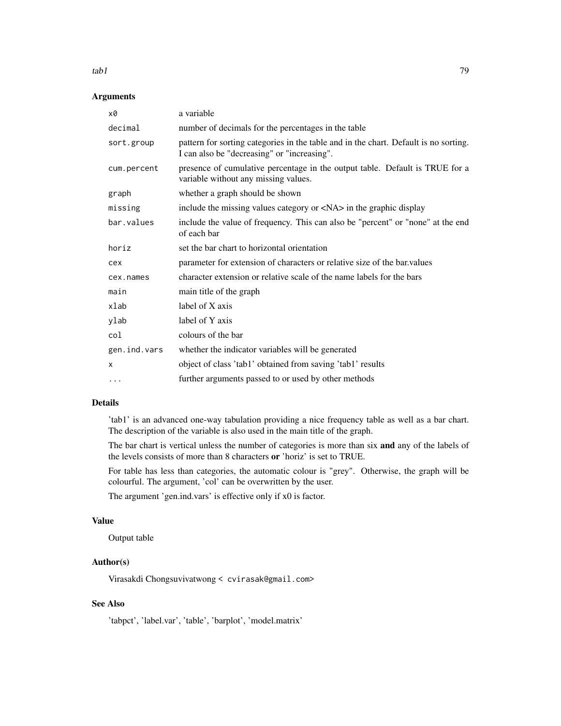# $t$ ab1 79

# Arguments

| x0           | a variable                                                                                                                          |
|--------------|-------------------------------------------------------------------------------------------------------------------------------------|
| decimal      | number of decimals for the percentages in the table                                                                                 |
| sort.group   | pattern for sorting categories in the table and in the chart. Default is no sorting.<br>I can also be "decreasing" or "increasing". |
| cum.percent  | presence of cumulative percentage in the output table. Default is TRUE for a<br>variable without any missing values.                |
| graph        | whether a graph should be shown                                                                                                     |
| missing      | include the missing values category or <na> in the graphic display</na>                                                             |
| bar.values   | include the value of frequency. This can also be "percent" or "none" at the end<br>of each bar                                      |
| horiz        | set the bar chart to horizontal orientation                                                                                         |
| cex          | parameter for extension of characters or relative size of the bar values                                                            |
| cex.names    | character extension or relative scale of the name labels for the bars                                                               |
| main         | main title of the graph                                                                                                             |
| xlab         | label of X axis                                                                                                                     |
| ylab         | label of Y axis                                                                                                                     |
| col          | colours of the bar                                                                                                                  |
| gen.ind.vars | whether the indicator variables will be generated                                                                                   |
| X            | object of class 'tab1' obtained from saving 'tab1' results                                                                          |
| $\cdots$     | further arguments passed to or used by other methods                                                                                |

# Details

'tab1' is an advanced one-way tabulation providing a nice frequency table as well as a bar chart. The description of the variable is also used in the main title of the graph.

The bar chart is vertical unless the number of categories is more than six and any of the labels of the levels consists of more than 8 characters or 'horiz' is set to TRUE.

For table has less than categories, the automatic colour is "grey". Otherwise, the graph will be colourful. The argument, 'col' can be overwritten by the user.

The argument 'gen.ind.vars' is effective only if x0 is factor.

# Value

Output table

# Author(s)

Virasakdi Chongsuvivatwong < cvirasak@gmail.com>

# See Also

'tabpct', 'label.var', 'table', 'barplot', 'model.matrix'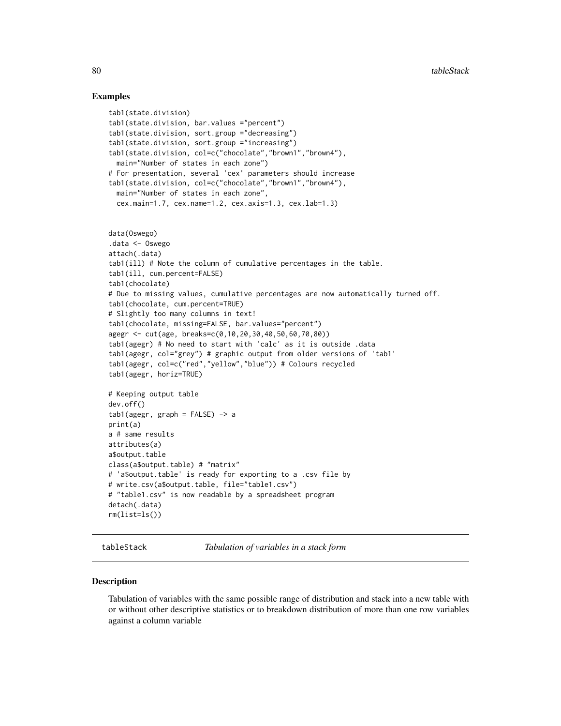#### Examples

```
tab1(state.division)
tab1(state.division, bar.values ="percent")
tab1(state.division, sort.group ="decreasing")
tab1(state.division, sort.group ="increasing")
tab1(state.division, col=c("chocolate","brown1","brown4"),
 main="Number of states in each zone")
# For presentation, several 'cex' parameters should increase
tab1(state.division, col=c("chocolate","brown1","brown4"),
 main="Number of states in each zone",
 cex.main=1.7, cex.name=1.2, cex.axis=1.3, cex.lab=1.3)
data(Oswego)
.data <- Oswego
attach(.data)
tab1(ill) # Note the column of cumulative percentages in the table.
tab1(ill, cum.percent=FALSE)
tab1(chocolate)
# Due to missing values, cumulative percentages are now automatically turned off.
tab1(chocolate, cum.percent=TRUE)
# Slightly too many columns in text!
tab1(chocolate, missing=FALSE, bar.values="percent")
agegr <- cut(age, breaks=c(0,10,20,30,40,50,60,70,80))
tab1(agegr) # No need to start with 'calc' as it is outside .data
tab1(agegr, col="grey") # graphic output from older versions of 'tab1'
tab1(agegr, col=c("red","yellow","blue")) # Colours recycled
tab1(agegr, horiz=TRUE)
# Keeping output table
dev.off()
tab1(ager, graph = FALSE) -> a
print(a)
a # same results
attributes(a)
a$output.table
class(a$output.table) # "matrix"
# 'a$output.table' is ready for exporting to a .csv file by
# write.csv(a$output.table, file="table1.csv")
# "table1.csv" is now readable by a spreadsheet program
detach(.data)
rm(list=ls())
```
tableStack *Tabulation of variables in a stack form*

#### **Description**

Tabulation of variables with the same possible range of distribution and stack into a new table with or without other descriptive statistics or to breakdown distribution of more than one row variables against a column variable

<span id="page-79-0"></span>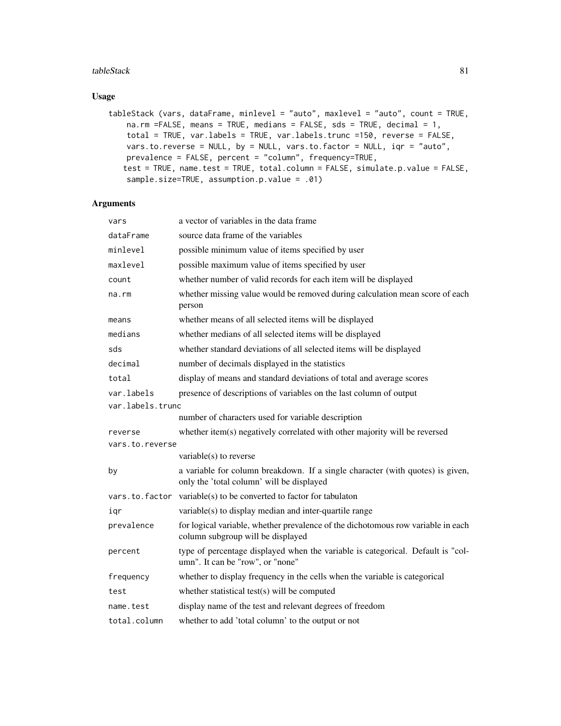#### tableStack 81

# Usage

```
tableStack (vars, dataFrame, minlevel = "auto", maxlevel = "auto", count = TRUE,
   na.rm =FALSE, means = TRUE, medians = FALSE, sds = TRUE, decimal = 1,
   total = TRUE, var.labels = TRUE, var.labels.trunc =150, reverse = FALSE,
   vars.to.reverse = NULL, by = NULL, vars.to.factor = NULL, iqr = "auto",
   prevalence = FALSE, percent = "column", frequency=TRUE,
   test = TRUE, name.test = TRUE, total.column = FALSE, simulate.p.value = FALSE,
   sample.size=TRUE, assumption.p.value = .01)
```
# Arguments

| vars             | a vector of variables in the data frame                                                                                     |
|------------------|-----------------------------------------------------------------------------------------------------------------------------|
| dataFrame        | source data frame of the variables                                                                                          |
| minlevel         | possible minimum value of items specified by user                                                                           |
| maxlevel         | possible maximum value of items specified by user                                                                           |
| count            | whether number of valid records for each item will be displayed                                                             |
| na.rm            | whether missing value would be removed during calculation mean score of each<br>person                                      |
| means            | whether means of all selected items will be displayed                                                                       |
| medians          | whether medians of all selected items will be displayed                                                                     |
| sds              | whether standard deviations of all selected items will be displayed                                                         |
| decimal          | number of decimals displayed in the statistics                                                                              |
| total            | display of means and standard deviations of total and average scores                                                        |
| var.labels       | presence of descriptions of variables on the last column of output                                                          |
| var.labels.trunc |                                                                                                                             |
|                  | number of characters used for variable description                                                                          |
| reverse          | whether item(s) negatively correlated with other majority will be reversed                                                  |
| vars.to.reverse  |                                                                                                                             |
|                  | variable(s) to reverse                                                                                                      |
| by               | a variable for column breakdown. If a single character (with quotes) is given,<br>only the 'total column' will be displayed |
| vars.to.factor   | variable(s) to be converted to factor for tabulaton                                                                         |
| igr              | variable(s) to display median and inter-quartile range                                                                      |
| prevalence       | for logical variable, whether prevalence of the dichotomous row variable in each<br>column subgroup will be displayed       |
| percent          | type of percentage displayed when the variable is categorical. Default is "col-<br>umn". It can be "row", or "none"         |
| frequency        | whether to display frequency in the cells when the variable is categorical                                                  |
| test             | whether statistical test(s) will be computed                                                                                |
| name.test        | display name of the test and relevant degrees of freedom                                                                    |
| total.column     | whether to add 'total column' to the output or not                                                                          |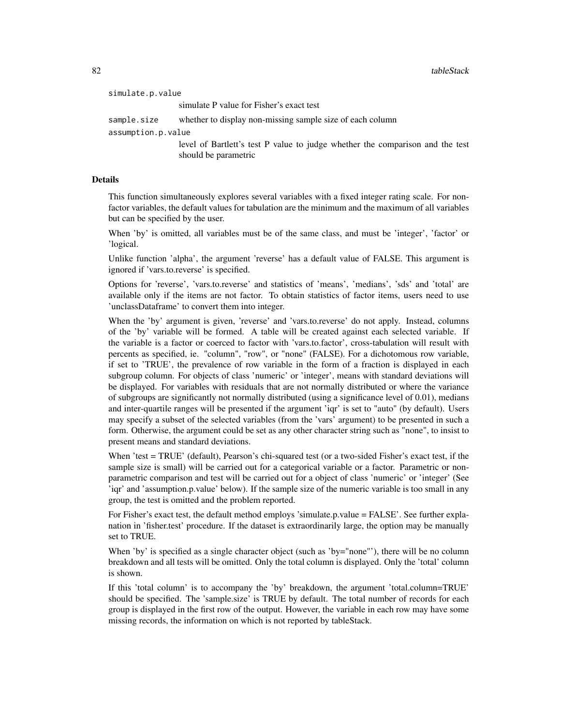| simulate.p.value   |                                                                                                       |
|--------------------|-------------------------------------------------------------------------------------------------------|
|                    | simulate P value for Fisher's exact test                                                              |
| sample.size        | whether to display non-missing sample size of each column                                             |
| assumption.p.value |                                                                                                       |
|                    | level of Bartlett's test P value to judge whether the comparison and the test<br>should be parametric |
|                    |                                                                                                       |

#### Details

This function simultaneously explores several variables with a fixed integer rating scale. For nonfactor variables, the default values for tabulation are the minimum and the maximum of all variables but can be specified by the user.

When 'by' is omitted, all variables must be of the same class, and must be 'integer', 'factor' or 'logical.

Unlike function 'alpha', the argument 'reverse' has a default value of FALSE. This argument is ignored if 'vars.to.reverse' is specified.

Options for 'reverse', 'vars.to.reverse' and statistics of 'means', 'medians', 'sds' and 'total' are available only if the items are not factor. To obtain statistics of factor items, users need to use 'unclassDataframe' to convert them into integer.

When the 'by' argument is given, 'reverse' and 'vars.to.reverse' do not apply. Instead, columns of the 'by' variable will be formed. A table will be created against each selected variable. If the variable is a factor or coerced to factor with 'vars.to.factor', cross-tabulation will result with percents as specified, ie. "column", "row", or "none" (FALSE). For a dichotomous row variable, if set to 'TRUE', the prevalence of row variable in the form of a fraction is displayed in each subgroup column. For objects of class 'numeric' or 'integer', means with standard deviations will be displayed. For variables with residuals that are not normally distributed or where the variance of subgroups are significantly not normally distributed (using a significance level of 0.01), medians and inter-quartile ranges will be presented if the argument 'iqr' is set to "auto" (by default). Users may specify a subset of the selected variables (from the 'vars' argument) to be presented in such a form. Otherwise, the argument could be set as any other character string such as "none", to insist to present means and standard deviations.

When 'test = TRUE' (default), Pearson's chi-squared test (or a two-sided Fisher's exact test, if the sample size is small) will be carried out for a categorical variable or a factor. Parametric or nonparametric comparison and test will be carried out for a object of class 'numeric' or 'integer' (See 'iqr' and 'assumption.p.value' below). If the sample size of the numeric variable is too small in any group, the test is omitted and the problem reported.

For Fisher's exact test, the default method employs 'simulate.p.value = FALSE'. See further explanation in 'fisher.test' procedure. If the dataset is extraordinarily large, the option may be manually set to TRUE.

When 'by' is specified as a single character object (such as 'by="none"'), there will be no column breakdown and all tests will be omitted. Only the total column is displayed. Only the 'total' column is shown.

If this 'total column' is to accompany the 'by' breakdown, the argument 'total.column=TRUE' should be specified. The 'sample.size' is TRUE by default. The total number of records for each group is displayed in the first row of the output. However, the variable in each row may have some missing records, the information on which is not reported by tableStack.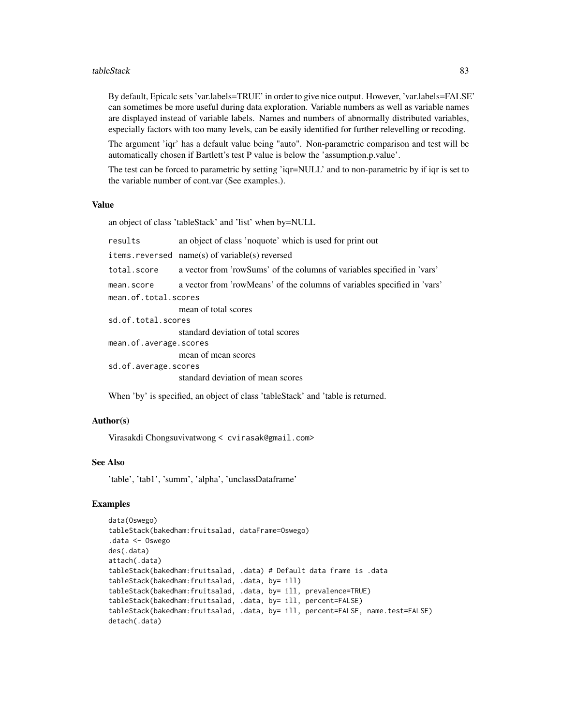#### tableStack 83

By default, Epicalc sets 'var.labels=TRUE' in order to give nice output. However, 'var.labels=FALSE' can sometimes be more useful during data exploration. Variable numbers as well as variable names are displayed instead of variable labels. Names and numbers of abnormally distributed variables, especially factors with too many levels, can be easily identified for further relevelling or recoding.

The argument 'iqr' has a default value being "auto". Non-parametric comparison and test will be automatically chosen if Bartlett's test P value is below the 'assumption.p.value'.

The test can be forced to parametric by setting 'iqr=NULL' and to non-parametric by if iqr is set to the variable number of cont.var (See examples.).

#### Value

an object of class 'tableStack' and 'list' when by=NULL

results an object of class 'noquote' which is used for print out

items.reversed name(s) of variable(s) reversed

total.score a vector from 'rowSums' of the columns of variables specified in 'vars'

mean.score a vector from 'rowMeans' of the columns of variables specified in 'vars'

mean.of.total.scores

mean of total scores sd.of.total.scores

standard deviation of total scores

mean.of.average.scores

mean of mean scores sd.of.average.scores

standard deviation of mean scores

When 'by' is specified, an object of class 'tableStack' and 'table is returned.

#### Author(s)

Virasakdi Chongsuvivatwong < cvirasak@gmail.com>

#### See Also

'table', 'tab1', 'summ', 'alpha', 'unclassDataframe'

# Examples

```
data(Oswego)
tableStack(bakedham:fruitsalad, dataFrame=Oswego)
.data <- Oswego
des(.data)
attach(.data)
tableStack(bakedham:fruitsalad, .data) # Default data frame is .data
tableStack(bakedham:fruitsalad, .data, by= ill)
tableStack(bakedham:fruitsalad, .data, by= ill, prevalence=TRUE)
tableStack(bakedham:fruitsalad, .data, by= ill, percent=FALSE)
tableStack(bakedham:fruitsalad, .data, by= ill, percent=FALSE, name.test=FALSE)
detach(.data)
```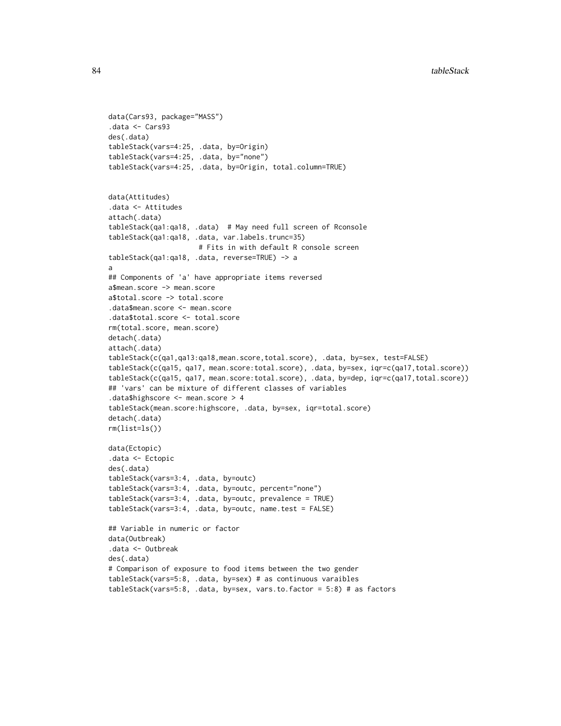```
data(Cars93, package="MASS")
.data <- Cars93
des(.data)
tableStack(vars=4:25, .data, by=Origin)
tableStack(vars=4:25, .data, by="none")
tableStack(vars=4:25, .data, by=Origin, total.column=TRUE)
data(Attitudes)
.data <- Attitudes
attach(.data)
tableStack(qa1:qa18, .data) # May need full screen of Rconsole
tableStack(qa1:qa18, .data, var.labels.trunc=35)
                      # Fits in with default R console screen
tableStack(qa1:qa18, .data, reverse=TRUE) -> a
a
## Components of 'a' have appropriate items reversed
a$mean.score -> mean.score
a$total.score -> total.score
.data$mean.score <- mean.score
.data$total.score <- total.score
rm(total.score, mean.score)
detach(.data)
attach(.data)
tableStack(c(qa1,qa13:qa18,mean.score,total.score), .data, by=sex, test=FALSE)
tableStack(c(qa15, qa17, mean.score:total.score), .data, by=sex, iqr=c(qa17,total.score))
tableStack(c(qa15, qa17, mean.score:total.score), .data, by=dep, iqr=c(qa17,total.score))
## 'vars' can be mixture of different classes of variables
.data$highscore <- mean.score > 4
tableStack(mean.score:highscore, .data, by=sex, iqr=total.score)
detach(.data)
rm(list=ls())
data(Ectopic)
.data <- Ectopic
des(.data)
tableStack(vars=3:4, .data, by=outc)
tableStack(vars=3:4, .data, by=outc, percent="none")
tableStack(vars=3:4, .data, by=outc, prevalence = TRUE)
tableStack(vars=3:4, .data, by=outc, name.test = FALSE)
## Variable in numeric or factor
data(Outbreak)
.data <- Outbreak
des(.data)
# Comparison of exposure to food items between the two gender
tableStack(vars=5:8, .data, by=sex) # as continuous varaibles
tableStack(vars=5:8, .data, by=sex, vars.to.factor = 5:8) # as factors
```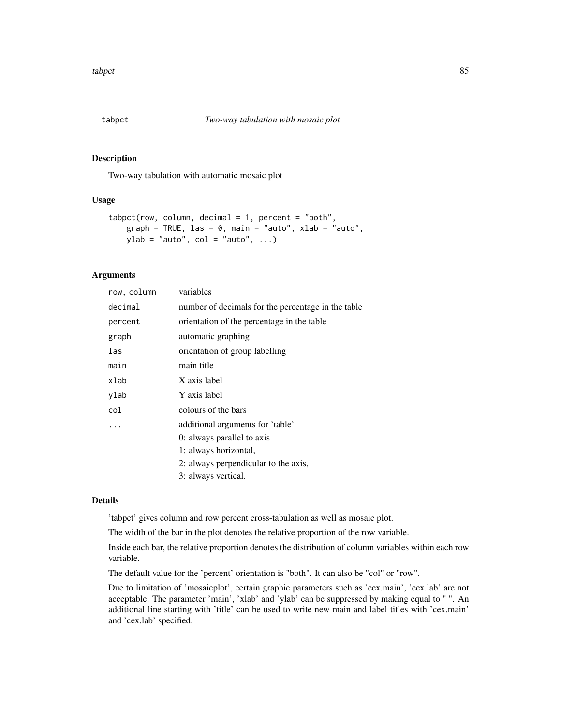#### <span id="page-84-0"></span>Description

Two-way tabulation with automatic mosaic plot

#### Usage

```
tabpet(row, column, decimal = 1, percent = "both",graph = TRUE, las = 0, main = "auto", xlab = "auto",ylab = "auto", col = "auto", ...)
```
# Arguments

| row, column | variables                                          |
|-------------|----------------------------------------------------|
| decimal     | number of decimals for the percentage in the table |
| percent     | orientation of the percentage in the table         |
| graph       | automatic graphing                                 |
| las         | orientation of group labelling                     |
| main        | main title                                         |
| xlab        | X axis label                                       |
| ylab        | Y axis label                                       |
| col         | colours of the bars                                |
| .           | additional arguments for 'table'                   |
|             | 0: always parallel to axis                         |
|             | 1: always horizontal,                              |
|             | 2: always perpendicular to the axis,               |
|             | 3: always vertical.                                |
|             |                                                    |

### Details

'tabpct' gives column and row percent cross-tabulation as well as mosaic plot.

The width of the bar in the plot denotes the relative proportion of the row variable.

Inside each bar, the relative proportion denotes the distribution of column variables within each row variable.

The default value for the 'percent' orientation is "both". It can also be "col" or "row".

Due to limitation of 'mosaicplot', certain graphic parameters such as 'cex.main', 'cex.lab' are not acceptable. The parameter 'main', 'xlab' and 'ylab' can be suppressed by making equal to " ". An additional line starting with 'title' can be used to write new main and label titles with 'cex.main' and 'cex.lab' specified.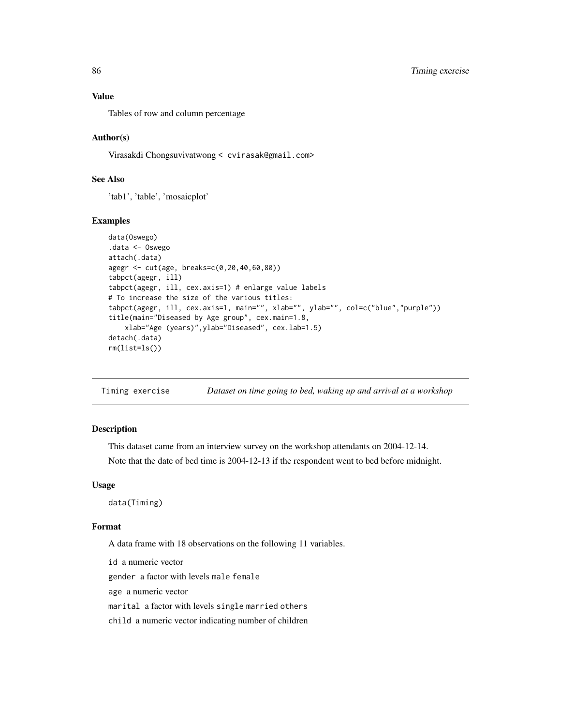#### <span id="page-85-0"></span>Value

Tables of row and column percentage

#### Author(s)

Virasakdi Chongsuvivatwong < cvirasak@gmail.com>

# See Also

'tab1', 'table', 'mosaicplot'

#### Examples

```
data(Oswego)
.data <- Oswego
attach(.data)
agegr <- cut(age, breaks=c(0,20,40,60,80))
tabpct(agegr, ill)
tabpct(agegr, ill, cex.axis=1) # enlarge value labels
# To increase the size of the various titles:
tabpct(agegr, ill, cex.axis=1, main="", xlab="", ylab="", col=c("blue","purple"))
title(main="Diseased by Age group", cex.main=1.8,
   xlab="Age (years)",ylab="Diseased", cex.lab=1.5)
detach(.data)
rm(list=ls())
```
Timing exercise *Dataset on time going to bed, waking up and arrival at a workshop*

# Description

This dataset came from an interview survey on the workshop attendants on 2004-12-14.

Note that the date of bed time is 2004-12-13 if the respondent went to bed before midnight.

#### Usage

data(Timing)

#### Format

A data frame with 18 observations on the following 11 variables.

id a numeric vector

gender a factor with levels male female

age a numeric vector

marital a factor with levels single married others

child a numeric vector indicating number of children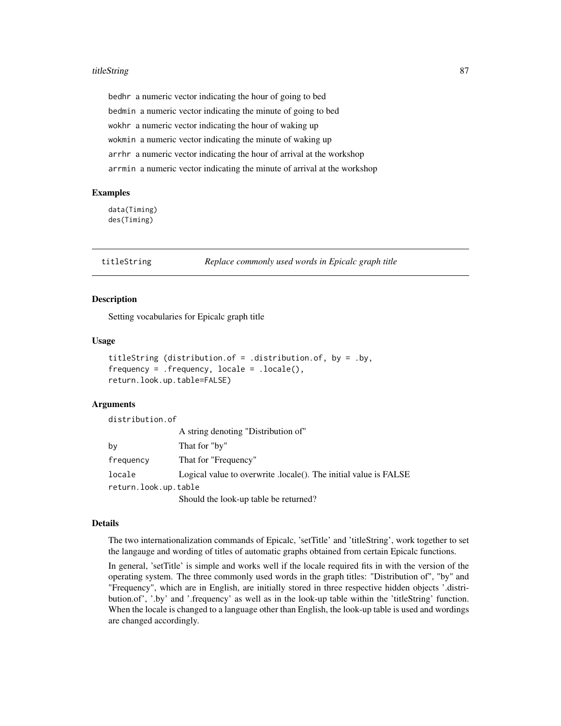#### <span id="page-86-0"></span>titleString 87

bedhr a numeric vector indicating the hour of going to bed bedmin a numeric vector indicating the minute of going to bed wokhr a numeric vector indicating the hour of waking up wokmin a numeric vector indicating the minute of waking up arrhr a numeric vector indicating the hour of arrival at the workshop arrmin a numeric vector indicating the minute of arrival at the workshop

#### Examples

data(Timing) des(Timing)

titleString *Replace commonly used words in Epicalc graph title*

#### **Description**

Setting vocabularies for Epicalc graph title

#### Usage

```
titleString (distribution.of = .distribution.of, by = .by,
frequency = .frequency, locale = .locale(),
return.look.up.table=FALSE)
```
#### Arguments

distribution.of

|                      | A string denoting "Distribution of"                              |
|----------------------|------------------------------------------------------------------|
| by                   | That for "by"                                                    |
| frequency            | That for "Frequency"                                             |
| locale               | Logical value to overwrite .locale(). The initial value is FALSE |
| return.look.up.table |                                                                  |
|                      | Should the look-up table be returned?                            |

#### Details

The two internationalization commands of Epicalc, 'setTitle' and 'titleString', work together to set the langauge and wording of titles of automatic graphs obtained from certain Epicalc functions.

In general, 'setTitle' is simple and works well if the locale required fits in with the version of the operating system. The three commonly used words in the graph titles: "Distribution of", "by" and "Frequency", which are in English, are initially stored in three respective hidden objects '.distribution.of', '.by' and '.frequency' as well as in the look-up table within the 'titleString' function. When the locale is changed to a language other than English, the look-up table is used and wordings are changed accordingly.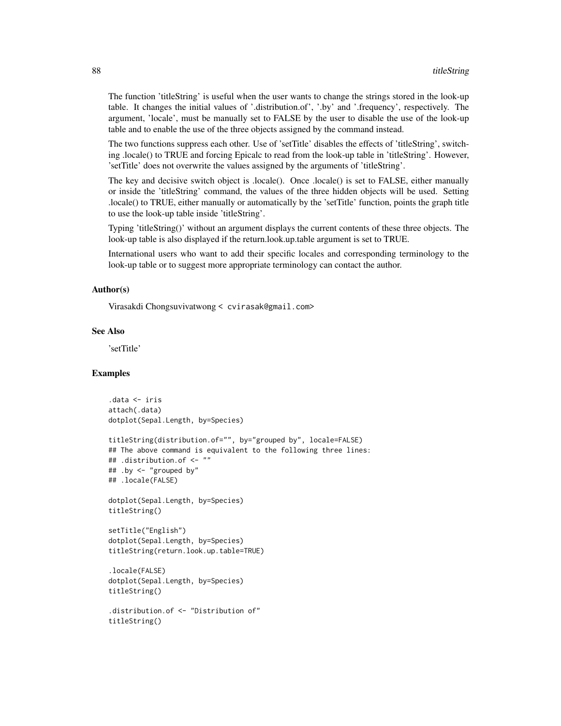The function 'titleString' is useful when the user wants to change the strings stored in the look-up table. It changes the initial values of '.distribution.of', '.by' and '.frequency', respectively. The argument, 'locale', must be manually set to FALSE by the user to disable the use of the look-up table and to enable the use of the three objects assigned by the command instead.

The two functions suppress each other. Use of 'setTitle' disables the effects of 'titleString', switching .locale() to TRUE and forcing Epicalc to read from the look-up table in 'titleString'. However, 'setTitle' does not overwrite the values assigned by the arguments of 'titleString'.

The key and decisive switch object is .locale(). Once .locale() is set to FALSE, either manually or inside the 'titleString' command, the values of the three hidden objects will be used. Setting .locale() to TRUE, either manually or automatically by the 'setTitle' function, points the graph title to use the look-up table inside 'titleString'.

Typing 'titleString()' without an argument displays the current contents of these three objects. The look-up table is also displayed if the return.look.up.table argument is set to TRUE.

International users who want to add their specific locales and corresponding terminology to the look-up table or to suggest more appropriate terminology can contact the author.

#### Author(s)

Virasakdi Chongsuvivatwong < cvirasak@gmail.com>

#### See Also

'setTitle'

# Examples

```
.data <- iris
attach(.data)
dotplot(Sepal.Length, by=Species)
titleString(distribution.of="", by="grouped by", locale=FALSE)
## The above command is equivalent to the following three lines:
## .distribution.of <- ""
## .by <- "grouped by"
## .locale(FALSE)
dotplot(Sepal.Length, by=Species)
titleString()
setTitle("English")
dotplot(Sepal.Length, by=Species)
titleString(return.look.up.table=TRUE)
.locale(FALSE)
dotplot(Sepal.Length, by=Species)
titleString()
.distribution.of <- "Distribution of"
titleString()
```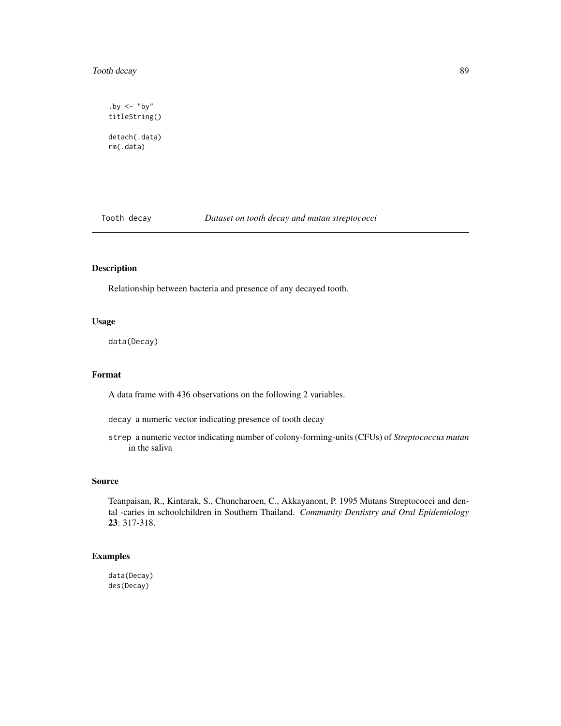# <span id="page-88-0"></span>Tooth decay 89

.by  $\leftarrow$  "by" titleString() detach(.data) rm(.data)

Tooth decay *Dataset on tooth decay and mutan streptococci*

# Description

Relationship between bacteria and presence of any decayed tooth.

#### Usage

data(Decay)

# Format

A data frame with 436 observations on the following 2 variables.

decay a numeric vector indicating presence of tooth decay

strep a numeric vector indicating number of colony-forming-units (CFUs) of *Streptococcus mutan* in the saliva

#### Source

Teanpaisan, R., Kintarak, S., Chuncharoen, C., Akkayanont, P. 1995 Mutans Streptococci and dental -caries in schoolchildren in Southern Thailand. *Community Dentistry and Oral Epidemiology* 23: 317-318.

### Examples

data(Decay) des(Decay)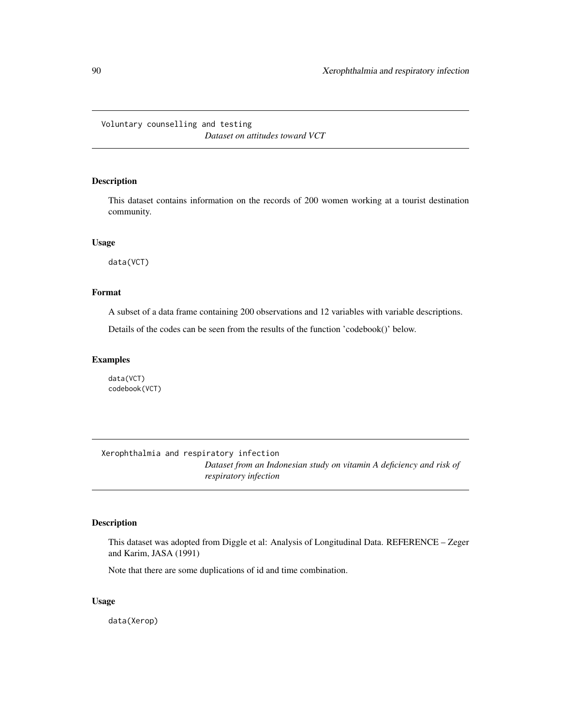# <span id="page-89-0"></span>Voluntary counselling and testing *Dataset on attitudes toward VCT*

# Description

This dataset contains information on the records of 200 women working at a tourist destination community.

#### Usage

data(VCT)

# Format

A subset of a data frame containing 200 observations and 12 variables with variable descriptions.

Details of the codes can be seen from the results of the function 'codebook()' below.

#### Examples

data(VCT) codebook(VCT)

Xerophthalmia and respiratory infection *Dataset from an Indonesian study on vitamin A deficiency and risk of respiratory infection*

#### Description

This dataset was adopted from Diggle et al: Analysis of Longitudinal Data. REFERENCE – Zeger and Karim, JASA (1991)

Note that there are some duplications of id and time combination.

# Usage

data(Xerop)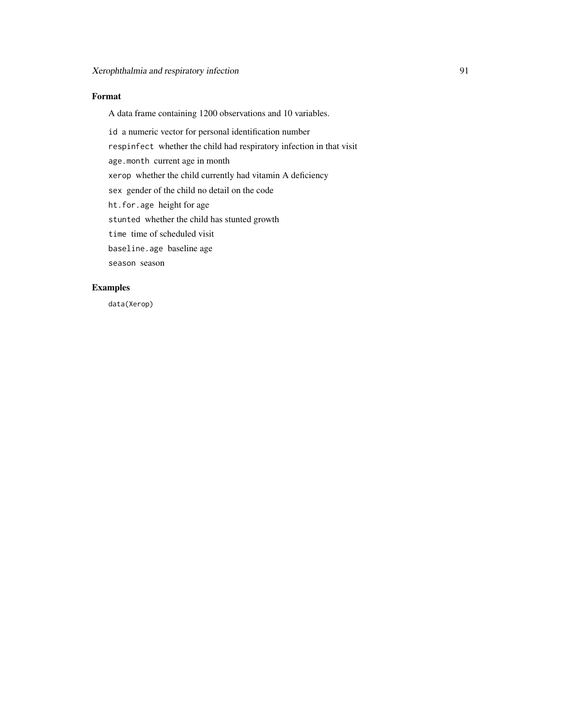# Format

A data frame containing 1200 observations and 10 variables.

id a numeric vector for personal identification number respinfect whether the child had respiratory infection in that visit age.month current age in month xerop whether the child currently had vitamin A deficiency sex gender of the child no detail on the code ht.for.age height for age stunted whether the child has stunted growth time time of scheduled visit baseline.age baseline age season season

# Examples

data(Xerop)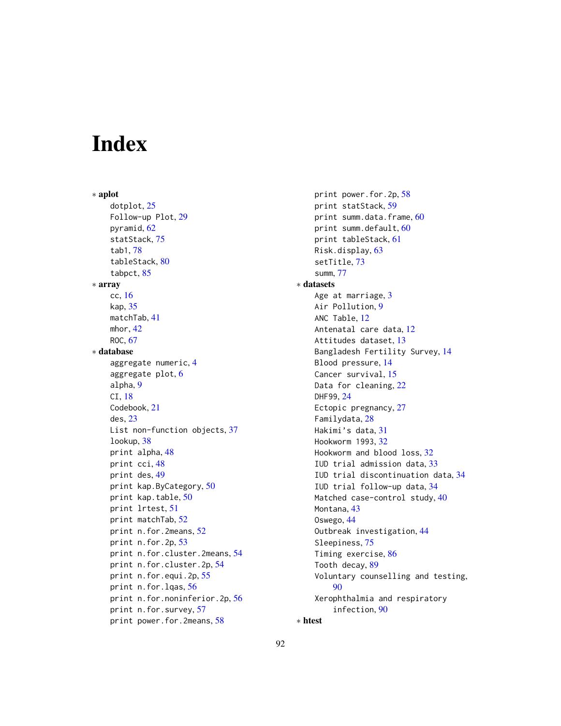# Index

∗ aplot dotplot, [25](#page-24-0) Follow-up Plot, [29](#page-28-0) pyramid, [62](#page-61-0) statStack, [75](#page-74-0) tab1, [78](#page-77-0) tableStack, [80](#page-79-0) tabpct, [85](#page-84-0) ∗ array cc, [16](#page-15-0) kap, [35](#page-34-0) matchTab, [41](#page-40-0) mhor, [42](#page-41-0) ROC, [67](#page-66-0) ∗ database aggregate numeric, [4](#page-3-0) aggregate plot, [6](#page-5-0) alpha, [9](#page-8-0) CI, [18](#page-17-0) Codebook, [21](#page-20-0) des, [23](#page-22-0) List non-function objects, [37](#page-36-0) lookup, [38](#page-37-0) print alpha, [48](#page-47-0) print cci, [48](#page-47-0) print des, [49](#page-48-0) print kap.ByCategory, [50](#page-49-0) print kap.table, [50](#page-49-0) print lrtest, [51](#page-50-0) print matchTab, [52](#page-51-0) print n.for.2means, [52](#page-51-0) print n.for.2p, [53](#page-52-0) print n.for.cluster.2means, [54](#page-53-0) print n.for.cluster.2p, [54](#page-53-0) print n.for.equi.2p, [55](#page-54-0) print n.for.lqas, [56](#page-55-0) print n.for.noninferior.2p, [56](#page-55-0) print n.for.survey, [57](#page-56-0) print power.for.2means, [58](#page-57-0)

print power.for.2p, [58](#page-57-0) print statStack, [59](#page-58-0) print summ.data.frame, [60](#page-59-0) print summ.default, [60](#page-59-0) print tableStack, [61](#page-60-0) Risk.display, [63](#page-62-0) setTitle, [73](#page-72-0) summ, [77](#page-76-0) ∗ datasets Age at marriage, [3](#page-2-0) Air Pollution, [9](#page-8-0) ANC Table, [12](#page-11-0) Antenatal care data, [12](#page-11-0) Attitudes dataset, [13](#page-12-0) Bangladesh Fertility Survey, [14](#page-13-0) Blood pressure, [14](#page-13-0) Cancer survival, [15](#page-14-0) Data for cleaning, [22](#page-21-0) DHF99, [24](#page-23-0) Ectopic pregnancy, [27](#page-26-0) Familydata, [28](#page-27-0) Hakimi's data, [31](#page-30-0) Hookworm 1993, [32](#page-31-0) Hookworm and blood loss, [32](#page-31-0) IUD trial admission data, [33](#page-32-0) IUD trial discontinuation data, [34](#page-33-0) IUD trial follow-up data, [34](#page-33-0) Matched case-control study, [40](#page-39-0) Montana, [43](#page-42-0) Oswego, [44](#page-43-0) Outbreak investigation, [44](#page-43-0) Sleepiness, [75](#page-74-0) Timing exercise, [86](#page-85-0) Tooth decay, [89](#page-88-0) Voluntary counselling and testing, [90](#page-89-0) Xerophthalmia and respiratory infection, [90](#page-89-0)

```
∗ htest
```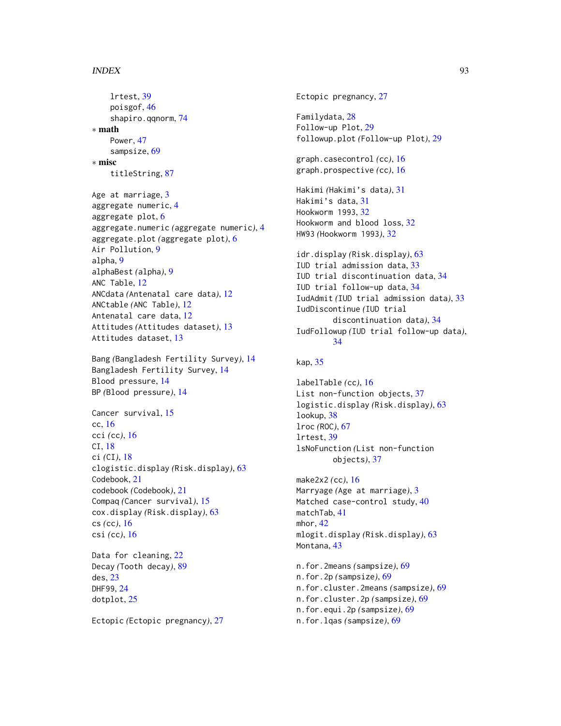#### INDEX  $\sim$  93

lrtest, [39](#page-38-0) poisgof, [46](#page-45-0) shapiro.qqnorm, [74](#page-73-0) ∗ math Power, [47](#page-46-0) sampsize, [69](#page-68-0) ∗ misc titleString, [87](#page-86-0) Age at marriage, [3](#page-2-0) aggregate numeric, [4](#page-3-0) aggregate plot, [6](#page-5-0) aggregate.numeric *(*aggregate numeric*)*, [4](#page-3-0) aggregate.plot *(*aggregate plot*)*, [6](#page-5-0) Air Pollution, [9](#page-8-0) alpha, [9](#page-8-0) alphaBest *(*alpha*)*, [9](#page-8-0) ANC Table, [12](#page-11-0) ANCdata *(*Antenatal care data*)*, [12](#page-11-0) ANCtable *(*ANC Table*)*, [12](#page-11-0) Antenatal care data, [12](#page-11-0) Attitudes *(*Attitudes dataset*)*, [13](#page-12-0) Attitudes dataset, [13](#page-12-0) Bang *(*Bangladesh Fertility Survey*)*, [14](#page-13-0) Bangladesh Fertility Survey, [14](#page-13-0) Blood pressure, [14](#page-13-0) BP *(*Blood pressure*)*, [14](#page-13-0) Cancer survival, [15](#page-14-0) cc, [16](#page-15-0) cci *(*cc*)*, [16](#page-15-0) CI, [18](#page-17-0) ci *(*CI*)*, [18](#page-17-0) clogistic.display *(*Risk.display*)*, [63](#page-62-0) Codebook, [21](#page-20-0) codebook *(*Codebook*)*, [21](#page-20-0) Compaq *(*Cancer survival*)*, [15](#page-14-0) cox.display *(*Risk.display*)*, [63](#page-62-0) cs *(*cc*)*, [16](#page-15-0) csi *(*cc*)*, [16](#page-15-0) Data for cleaning, [22](#page-21-0) Decay *(*Tooth decay*)*, [89](#page-88-0) des, [23](#page-22-0) DHF99, [24](#page-23-0)

Ectopic *(*Ectopic pregnancy*)*, [27](#page-26-0)

dotplot, [25](#page-24-0)

Ectopic pregnancy, [27](#page-26-0) Familydata, [28](#page-27-0) Follow-up Plot, [29](#page-28-0) followup.plot *(*Follow-up Plot*)*, [29](#page-28-0) graph.casecontrol *(*cc*)*, [16](#page-15-0) graph.prospective *(*cc*)*, [16](#page-15-0) Hakimi *(*Hakimi's data*)*, [31](#page-30-0) Hakimi's data, [31](#page-30-0) Hookworm 1993, [32](#page-31-0) Hookworm and blood loss, [32](#page-31-0) HW93 *(*Hookworm 1993*)*, [32](#page-31-0) idr.display *(*Risk.display*)*, [63](#page-62-0) IUD trial admission data, [33](#page-32-0) IUD trial discontinuation data, [34](#page-33-0) IUD trial follow-up data, [34](#page-33-0) IudAdmit *(*IUD trial admission data*)*, [33](#page-32-0) IudDiscontinue *(*IUD trial discontinuation data*)*, [34](#page-33-0) IudFollowup *(*IUD trial follow-up data*)*, [34](#page-33-0) kap, [35](#page-34-0) labelTable *(*cc*)*, [16](#page-15-0) List non-function objects, [37](#page-36-0) logistic.display *(*Risk.display*)*, [63](#page-62-0) lookup, [38](#page-37-0) lroc *(*ROC*)*, [67](#page-66-0) lrtest, [39](#page-38-0) lsNoFunction *(*List non-function objects*)*, [37](#page-36-0) make2x2 *(*cc*)*, [16](#page-15-0) Marryage *(*Age at marriage*)*, [3](#page-2-0) Matched case-control study, [40](#page-39-0) matchTab, [41](#page-40-0) mhor, [42](#page-41-0) mlogit.display *(*Risk.display*)*, [63](#page-62-0) Montana, [43](#page-42-0) n.for.2means *(*sampsize*)*, [69](#page-68-0) n.for.2p *(*sampsize*)*, [69](#page-68-0) n.for.cluster.2means *(*sampsize*)*, [69](#page-68-0) n.for.cluster.2p *(*sampsize*)*, [69](#page-68-0) n.for.equi.2p *(*sampsize*)*, [69](#page-68-0) n.for.lqas *(*sampsize*)*, [69](#page-68-0)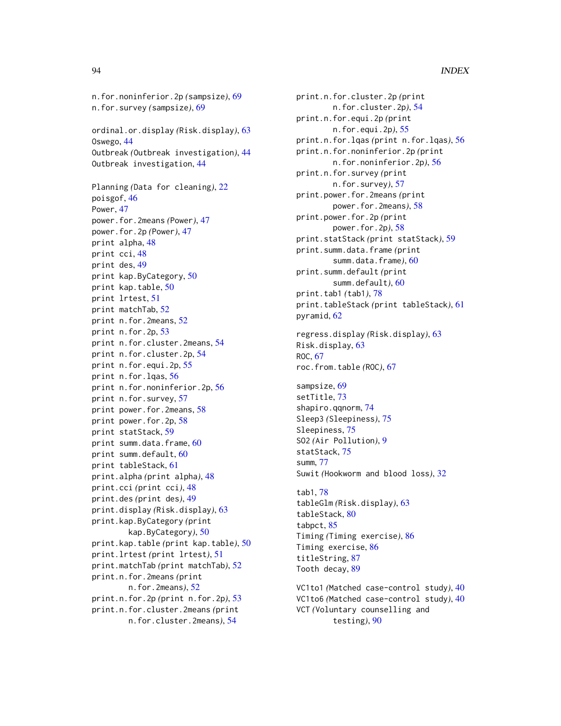n.for.noninferior.2p *(*sampsize*)*, [69](#page-68-0) n.for.survey *(*sampsize*)*, [69](#page-68-0) ordinal.or.display *(*Risk.display*)*, [63](#page-62-0) Oswego, [44](#page-43-0) Outbreak *(*Outbreak investigation*)*, [44](#page-43-0) Outbreak investigation, [44](#page-43-0) Planning *(*Data for cleaning*)*, [22](#page-21-0) poisgof, [46](#page-45-0) Power, [47](#page-46-0) power.for.2means *(*Power*)*, [47](#page-46-0) power.for.2p *(*Power*)*, [47](#page-46-0) print alpha, [48](#page-47-0) print cci, [48](#page-47-0) print des, [49](#page-48-0) print kap.ByCategory, [50](#page-49-0) print kap.table, [50](#page-49-0) print lrtest, [51](#page-50-0) print matchTab, [52](#page-51-0) print n.for.2means, [52](#page-51-0) print n.for.2p, [53](#page-52-0) print n.for.cluster.2means, [54](#page-53-0) print n.for.cluster.2p, [54](#page-53-0) print n.for.equi.2p, [55](#page-54-0) print n.for.lqas, [56](#page-55-0) print n.for.noninferior.2p, [56](#page-55-0) print n.for.survey, [57](#page-56-0) print power.for.2means, [58](#page-57-0) print power.for.2p, [58](#page-57-0) print statStack, [59](#page-58-0) print summ.data.frame, [60](#page-59-0) print summ.default, [60](#page-59-0) print tableStack, [61](#page-60-0) print.alpha *(*print alpha*)*, [48](#page-47-0) print.cci *(*print cci*)*, [48](#page-47-0) print.des *(*print des*)*, [49](#page-48-0) print.display *(*Risk.display*)*, [63](#page-62-0) print.kap.ByCategory *(*print kap.ByCategory*)*, [50](#page-49-0) print.kap.table *(*print kap.table*)*, [50](#page-49-0) print.lrtest *(*print lrtest*)*, [51](#page-50-0) print.matchTab *(*print matchTab*)*, [52](#page-51-0) print.n.for.2means *(*print n.for.2means*)*, [52](#page-51-0) print.n.for.2p *(*print n.for.2p*)*, [53](#page-52-0) print.n.for.cluster.2means *(*print n.for.cluster.2means*)*, [54](#page-53-0)

print.n.for.cluster.2p *(*print n.for.cluster.2p*)*, [54](#page-53-0) print.n.for.equi.2p *(*print n.for.equi.2p*)*, [55](#page-54-0) print.n.for.lqas *(*print n.for.lqas*)*, [56](#page-55-0) print.n.for.noninferior.2p *(*print n.for.noninferior.2p*)*, [56](#page-55-0) print.n.for.survey *(*print n.for.survey*)*, [57](#page-56-0) print.power.for.2means *(*print power.for.2means*)*, [58](#page-57-0) print.power.for.2p *(*print power.for.2p*)*, [58](#page-57-0) print.statStack *(*print statStack*)*, [59](#page-58-0) print.summ.data.frame *(*print summ.data.frame*)*, [60](#page-59-0) print.summ.default *(*print summ.default*)*, [60](#page-59-0) print.tab1 *(*tab1*)*, [78](#page-77-0) print.tableStack *(*print tableStack*)*, [61](#page-60-0) pyramid, [62](#page-61-0) regress.display *(*Risk.display*)*, [63](#page-62-0) Risk.display, [63](#page-62-0) ROC, [67](#page-66-0) roc.from.table *(*ROC*)*, [67](#page-66-0) sampsize, [69](#page-68-0) setTitle, [73](#page-72-0) shapiro.qqnorm, [74](#page-73-0) Sleep3 *(*Sleepiness*)*, [75](#page-74-0) Sleepiness, [75](#page-74-0) SO2 *(*Air Pollution*)*, [9](#page-8-0) statStack, [75](#page-74-0) summ, [77](#page-76-0) Suwit *(*Hookworm and blood loss*)*, [32](#page-31-0) tab1, [78](#page-77-0) tableGlm *(*Risk.display*)*, [63](#page-62-0)

tableStack, [80](#page-79-0) tabpct, [85](#page-84-0) Timing *(*Timing exercise*)*, [86](#page-85-0) Timing exercise, [86](#page-85-0) titleString, [87](#page-86-0) Tooth decay, [89](#page-88-0)

VC1to1 *(*Matched case-control study*)*, [40](#page-39-0) VC1to6 *(*Matched case-control study*)*, [40](#page-39-0) VCT *(*Voluntary counselling and testing*)*, [90](#page-89-0)